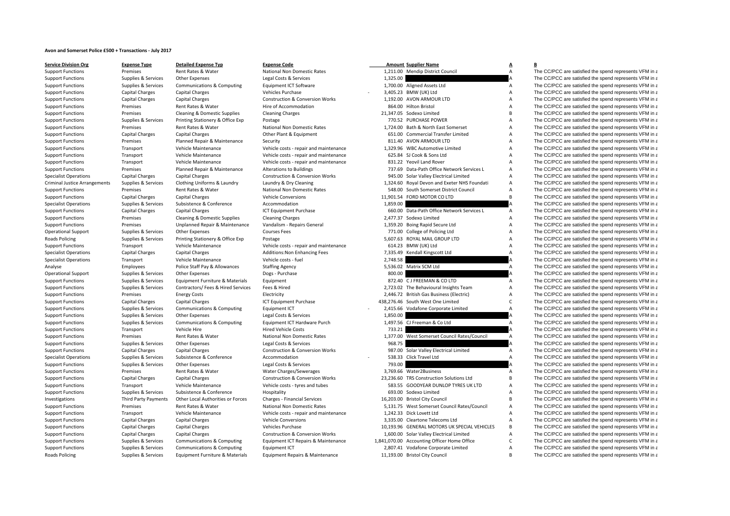## **Avon and Somerset Police £500 <sup>+</sup> Transactions ‐ July 2017**

| <b>Service Division Org</b>          | <b>Expense Type</b>         | <b>Detailed Expense Typ</b>           | <b>Expense Code</b>                        |          | <b>Amount Supplier Name</b>                  | A              | в                                                      |
|--------------------------------------|-----------------------------|---------------------------------------|--------------------------------------------|----------|----------------------------------------------|----------------|--------------------------------------------------------|
| <b>Support Functions</b>             | Premises                    | Rent Rates & Water                    | National Non Domestic Rates                |          | 1,211.00 Mendip District Council             | $\overline{A}$ | The CC/PCC are satisfied the spend represents VFM in a |
| <b>Support Functions</b>             | Supplies & Services         | Other Expenses                        | Legal Costs & Services                     | 1,325.00 |                                              |                | The CC/PCC are satisfied the spend represents VFM in a |
| <b>Support Functions</b>             | Supplies & Services         | Communications & Computing            | Equipment ICT Software                     |          | 1,700.00 Aligned Assets Ltd                  | $\overline{A}$ | The CC/PCC are satisfied the spend represents VFM in a |
| <b>Support Functions</b>             | <b>Capital Charges</b>      | <b>Capital Charges</b>                | <b>Vehicles Purchase</b>                   |          | 3,405.23 BMW (UK) Ltd                        | $\overline{A}$ | The CC/PCC are satisfied the spend represents VFM in a |
| <b>Support Functions</b>             | <b>Capital Charges</b>      | <b>Capital Charges</b>                | <b>Construction &amp; Conversion Works</b> |          | 1,192.00 AVON ARMOUR LTD                     | $\overline{A}$ | The CC/PCC are satisfied the spend represents VFM in a |
| <b>Support Functions</b>             | Premises                    | Rent Rates & Water                    | Hire of Accommodation                      |          | 864.00 Hilton Bristol                        | $\overline{A}$ | The CC/PCC are satisfied the spend represents VFM in a |
| <b>Support Functions</b>             | Premises                    | Cleaning & Domestic Supplies          | <b>Cleaning Charges</b>                    |          | 21,347.05 Sodexo Limited                     | $\overline{B}$ | The CC/PCC are satisfied the spend represents VFM in a |
| <b>Support Functions</b>             | Supplies & Services         | Printing Stationery & Office Exp      | Postage                                    |          | 770.52 PURCHASE POWER                        | $\overline{A}$ | The CC/PCC are satisfied the spend represents VFM in a |
| <b>Support Functions</b>             | Premises                    | Rent Rates & Water                    | National Non Domestic Rates                |          | 1,724.00 Bath & North East Somerset          | $\overline{A}$ | The CC/PCC are satisfied the spend represents VFM in a |
| <b>Support Functions</b>             | <b>Capital Charges</b>      | <b>Capital Charges</b>                | Other Plant & Equipment                    |          | 651.00 Commercial Transfer Limited           | A              | The CC/PCC are satisfied the spend represents VFM in a |
| <b>Support Functions</b>             | Premises                    | Planned Repair & Maintenance          | Security                                   |          | 811.40 AVON ARMOUR LTD                       | $\overline{A}$ | The CC/PCC are satisfied the spend represents VFM in a |
| <b>Support Functions</b>             | Transport                   | Vehicle Maintenance                   | Vehicle costs - repair and maintenance     |          | 1,329.96 WBC Automotive Limited              | $\overline{A}$ | The CC/PCC are satisfied the spend represents VFM in a |
| <b>Support Functions</b>             | Transport                   | Vehicle Maintenance                   | Vehicle costs - repair and maintenance     |          | 625.84 SJ Cook & Sons Ltd                    | $\overline{A}$ | The CC/PCC are satisfied the spend represents VFM in a |
| <b>Support Functions</b>             | Transport                   | Vehicle Maintenance                   | Vehicle costs - repair and maintenance     |          | 831.22 Yeovil Land Rover                     | $\overline{A}$ | The CC/PCC are satisfied the spend represents VFM in a |
| <b>Support Functions</b>             | Premises                    | Planned Repair & Maintenance          | <b>Alterations to Buildings</b>            |          | 737.69 Data-Path Office Network Services L   | $\overline{A}$ | The CC/PCC are satisfied the spend represents VFM in a |
| <b>Specialist Operations</b>         | Capital Charges             | <b>Capital Charges</b>                | <b>Construction &amp; Conversion Works</b> |          | 945.00 Solar Valley Electrical Limited       | $\overline{A}$ | The CC/PCC are satisfied the spend represents VFM in a |
| <b>Criminal Justice Arrangements</b> | Supplies & Services         | Clothing Uniforms & Laundry           | Laundry & Dry Cleaning                     |          | 1,324.60 Royal Devon and Exeter NHS Foundati | $\overline{A}$ | The CC/PCC are satisfied the spend represents VFM in a |
| <b>Support Functions</b>             | Premises                    | Rent Rates & Water                    | National Non Domestic Rates                |          | 548.00 South Somerset District Council       | $\overline{A}$ | The CC/PCC are satisfied the spend represents VFM in a |
| <b>Support Functions</b>             | <b>Capital Charges</b>      | <b>Capital Charges</b>                | <b>Vehicle Conversions</b>                 |          | 11,901.54 FORD MOTOR CO LTD                  | $\overline{B}$ | The CC/PCC are satisfied the spend represents VFM in a |
| <b>Specialist Operations</b>         | Supplies & Services         | Subsistence & Conference              | Accommodation                              | 1,859.00 |                                              |                | The CC/PCC are satisfied the spend represents VFM in a |
| <b>Support Functions</b>             | <b>Capital Charges</b>      | <b>Capital Charges</b>                | ICT Equipment Purchase                     |          | 660.00 Data-Path Office Network Services L   | $\overline{A}$ | The CC/PCC are satisfied the spend represents VFM in a |
| <b>Support Functions</b>             | Premises                    | Cleaning & Domestic Supplies          | <b>Cleaning Charges</b>                    |          | 2,477.37 Sodexo Limited                      | $\overline{A}$ | The CC/PCC are satisfied the spend represents VFM in a |
| <b>Support Functions</b>             | Premises                    | Unplanned Repair & Maintenance        | Vandalism - Repairs General                |          | 1,359.20 Boing Rapid Secure Ltd              | $\overline{A}$ | The CC/PCC are satisfied the spend represents VFM in a |
| <b>Operational Support</b>           | Supplies & Services         | Other Expenses                        | <b>Courses Fees</b>                        |          | 771.00 College of Policing Ltd               | $\overline{A}$ | The CC/PCC are satisfied the spend represents VFM in a |
| Roads Policing                       | Supplies & Services         | Printing Stationery & Office Exp      | Postage                                    |          | 5,607.63 ROYAL MAIL GROUP LTD                | $\overline{A}$ | The CC/PCC are satisfied the spend represents VFM in a |
| <b>Support Functions</b>             | Transport                   | Vehicle Maintenance                   | Vehicle costs - repair and maintenance     |          | 614.23 BMW (UK) Ltd                          | A              | The CC/PCC are satisfied the spend represents VFM in a |
| <b>Specialist Operations</b>         | Capital Charges             | <b>Capital Charges</b>                | <b>Additions: Non Enhancing Fees</b>       |          | 7,335.49 Kendall Kingscott Ltd               | $\overline{A}$ | The CC/PCC are satisfied the spend represents VFM in a |
| <b>Specialist Operations</b>         | Transport                   | Vehicle Maintenance                   | Vehicle costs - fuel                       | 2,748.58 |                                              |                | The CC/PCC are satisfied the spend represents VFM in a |
| Analyse                              | Employees                   | Police Staff Pay & Allowances         | <b>Staffing Agency</b>                     |          | 5,536.02 Matrix SCM Ltd                      | $\overline{A}$ | The CC/PCC are satisfied the spend represents VFM in a |
| <b>Operational Support</b>           | Supplies & Services         | Other Expenses                        | Dogs - Purchase                            | 800.00   |                                              |                | The CC/PCC are satisfied the spend represents VFM in a |
| <b>Support Functions</b>             | Supplies & Services         | Equipment Furniture & Materials       | Equipment                                  |          | 872.40 CJ FREEMAN & CO LTD                   | $\Delta$       | The CC/PCC are satisfied the spend represents VFM in a |
| <b>Support Functions</b>             | Supplies & Services         | Contractors/ Fees & Hired Services    | Fees & Hired                               |          | 2,723.02 The Behavioural Insights Team       | $\overline{A}$ | The CC/PCC are satisfied the spend represents VFM in a |
| <b>Support Functions</b>             | Premises                    | <b>Energy Costs</b>                   | Electricity                                |          | 2,446.72 British Gas Business (Electric)     | $\overline{A}$ | The CC/PCC are satisfied the spend represents VFM in a |
| <b>Support Functions</b>             | <b>Capital Charges</b>      | <b>Capital Charges</b>                | ICT Equipment Purchase                     |          | 438,276.46 South West One Limited            | $\mathsf{C}$   | The CC/PCC are satisfied the spend represents VFM in a |
| <b>Support Functions</b>             | Supplies & Services         | Communications & Computing            | Equipment ICT                              |          | 2,415.66 Vodafone Corporate Limited          | $\overline{A}$ | The CC/PCC are satisfied the spend represents VFM in a |
|                                      |                             |                                       |                                            | 1.850.00 |                                              |                | The CC/PCC are satisfied the spend represents VFM in a |
| <b>Support Functions</b>             | Supplies & Services         | Other Expenses                        | Legal Costs & Services                     |          | 1,497.56 CJ Freeman & Co Ltd                 | $\overline{A}$ |                                                        |
| <b>Support Functions</b>             | Supplies & Services         | Communications & Computing            | Equipment ICT Hardware Purch               |          |                                              |                | The CC/PCC are satisfied the spend represents VFM in a |
| <b>Support Functions</b>             | Transport                   | Vehicle Hire                          | <b>Hired Vehicle Costs</b>                 | 733.21   |                                              |                | The CC/PCC are satisfied the spend represents VFM in a |
| <b>Support Functions</b>             | Premises                    | Rent Rates & Water                    | National Non Domestic Rates                |          | 1,377.00 West Somerset Council Rates/Council | $\overline{A}$ | The CC/PCC are satisfied the spend represents VFM in a |
| <b>Support Functions</b>             | Supplies & Services         | Other Expenses                        | Legal Costs & Services                     | 968.75   |                                              |                | The CC/PCC are satisfied the spend represents VFM in a |
| <b>Support Functions</b>             | Capital Charges             | <b>Capital Charges</b>                | <b>Construction &amp; Conversion Works</b> |          | 987.00 Solar Valley Electrical Limited       | $\overline{A}$ | The CC/PCC are satisfied the spend represents VFM in a |
| <b>Specialist Operations</b>         | Supplies & Services         | Subsistence & Conference              | Accommodation                              |          | 538.33 Click Travel Ltd                      | $\overline{A}$ | The CC/PCC are satisfied the spend represents VFM in a |
| <b>Support Functions</b>             | Supplies & Services         | Other Expenses                        | Legal Costs & Services                     | 793.00   |                                              |                | The CC/PCC are satisfied the spend represents VFM in a |
| <b>Support Functions</b>             | Premises                    | Rent Rates & Water                    | Water Charges/Sewerages                    |          | 3.769.66 Water2Business                      | $\overline{A}$ | The CC/PCC are satisfied the spend represents VFM in a |
| <b>Support Functions</b>             | <b>Capital Charges</b>      | <b>Capital Charges</b>                | <b>Construction &amp; Conversion Works</b> |          | 23,236.60 TRS Construction Solutions Ltd     | $\overline{B}$ | The CC/PCC are satisfied the spend represents VFM in a |
| <b>Support Functions</b>             | Transport                   | Vehicle Maintenance                   | Vehicle costs - tyres and tubes            |          | 583.55 GOODYEAR DUNLOP TYRES UK LTD          | $\overline{A}$ | The CC/PCC are satisfied the spend represents VFM in a |
| <b>Support Functions</b>             | Supplies & Services         | Subsistence & Conference              | Hospitality                                |          | 693.00 Sodexo Limited                        | $\overline{A}$ | The CC/PCC are satisfied the spend represents VFM in a |
| Investigations                       | <b>Third Party Payments</b> | Other Local Authorities or Forces     | Charges - Financial Services               |          | 16,203.00 Bristol City Council               | B              | The CC/PCC are satisfied the spend represents VFM in a |
| <b>Support Functions</b>             | Premises                    | Rent Rates & Water                    | <b>National Non Domestic Rates</b>         |          | 5,131.75 West Somerset Council Rates/Council | $\overline{A}$ | The CC/PCC are satisfied the spend represents VFM in a |
| <b>Support Functions</b>             | Transport                   | Vehicle Maintenance                   | Vehicle costs - repair and maintenance     |          | 1,242.33 Dick Lovett Ltd                     | $\overline{A}$ | The CC/PCC are satisfied the spend represents VFM in a |
| <b>Support Functions</b>             | Capital Charges             | <b>Capital Charges</b>                | <b>Vehicle Conversions</b>                 |          | 3,335.00 Cleartone Telecoms Ltd              | $\overline{A}$ | The CC/PCC are satisfied the spend represents VFM in a |
| <b>Support Functions</b>             | Capital Charges             | <b>Capital Charges</b>                | <b>Vehicles Purchase</b>                   |          | 10,193.96 GENERAL MOTORS UK SPECIAL VEHICLES | B              | The CC/PCC are satisfied the spend represents VFM in a |
| <b>Support Functions</b>             | <b>Capital Charges</b>      | <b>Capital Charges</b>                | <b>Construction &amp; Conversion Works</b> |          | 1,600.00 Solar Valley Electrical Limited     | $\overline{A}$ | The CC/PCC are satisfied the spend represents VFM in a |
| <b>Support Functions</b>             | Supplies & Services         | Communications & Computing            | Equipment ICT Repairs & Maintenance        |          | 1,841,070.00 Accounting Officer Home Office  | $\mathsf{C}$   | The CC/PCC are satisfied the spend represents VFM in a |
| <b>Support Functions</b>             | Supplies & Services         | <b>Communications &amp; Computing</b> | Equipment ICT                              |          | 2,807.41 Vodafone Corporate Limited          | $\overline{A}$ | The CC/PCC are satisfied the spend represents VFM in a |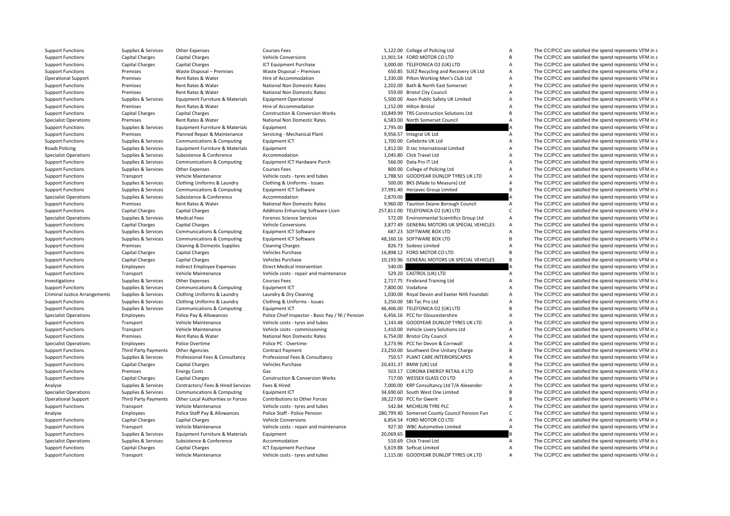**Roads Policing** Criminal Justice

Support Functions Supplies & Services Other Expenses Courses Fees Courses Fees 5,122.00 College of Policing Ltd A The CC/PCC are satisfied the spend represents VFM in a

|          | 5,122.00 College of Policing Ltd                    |
|----------|-----------------------------------------------------|
|          | 1,901.54 FORD MOTOR CO LTD                          |
|          | 3,000.00 TELEFONICA O2 (UK) LTD                     |
|          | 650.85 SUEZ Recycling and Recovery UK Ltd           |
|          | 1,330.00 Pilton Working Men's Club Ltd              |
|          | 2,202.00 Bath & North East Somerset                 |
|          | 559.00 Bristol City Council                         |
|          | 5,500.00 Axon Public Safety UK Limited              |
|          | 1,152.00 Hilton Bristol                             |
| 0,849.99 | TRS Construction Solutions Ltd                      |
|          | 6,583.00 North Somerset Council                     |
| 2,795.00 |                                                     |
| 9,956.57 | Integral UK Ltd                                     |
|          | 1,700.00 Cellebrite UK Ltd                          |
|          | 1,812.00 D.tec International Limited                |
|          | 1,045.80 Click Travel Ltd                           |
|          | 566.00 Data Pro IT Ltd                              |
|          | 800.00 College of Policing Ltd                      |
|          | 1,788.50 GOODYEAR DUNLOP TYRES UK LTD               |
|          | 500.00 BKS (Made to Measure) Ltd                    |
|          | 7,991.40 Herjavec Group Limited                     |
| 2,870.00 |                                                     |
| 9,960.00 | Taunton Deane Borough Council                       |
| 7,811.00 | TELEFONICA O2 (UK) LTD                              |
|          | 572.00 Environmental Scientifics Group Ltd          |
|          | 3,877.49 GENERAL MOTORS UK SPECIAL VEHICLES         |
|          | 687.23 SOFTWARE BOX LTD                             |
|          | 8,160.16 SOFTWARE BOX LTD                           |
|          | 826.73 Sodexo Limited                               |
|          |                                                     |
|          |                                                     |
|          | 6,898.12 FORD MOTOR CO LTD                          |
|          | 0,193.96 GENERAL MOTORS UK SPECIAL VEHICLES         |
| 540.00   |                                                     |
|          | 529.20 CASTROL (UK) LTD                             |
|          | 2,717.75 Firebrand Training Ltd                     |
|          | 7,800.00 Vodafone                                   |
|          | 1,030.00 Royal Devon and Exeter NHS Foundati        |
|          | 3,250.00 SBI Tac Pro Ltd                            |
|          | 6,406.00 TELEFONICA O2 (UK) LTD                     |
|          | 6,456.16 PCC for Gloucestershire                    |
|          | 1,143.48 GOODYEAR DUNLOP TYRES UK LTD               |
| 1,410.00 | Vehicle Livery Solutions Ltd                        |
|          | 6,754.00 Bristol City Council                       |
|          | 3,273.96 PCC for Devon & Cornwall                   |
| 3,250.00 | Southwest One Unitary Charge                        |
|          | 750.57 PLANT CARE INTERIORSCAPES                    |
| 0,431.37 | BMW (UK) Ltd                                        |
| 503.17   | CORONA ENERGY RETAIL 4 LTD                          |
|          | 717.00 WESSEX GLASS CO LTD                          |
|          | 7,000.00 KRP Consultancy Ltd T/A Alexander          |
|          | 4,690.60 South West One Limited                     |
| 8,227.00 | PCC for Gwent                                       |
|          | 542.84 MICHELIN TYRE PLC                            |
|          | 0,799.40 Somerset County Council Pension Fun        |
|          | 6,854.54 FORD MOTOR CO LTD                          |
|          | 927.30 WBC Automotive Limited                       |
|          |                                                     |
| 0,069.65 | 510.69 Click Travel Ltd<br>5,619.88 Softcat Limited |

Support Functions Capital Charges Capital Charges Vehicle Conversions 11,901.54 FORD MOTOR CO LTD B The CC/PCC are satisfied the spend represents VFM in a Support Functions Capital Charges Capital Charges Capital Charges ICT Equipment Purchase 3,000.00 TELEFONICA O2 (UK) LTD A The CC/PCC are satisfied the spend represents VFM in a Support Functions Premises Waste Disposal – Premises Waste Disposal – Premises Waste Disposal – Premises Waste Disposal – Premises Waste Disposal – Premises SUEZ Recycling and Recovery UK Ltd A The CC/PCC are satisfied the Operational Support Premises Rent Rates & Water Hire of Accommodation History of Accommodation 1,330.00 Pilton Working Men's Club Ltd A The CC/PCC are satisfied the spend represents VFM in a support Premises Rent Rates & W Support Functions Premises Rent Rates & Water National Non Domestic Rates 2,202.00 Bath & North East Somerset A The CC/PCC are satisfied the spend represents VFM in a Support Functions Premises Rent Rates & Water National Non Domestic Rates 559.00 Bristol City Council A The CC/PCC are satisfied the spend represents VFM in a Support Functions Supplies & Services Equipment Furniture & Materials Equipment Operational 5,500.00 Axon Public Safety UK Limited A The CC/PCC are satisfied the spend represents VFM in a Support Functions Premises Rent Rates & Water Hire of Accommodation Hire of Accommodation 1,152.00 Hilton Bristol A The CC/PCC are satisfied the spend represents VFM in a Support Functions Capital Charges Capital Charges Construction & Conversion Works 10,849.99 TRS Construction Solutions Ltd B The CC/PCC are satisfied the spend represents VFM in a Specialist Operations Premises Rent Rates & Water National Non Domestic Rates 6,583.00 North Somerset Council A The CC/PCC are satisfied the spend represents VFM in a Support Functions Supplies & Services Equipment Furniture & Materials Equipment 2,795.00 2,795.00 A The CC/PCC are satisfied the spend represents VFM in a Support Functions Premises Planned Repair & Maintenance Servicing - Mechanical Plant 9,956.57 Integral UK Ltd A The CC/PCC are satisfied the spend represents VFM in a Support Functions Supplies & Services Communications & Computing Faultoment ICT 1,700.00 Cellebrite UK Ltd A The CC/PCC are satisfied the spend represents VFM in a Policing Supplies Services Equipment Furniture & Materials Equipment 1,812.00 D.tec International Limited A The CC/PCC are satisfied the spend represents VFM in a Specialist Operations Supplies & Services Subsistence Subsistence Accommodation Accommodation Accommodation and the Service and A The CC/PCC are satisfied the spend represents VFM in a Supplies & Services Communications & Support Functions Supplies & Services Communications & Computing Faultoment ICT Hardware Purch 566.00 Data Pro IT Ltd A The CC/PCC are satisfied the spend represents VFM in a Support Functions Supplies & Services Other Expenses Courses Fees 800.00 College of Policing Ltd A The CC/PCC are satisfied the spend represents VFM in a Support Functions Transport Vehicle Maintenance Vehicle costs - tyres and tubes 1,788.50 GOODYEAR DUNLOP TYRES UK LTD A The CC/PCC are satisfied the spend represents VFM in a Support Functions Supplies & Services Clothing Uniforms & Laundry Clothing & Uniforms - Issues 500.00 BKS (Made to Measure) Ltd A The CC/PCC are satisfied the spend represents VFM in a Support Functions Supplies & Services Communications & Computing Faultoment ICT Software 37,991.40 Heriavec Group Limited B The CC/PCC are satisfied the spend represents VFM in a Specialist Operations Supplies & Services Subsistence Subsistence Accommodation Accommodation 2,870.00 A The CC/PCC are satisfied the spend represents VFM in a Support Functions Premises Rent Rates & Water National Non Domestic Rates 9,960.00 Taunton Deane Borough Council A The CC/PCC are satisfied the spend represents VFM in a Support Functions Capital Charges Capital Charges Additions Enhancing Software Licen 257,811.00 TELEFONICA O2 (UK) LTD C The CC/PCC are satisfied the spend represents VFM in a Specialist Operations Supplies & Services Medical Fees Forensic Science Services Forensic Science Services 572.00 Environmental Scientifics Group Ltd A The CC/PCC are satisfied the spend represents VFM in a Support Functions Capital Charges Capital Charges Vehicle Conversions Vehicle Conversions 3,877.49 GENERAL MOTORS UK SPECIAL VEHICLES A The CC/PCC are satisfied the spend represents VFM in a Support Functions Supplies & Services Communications & Computing Equipment ICT Software 687.23 SOFTWARE BOX LTD A The CC/PCC are satisfied the spend represents VFM in a Support Functions Supplies & Services Communications & Computing Equipment ICT Software 48,160.16 SOFTWARE BOX LTD B The CC/PCC are satisfied the spend represents VFM in a Support Functions Premises Cleaning & Domestic Supplies Cleaning Charges 826.73 Sodexo Limited A The CC/PCC are satisfied the spend represents VFM in a Support Functions Capital Charges Capital Charges Vehicles Purchase Vehicles Purchase 16,898.12 FORD MOTOR CO LTD B The CC/PCC are satisfied the spend represents VFM in a Support Functions Capital Charges Capital Charges Vehicles Purchase Vehicles Purchase 10,193.96 GENERAL MOTORS UK SPECIAL VEHICLES B The CC/PCC are satisfied the spend represents VFM in a Support Function Support Function Support Functions Employees Indirect Employee Expenses Direct Medical Intervention 540.00 540.00 A The CC/PCC are satisfied the spend represents VFM in a Support Functions Transport Vehicle Maintenance Vehicle costs - repair and maintenance 529.20 CASTROL (UK) LTD A The CC/PCC are satisfied the spend represents VFM in a Investigations Supplies & Services Other Expenses Courses Fees Courses Fees 2,717.75 Firebrand Training Ltd A The CC/PCC are satisfied the spend represents VFM in a Support Functions Supplies & Services Communications & Computing Faultoment ICT 7,800.00 Vodafone 7,800.00 Vodafone A The CC/PCC are satisfied the spend represents VFM in a Supplies & Services Clothing Uniforms & Laundry Laundry & Dry Cleaning 1,030.00 Royal Devon and Exeter NHS Foundati A The CC/PCC are satisfied the spend represents VFM in a Support Functions Supplies & Services Clothing Uniforms & Laundry Clothing & Uniforms - Issues 3,250.00 SBI Tac Pro Ltd A The CC/PCC are satisfied the spend represents VFM in a Support Functions Supplies & Services Communications & Computing Equipment ICT 46,406.00 TELEFONICA O2 (UK) LTD B The CC/PCC are satisfied the spend represents VFM in a Specialist Operations Employees Police Pay & Allowances Police Chief Inspector - Basic Pay / NI / Pension 6,456.16 PCC for Gloucestershire A The CC/PCC are satisfied the spend represents VFM in a Support Functions Transport Vehicle Maintenance Vehicle costs - tyres and tubes 1,143.48 GOODYEAR DUNLOP TYRES UK LTD A The CC/PCC are satisfied the spend represents VFM in a Support Functions Transport Vehicle Maintenance Vehicle costs – commissioning 1,410.00 Vehicle Livery Solutions Ltd A The CC/PCC are satisfied the spend represents VFM in a Support Functions Commission of the Spend represe Support Functions Premises Rent Rates & Water National Non Domestic Rates 6,754.00 Bristol City Council A The CC/PCC are satisfied the spend represents VFM in a Specialist Operations Employees Police Overtime Police PC - Overtime Police PC - Overtime 3,273.96 PCC for Devon & Cornwall A The CC/PCC are satisfied the spend represents VFM in a Support Functions Third Party Payments Other Agencies Contract Payment Contract Payment 23,250.00 Southwest One Unitary Charge B The CC/PCC are satisfied the spend represents VFM in a Support Functions Supplies & Services Professional Fees & Consultancy Professional Fees & Consultancy Professional Fees & Consultancy 750.57 PLANT CARE INTERIORSCAPES A The CC/PCC are satisfied the spend represents VFM in Support Functions Capital Charges Capital Charges Vehicles Purchase Vehicles Purchase 20,431.37 BMW (UK) Ltd B The CC/PCC are satisfied the spend represents VFM in a Support Functions Premises Energy Costs Gas Gas Gas Support Energy Costs Gas Support Functions and the CC/PCC are satisfied the spend represents VFM in a Support Functions Capital Charges Capital Charges Construction & Conversion Works 717.00 WESSEX GLASS CO LTD A The CC/PCC are satisfied the spend represents VFM in a Analyse Supplies & Services Contractors/ Fees & Hired Services Fees & Hired The Services Fees & Hired The COLOCO ARP Consultancy Ltd T/A Alexander A The CC/PCC are satisfied the spend represents VFM in a Specialist Operations Supplies & Services Communications & Computing Equipment ICT 34,690.60 South West One Limited B The CC/PCC are satisfied the spend represents VFM in a Operational Support Third Party Payments Other Local Authorities or Forces Contributions to Other Forces 38,227.00 PCC for Gwent B The CC/PCC are satisfied the spend represents VFM in a Support Functions Transport Vehicle Maintenance Vehicle costs - tyres and tubes 542.84 MICHELIN TYRE PLC A The CC/PCC are satisfied the spend represents VFM in a Analyse Employees Police Staff Pay & Allowances Police Pension 280,799.40 Somerset County Council Pension Fun C The CC/PCC are satisfied the spend represents VFM in a Support Functions Capital Charges Capital Charges Vehicle Conversions 6,854.54 FORD MOTOR CO LTD A The CC/PCC are satisfied the spend represents VFM in a Support Functions Transport Vehicle Maintenance Vehicle costs - repair and maintenance 927.30 WBC Automotive Limited A The CC/PCC are satisfied the spend represents VFM in a Supplies & Services Equipment Furniture & Materi Support Functions Supplies & Services Equipment Furniture & Materials Equipment 20,069.65 20,069.65 20,069.65 The CC/PCC are satisfied the spend represents VFM in a Specialist Operations Supplies & Services Subsistence Subsistence Accommodation Accommodation 510.69 Click Travel Ltd A The CC/PCC are satisfied the spend represents VFM in a Support Functions Capital Charges Capital Charges Capital Charges ICT Equipment Purchase 5,619.88 Softcat Limited A The CC/PCC are satisfied the spend represents VFM in a Support Functions Transport Vehicle Maintenance Vehicle costs - tyres and tubes 1,115.00 GOODYEAR DUNLOP TYRES UK LTD A The CC/PCC are satisfied the spend represents VFM in a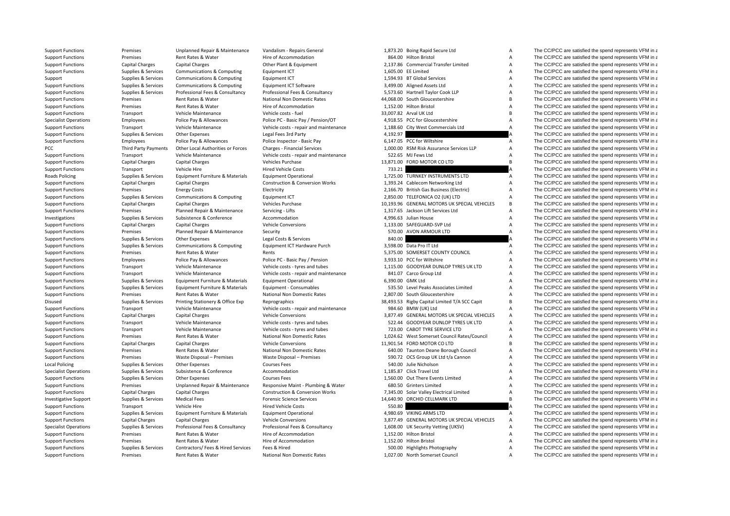| <b>Support Functions</b>     | Premises                    | Unplanned Repair & Maintenance     | Vandalism - Repairs General                |          | 1,873.20 Boing Rapid Secure Ltd               | A              | The CC/PCC are satisfied the spend represents VFM in a  |
|------------------------------|-----------------------------|------------------------------------|--------------------------------------------|----------|-----------------------------------------------|----------------|---------------------------------------------------------|
| <b>Support Functions</b>     | Premises                    | Rent Rates & Water                 | Hire of Accommodation                      |          | 864.00 Hilton Bristol                         | Α              | The CC/PCC are satisfied the spend represents VFM in a  |
| <b>Support Functions</b>     | Capital Charges             | <b>Capital Charges</b>             | Other Plant & Equipment                    |          | 2,137.86 Commercial Transfer Limited          | Α              | The CC/PCC are satisfied the spend represents VFM in a  |
| <b>Support Functions</b>     | Supplies & Services         | Communications & Computing         | Equipment ICT                              |          | 1,605.00 EE Limited                           | Α              | The CC/PCC are satisfied the spend represents VFM in a  |
| Support                      | Supplies & Services         | Communications & Computing         | Equipment ICT                              |          | 1,594.93 BT Global Services                   | A              | The CC/PCC are satisfied the spend represents VFM in a  |
| <b>Support Functions</b>     | Supplies & Services         | Communications & Computing         | Equipment ICT Software                     |          | 3,499.00 Aligned Assets Ltd                   | A              | The CC/PCC are satisfied the spend represents VFM in a  |
| <b>Support Functions</b>     | Supplies & Services         | Professional Fees & Consultancy    | Professional Fees & Consultancy            |          | 5,573.60 Hartnell Taylor Cook LLP             | A              | The CC/PCC are satisfied the spend represents VFM in a  |
| <b>Support Functions</b>     | Premises                    | Rent Rates & Water                 | <b>National Non Domestic Rates</b>         |          | 44,068.00 South Gloucestershire               | B <sub>1</sub> | The CC/PCC are satisfied the spend represents VFM in a  |
| <b>Support Functions</b>     | Premises                    | Rent Rates & Water                 | Hire of Accommodation                      |          | 1,152.00 Hilton Bristol                       | A              | The CC/PCC are satisfied the spend represents VFM in a  |
| <b>Support Functions</b>     | Transport                   | Vehicle Maintenance                | Vehicle costs - fuel                       |          | 33,007.82 Arval UK Ltd                        | B <sub>1</sub> | The CC/PCC are satisfied the spend represents VFM in a  |
| <b>Specialist Operations</b> | Employees                   | Police Pay & Allowances            | Police PC - Basic Pay / Pension/OT         |          | 4,918.55 PCC for Gloucestershire              | A              | The CC/PCC are satisfied the spend represents VFM in a  |
| <b>Support Functions</b>     | Transport                   | Vehicle Maintenance                | Vehicle costs - repair and maintenance     |          | 1,188.60 City West Commercials Ltd            | $\overline{A}$ | The CC/PCC are satisfied the spend represents VFM in a  |
| <b>Support Functions</b>     | Supplies & Services         | Other Expenses                     | Legal Fees 3rd Party                       | 4,192.97 |                                               |                | The CC/PCC are satisfied the spend represents VFM in a  |
| <b>Support Functions</b>     | Employees                   | Police Pay & Allowances            | Police Inspector - Basic Pay               |          | 6,147.05 PCC for Wiltshire                    | $\overline{A}$ | The CC/PCC are satisfied the spend represents VFM in a  |
| PCC                          | <b>Third Party Payments</b> | Other Local Authorities or Forces  | Charges - Financial Services               |          | 1,000.00 RSM Risk Assurance Services LLP      | $\overline{A}$ | The CC/PCC are satisfied the spend represents VFM in a  |
| <b>Support Functions</b>     | Transport                   | Vehicle Maintenance                | Vehicle costs - repair and maintenance     |          | 522.65 MJ Fews Ltd                            | Α              | The CC/PCC are satisfied the spend represents VFM in a  |
| <b>Support Functions</b>     | <b>Capital Charges</b>      | <b>Capital Charges</b>             | Vehicles Purchase                          |          | 13,871.00 FORD MOTOR CO LTD                   | B <sub>1</sub> | The CC/PCC are satisfied the spend represents VFM in a  |
| <b>Support Functions</b>     | Transport                   | Vehicle Hire                       | <b>Hired Vehicle Costs</b>                 | 733.21   |                                               |                | The CC/PCC are satisfied the spend represents VFM in a  |
| Roads Policing               | Supplies & Services         | Equipment Furniture & Materials    | <b>Equipment Operational</b>               |          | 1,725.00 TURNKEY INSTRUMENTS LTD              | А              | The CC/PCC are satisfied the spend represents VFM in a  |
| <b>Support Functions</b>     | <b>Capital Charges</b>      | <b>Capital Charges</b>             | <b>Construction &amp; Conversion Works</b> |          | 1,393.24 Cablecom Networking Ltd              | А              | The CC/PCC are satisfied the spend represents VFM in a  |
| <b>Support Functions</b>     | Premises                    | <b>Energy Costs</b>                | Electricity                                |          | 2,166.70 British Gas Business (Electric)      | Α              | The CC/PCC are satisfied the spend represents VFM in a  |
| <b>Support Functions</b>     | Supplies & Services         | Communications & Computing         | Equipment ICT                              |          | 2,850.00 TELEFONICA O2 (UK) LTD               | A              | The CC/PCC are satisfied the spend represents VFM in a  |
|                              |                             | <b>Capital Charges</b>             | Vehicles Purchase                          |          | 10,193.96 GENERAL MOTORS UK SPECIAL VEHICLES  | B              | The CC/PCC are satisfied the spend represents VFM in a  |
| <b>Support Functions</b>     | <b>Capital Charges</b>      |                                    |                                            |          |                                               |                |                                                         |
| <b>Support Functions</b>     | Premises                    | Planned Repair & Maintenance       | Servicing - Lifts                          |          | 1,317.65 Jackson Lift Services Ltd            | A              | The CC/PCC are satisfied the spend represents VFM in a  |
| Investigations               | Supplies & Services         | Subsistence & Conference           | Accommodation                              |          | 4,996.63 Julian House                         | Α              | The CC/PCC are satisfied the spend represents VFM in a  |
| <b>Support Functions</b>     | <b>Capital Charges</b>      | <b>Capital Charges</b>             | <b>Vehicle Conversions</b>                 |          | 1,133.00 SAFEGUARD-SVP Ltd                    | Α              | The CC/PCC are satisfied the spend represents VFM in a  |
| <b>Support Functions</b>     | Premises                    | Planned Repair & Maintenance       | Security                                   |          | 570.00 AVON ARMOUR LTD                        | А              | The CC/PCC are satisfied the spend represents VFM in a  |
| <b>Support Functions</b>     | Supplies & Services         | Other Expenses                     | Legal Costs & Services                     | 840.00   |                                               |                | The CC/PCC are satisfied the spend represents VFM in a  |
| <b>Support Functions</b>     | Supplies & Services         | Communications & Computing         | Equipment ICT Hardware Purch               |          | 3,598.00 Data Pro IT Ltd                      | Α              | The CC/PCC are satisfied the spend represents VFM in a  |
| <b>Support Functions</b>     | Premises                    | Rent Rates & Water                 | Rents                                      |          | 5.375.00 SOMERSET COUNTY COUNCIL              | Α              | The CC/PCC are satisfied the spend represents VFM in a  |
| <b>Support Functions</b>     | Employees                   | Police Pay & Allowances            | Police PC - Basic Pay / Pension            |          | 3,933.10 PCC for Wiltshire                    | A              | The CC/PCC are satisfied the spend represents VFM in a  |
| <b>Support Functions</b>     | Transport                   | Vehicle Maintenance                | Vehicle costs - tyres and tubes            |          | 1.115.00 GOODYEAR DUNLOP TYRES UK LTD         | A              | The CC/PCC are satisfied the spend represents VFM in a  |
| <b>Support Functions</b>     | Transport                   | Vehicle Maintenance                | Vehicle costs - repair and maintenance     |          | 841.07 Carco Group Ltd                        | $\overline{A}$ | The CC/PCC are satisfied the spend represents VFM in a  |
| <b>Support Functions</b>     | Supplies & Services         | Equipment Furniture & Materials    | <b>Equipment Operational</b>               |          | 6,390.00 GMK Ltd                              | Α              | The CC/PCC are satisfied the spend represents VFM in a  |
| <b>Support Functions</b>     | Supplies & Services         | Equipment Furniture & Materials    | Equipment - Consumables                    |          | 535.50 Level Peaks Associates Limited         | A              | The CC/PCC are satisfied the spend represents VFM in a  |
| <b>Support Functions</b>     | Premises                    | Rent Rates & Water                 | National Non Domestic Rates                |          | 2,807.00 South Gloucestershire                | Α              | The CC/PCC are satisfied the spend represents VFM in a  |
| Disused                      | Supplies & Services         | Printing Stationery & Office Exp   | Reprographics                              |          | 38,493.53 Rigby Capital Limited T/A SCC Capit | B              | The CC/PCC are satisfied the spend represents VFM in a  |
| <b>Support Functions</b>     | Transport                   | Vehicle Maintenance                | Vehicle costs - repair and maintenance     |          | 984.60 BMW (UK) Ltd                           | A              | The CC/PCC are satisfied the spend represents VFM in a  |
| <b>Support Functions</b>     | Capital Charges             | <b>Capital Charges</b>             | <b>Vehicle Conversions</b>                 |          | 3,877.49 GENERAL MOTORS UK SPECIAL VEHICLES   | A              | The CC/PCC are satisfied the spend represents VFM in a  |
| <b>Support Functions</b>     | Transport                   | Vehicle Maintenance                | Vehicle costs - tyres and tubes            |          | 522.44 GOODYEAR DUNLOP TYRES UK LTD           | A              | The CC/PCC are satisfied the spend represents VFM in a  |
| <b>Support Functions</b>     | Transport                   | Vehicle Maintenance                | Vehicle costs - tyres and tubes            |          | 723.00 CABOT TYRE SERVICE LTD                 | Α              | The CC/PCC are satisfied the spend represents VFM in a  |
| <b>Support Functions</b>     | Premises                    | Rent Rates & Water                 | National Non Domestic Rates                |          | 1,024.62 West Somerset Council Rates/Council  | A              | The CC/PCC are satisfied the spend represents VFM in a  |
| <b>Support Functions</b>     | Capital Charges             | <b>Capital Charges</b>             | <b>Vehicle Conversions</b>                 |          | 11,901.54 FORD MOTOR CO LTD                   | B <sub>1</sub> | The CC/PCC are satisfied the spend represents VFM in a  |
| <b>Support Functions</b>     | Premises                    | Rent Rates & Water                 | National Non Domestic Rates                |          | 640.00 Taunton Deane Borough Council          | A              | The CC/PCC are satisfied the spend represents VFM in a  |
| <b>Support Functions</b>     | Premises                    | Waste Disposal - Premises          | Waste Disposal - Premises                  |          | 590.72 OCS Group UK Ltd t/a Cannon            | A              | The CC/PCC are satisfied the spend represents VFM in a  |
| <b>Local Policing</b>        | Supplies & Services         | Other Expenses                     | <b>Courses Fees</b>                        |          | 540.00 Julie Nicholson                        | Α              | The CC/PCC are satisfied the spend represents VFM in a  |
| <b>Specialist Operations</b> | Supplies & Services         | Subsistence & Conference           | Accommodation                              |          | 1,185.87 Click Travel Ltd                     | $\overline{A}$ | The CC/PCC are satisfied the spend represents VFM in a  |
| <b>Support Functions</b>     | Supplies & Services         | Other Expenses                     | <b>Courses Fees</b>                        |          | 1,560.00 Out There Events Limited             | $\overline{A}$ | The CC/PCC are satisfied the spend represents VFM in a  |
| <b>Support Functions</b>     | Premises                    | Unplanned Repair & Maintenance     | Responsive Maint - Plumbing & Water        |          | 680.50 Grinters Limited                       | A              | The CC/PCC are satisfied the spend represents VFM in a  |
| <b>Support Functions</b>     | Capital Charges             | <b>Capital Charges</b>             | <b>Construction &amp; Conversion Works</b> |          | 7,345.00 Solar Valley Electrical Limited      | A              | The CC/PCC are satisfied the spend represents VFM in a  |
| Investigative Support        | Supplies & Services         | <b>Medical Fees</b>                | <b>Forensic Science Services</b>           |          | 14,640.90 ORCHID CELLMARK LTD                 | B              | The CC/PCC are satisfied the spend represents VFM in a  |
| <b>Support Functions</b>     | Transport                   | Vehicle Hire                       | <b>Hired Vehicle Costs</b>                 | 550.80   |                                               |                | The CC/PCC are satisfied the spend represents VFM in a  |
| <b>Support Functions</b>     | Supplies & Services         | Equipment Furniture & Materials    | <b>Equipment Operational</b>               |          | 4,980.69 VIKING ARMS LTD                      | A              | The CC/PCC are satisfied the spend represents VFM in a  |
| <b>Support Functions</b>     | <b>Capital Charges</b>      | <b>Capital Charges</b>             | Vehicle Conversions                        |          | 3,877.49 GENERAL MOTORS UK SPECIAL VEHICLES   | A              | The CC/PCC are satisfied the spend represents VFM in a  |
| <b>Specialist Operations</b> | Supplies & Services         | Professional Fees & Consultancy    | Professional Fees & Consultancy            |          | 1,608.00 UK Security Vetting (UKSV)           | A              | The CC/PCC are satisfied the spend represents VFM in a  |
| <b>Support Functions</b>     | Premises                    | Rent Rates & Water                 | Hire of Accommodation                      |          | 1,152.00 Hilton Bristol                       | Α              | The CC/PCC are satisfied the spend represents VFM in a  |
| <b>Support Functions</b>     | Premises                    | Rent Rates & Water                 | Hire of Accommodation                      |          | 1,152.00 Hilton Bristol                       | Α              | The CC/PCC are satisfied the spend represents VFM in a  |
| <b>Support Functions</b>     | Supplies & Services         | Contractors/ Fees & Hired Services | Fees & Hired                               |          | 500.00 Highlights Photography                 | Α              | The CC/PCC are satisfied the spend represents VFM in a  |
| Sunnort Eunctions            | <b>Dramicac</b>             | <b>Ront Rator &amp; Water</b>      | National Non Domestic Rates                |          | 1.027.00 North Somercet Council               |                | The CC/PCC are estiglied the spend represents VEM in s. |
|                              |                             |                                    |                                            |          |                                               |                |                                                         |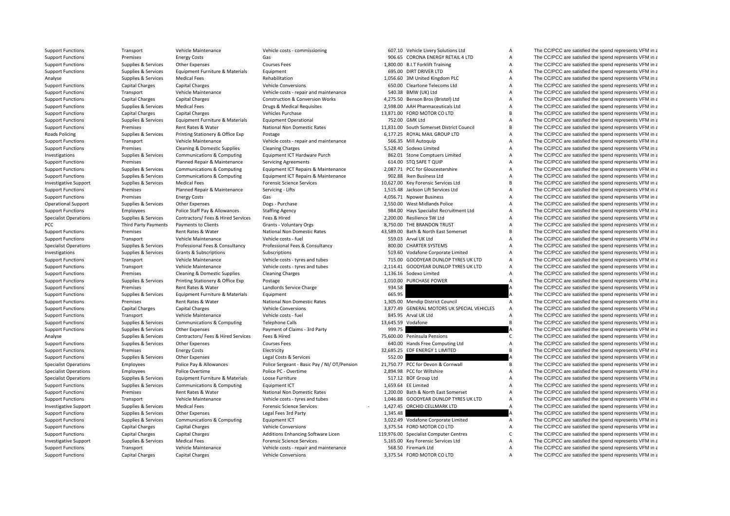| <b>Support Functions</b>     | Transport                                   | Vehicle Maintenance                   | Vehicle costs - commissioning                |          | 607.10 Vehicle Livery Solutions Ltd           | A              | The CC/PCC are satisfied the spend represents VFM in a |
|------------------------------|---------------------------------------------|---------------------------------------|----------------------------------------------|----------|-----------------------------------------------|----------------|--------------------------------------------------------|
| <b>Support Functions</b>     | Premises                                    | <b>Energy Costs</b>                   | Gas                                          |          | 906.65 CORONA ENERGY RETAIL 4 LTD             | А              | The CC/PCC are satisfied the spend represents VFM in a |
| <b>Support Functions</b>     | Supplies & Services                         | Other Expenses                        | Courses Fees                                 |          | 1,800.00 B.I.T Forklift Training              | Α              | The CC/PCC are satisfied the spend represents VFM in a |
| <b>Support Functions</b>     | Supplies & Services                         | Equipment Furniture & Materials       | Equipment                                    |          | 695.00 DIRT DRIVER LTD                        | A              | The CC/PCC are satisfied the spend represents VFM in a |
| Analyse                      | Supplies & Services                         | <b>Medical Fees</b>                   | Rehabilitation                               |          | 1,056.60 3M United Kingdom PLC                | A              | The CC/PCC are satisfied the spend represents VFM in a |
| <b>Support Functions</b>     | <b>Capital Charges</b>                      | <b>Capital Charges</b>                | <b>Vehicle Conversions</b>                   |          | 650.00 Cleartone Telecoms Ltd                 | A              | The CC/PCC are satisfied the spend represents VFM in a |
| <b>Support Functions</b>     | Transport                                   | Vehicle Maintenance                   | Vehicle costs - repair and maintenance       |          | 540.38 BMW (UK) Ltd                           | A              | The CC/PCC are satisfied the spend represents VFM in a |
| <b>Support Functions</b>     | Capital Charges                             | <b>Capital Charges</b>                | <b>Construction &amp; Conversion Works</b>   |          | 4,275.50 Benson Bros (Bristol) Ltd            | Α              | The CC/PCC are satisfied the spend represents VFM in a |
| <b>Support Functions</b>     | Supplies & Services                         | <b>Medical Fees</b>                   | Drugs & Medical Requisites                   |          | 2,598.00 AAH Pharmaceuticals Ltd              | A              | The CC/PCC are satisfied the spend represents VFM in a |
| <b>Support Functions</b>     | Capital Charges                             | <b>Capital Charges</b>                | Vehicles Purchase                            |          | 13,871.00 FORD MOTOR CO LTD                   | B              | The CC/PCC are satisfied the spend represents VFM in a |
| <b>Support Functions</b>     | Supplies & Services                         | Equipment Furniture & Materials       | <b>Equipment Operational</b>                 |          | 752.00 GMK Ltd                                | A              | The CC/PCC are satisfied the spend represents VFM in a |
| <b>Support Functions</b>     | Premises                                    | Rent Rates & Water                    | <b>National Non Domestic Rates</b>           |          | 11,831.00 South Somerset District Council     | B              | The CC/PCC are satisfied the spend represents VFM in a |
| Roads Policing               | Supplies & Services                         | Printing Stationery & Office Exp      | Postage                                      |          | 6.177.25 ROYAL MAIL GROUP LTD                 | A              | The CC/PCC are satisfied the spend represents VFM in a |
| <b>Support Functions</b>     | Transport                                   | Vehicle Maintenance                   | Vehicle costs - repair and maintenance       |          | 566.35 Mill Autoquip                          | A              | The CC/PCC are satisfied the spend represents VFM in a |
| <b>Support Functions</b>     | Premises                                    | Cleaning & Domestic Supplies          | <b>Cleaning Charges</b>                      |          | 5,528.40 Sodexo Limited                       | Α              | The CC/PCC are satisfied the spend represents VFM in a |
| Investigations               | Supplies & Services                         | <b>Communications &amp; Computing</b> | Equipment ICT Hardware Purch                 |          | 862.01 Stone Comptuers Limited                | A              | The CC/PCC are satisfied the spend represents VFM in a |
| <b>Support Functions</b>     | Premises                                    | Planned Repair & Maintenance          | <b>Servicing Agreements</b>                  |          | 614.00 STO SAFE T QUIP                        | A              | The CC/PCC are satisfied the spend represents VFM in a |
| <b>Support Functions</b>     | Supplies & Services                         | Communications & Computing            | Equipment ICT Repairs & Maintenance          |          | 2,087.71 PCC for Gloucestershire              | Α              | The CC/PCC are satisfied the spend represents VFM in a |
| <b>Support Functions</b>     | Supplies & Services                         | Communications & Computing            | Equipment ICT Repairs & Maintenance          |          | 902.88 Iken Business Ltd                      | А              | The CC/PCC are satisfied the spend represents VFM in a |
| <b>Investigative Support</b> | Supplies & Services                         | <b>Medical Fees</b>                   | <b>Forensic Science Services</b>             |          | 10,627.00 Key Forensic Services Ltd           | B              | The CC/PCC are satisfied the spend represents VFM in a |
| <b>Support Functions</b>     | Premises                                    | Planned Repair & Maintenance          | Servicing - Lifts                            |          | 1,515.48 Jackson Lift Services Ltd            | A              | The CC/PCC are satisfied the spend represents VFM in a |
| <b>Support Functions</b>     | Premises                                    | <b>Energy Costs</b>                   | Gas                                          |          | 4,056.71 Npower Business                      | A              | The CC/PCC are satisfied the spend represents VFM in a |
| <b>Operational Support</b>   | Supplies & Services                         | Other Expenses                        | Dogs - Purchase                              |          | 2,550.00 West Midlands Police                 | A              | The CC/PCC are satisfied the spend represents VFM in a |
| <b>Support Functions</b>     | Employees                                   | Police Staff Pay & Allowances         | <b>Staffing Agency</b>                       |          | 984.00 Hays Specialist Recruitment Ltd        | Α              | The CC/PCC are satisfied the spend represents VFM in a |
| <b>Specialist Operations</b> |                                             | Contractors/ Fees & Hired Services    | Fees & Hired                                 |          | 2,200.00 Resilience SW Ltd                    | Α              | The CC/PCC are satisfied the spend represents VFM in a |
| PCC                          | Supplies & Services<br>Third Party Payments |                                       |                                              |          | 8,750.00 THE BRANDON TRUST                    | Α              | The CC/PCC are satisfied the spend represents VFM in a |
|                              |                                             | Payments to Clients                   | Grants - Voluntary Orgs                      |          | 43,589.00 Bath & North East Somerset          | B              | The CC/PCC are satisfied the spend represents VFM in a |
| <b>Support Functions</b>     | Premises                                    | Rent Rates & Water                    | National Non Domestic Rates                  |          |                                               |                |                                                        |
| <b>Support Functions</b>     | Transport                                   | Vehicle Maintenance                   | Vehicle costs - fuel                         |          | 559.03 Arval UK Ltd<br>800.00 CHARTER SYSTEMS | A<br>A         | The CC/PCC are satisfied the spend represents VFM in a |
| <b>Specialist Operations</b> | Supplies & Services                         | Professional Fees & Consultancy       | Professional Fees & Consultancy              |          |                                               |                | The CC/PCC are satisfied the spend represents VFM in a |
| Investigations               | Supplies & Services                         | Grants & Subscriptions                | Subscriptions                                |          | 519.60 Vodafone Corporate Limited             | Α              | The CC/PCC are satisfied the spend represents VFM in a |
| <b>Support Functions</b>     | Transport                                   | Vehicle Maintenance                   | Vehicle costs - tyres and tubes              |          | 715.00 GOODYEAR DUNLOP TYRES UK LTD           | A              | The CC/PCC are satisfied the spend represents VFM in a |
| <b>Support Functions</b>     | Transport                                   | Vehicle Maintenance                   | Vehicle costs - tyres and tubes              |          | 2,114.41 GOODYEAR DUNLOP TYRES UK LTD         | Α              | The CC/PCC are satisfied the spend represents VFM in a |
| <b>Support Functions</b>     | Premises                                    | Cleaning & Domestic Supplies          | <b>Cleaning Charges</b>                      |          | 1,136.16 Sodexo Limited                       | A              | The CC/PCC are satisfied the spend represents VFM in a |
| <b>Support Functions</b>     | Supplies & Services                         | Printing Stationery & Office Exp      | Postage                                      |          | 1,010.00 PURCHASE POWER                       | $\overline{A}$ | The CC/PCC are satisfied the spend represents VFM in a |
| <b>Support Functions</b>     | Premises                                    | Rent Rates & Water                    | Landlords Service Charge                     | 934.58   |                                               |                | The CC/PCC are satisfied the spend represents VFM in a |
| <b>Support Functions</b>     | Supplies & Services                         | Equipment Furniture & Materials       | Equipment                                    | 665.95   |                                               |                | The CC/PCC are satisfied the spend represents VFM in a |
| <b>Support Functions</b>     | Premises                                    | Rent Rates & Water                    | National Non Domestic Rates                  |          | 1,305.00 Mendip District Council              | A              | The CC/PCC are satisfied the spend represents VFM in a |
| <b>Support Functions</b>     | <b>Capital Charges</b>                      | <b>Capital Charges</b>                | <b>Vehicle Conversions</b>                   |          | 3,877.49 GENERAL MOTORS UK SPECIAL VEHICLES   | $\overline{A}$ | The CC/PCC are satisfied the spend represents VFM in a |
| <b>Support Functions</b>     | Transport                                   | Vehicle Maintenance                   | Vehicle costs - fuel                         |          | 845.95 Arval UK Ltd                           | A              | The CC/PCC are satisfied the spend represents VFM in a |
| <b>Support Functions</b>     | Supplies & Services                         | Communications & Computing            | <b>Telephone Calls</b>                       |          | 13,645.59 Vodafone                            | B              | The CC/PCC are satisfied the spend represents VFM in a |
| <b>Support Functions</b>     | Supplies & Services                         | Other Expenses                        | Payment of Claims - 3rd Party                | 999.75   |                                               |                | The CC/PCC are satisfied the spend represents VFM in a |
| Analyse                      | Supplies & Services                         | Contractors/ Fees & Hired Services    | Fees & Hired                                 |          | 75,600.00 Peninsula Pensions                  | C              | The CC/PCC are satisfied the spend represents VFM in a |
| <b>Support Functions</b>     | Supplies & Services                         | Other Expenses                        | <b>Courses Fees</b>                          |          | 640.00 Hands Free Computing Ltd               | A              | The CC/PCC are satisfied the spend represents VFM in a |
| <b>Support Functions</b>     | Premises                                    | <b>Energy Costs</b>                   | Electricity                                  |          | 32,685.25 EDF ENERGY 1 LIMITED                | B              | The CC/PCC are satisfied the spend represents VFM in a |
| <b>Support Functions</b>     | Supplies & Services                         | Other Expenses                        | Legal Costs & Services                       | 552.00   |                                               |                | The CC/PCC are satisfied the spend represents VFM in a |
| <b>Specialist Operations</b> | Employees                                   | Police Pay & Allowances               | Police Sergeant - Basic Pay / NI/ OT/Pension |          | 21.750.77 PCC for Devon & Cornwall            | B              | The CC/PCC are satisfied the spend represents VFM in a |
| <b>Specialist Operations</b> | Employees                                   | Police Overtime                       | Police PC - Overtime                         |          | 2,894.98 PCC for Wiltshire                    | A              | The CC/PCC are satisfied the spend represents VFM in a |
| <b>Specialist Operations</b> | Supplies & Services                         | Equipment Furniture & Materials       | Loose Furniture                              |          | 517.12 BOF Group Ltd                          | A              | The CC/PCC are satisfied the spend represents VFM in a |
| <b>Support Functions</b>     | Supplies & Services                         | <b>Communications &amp; Computing</b> | Equipment ICT                                |          | 1.659.64 EE Limited                           | Α              | The CC/PCC are satisfied the spend represents VFM in a |
| <b>Support Functions</b>     | Premises                                    | Rent Rates & Water                    | National Non Domestic Rates                  |          | 1,200.00 Bath & North East Somerset           | A              | The CC/PCC are satisfied the spend represents VFM in a |
| <b>Support Functions</b>     | Transport                                   | Vehicle Maintenance                   | Vehicle costs - tyres and tubes              |          | 1,046.88 GOODYEAR DUNLOP TYRES UK LTD         | Α              | The CC/PCC are satisfied the spend represents VFM in a |
| Investigative Support        | Supplies & Services                         | <b>Medical Fees</b>                   | <b>Forensic Science Services</b>             |          | 1,427.45 ORCHID CELLMARK LTD                  | A              | The CC/PCC are satisfied the spend represents VFM in a |
| <b>Support Functions</b>     | Supplies & Services                         | Other Expenses                        | Legal Fees 3rd Party                         | 1,345.48 |                                               |                | The CC/PCC are satisfied the spend represents VFM in a |
| <b>Support Functions</b>     | Supplies & Services                         | <b>Communications &amp; Computing</b> | Equipment ICT                                |          | 3,022.49 Vodafone Corporate Limited           | Α              | The CC/PCC are satisfied the spend represents VFM in a |
| <b>Support Functions</b>     | Capital Charges                             | <b>Capital Charges</b>                | <b>Vehicle Conversions</b>                   |          | 3,375.54 FORD MOTOR CO LTD                    | Α              | The CC/PCC are satisfied the spend represents VFM in a |
| <b>Support Functions</b>     | <b>Capital Charges</b>                      | <b>Capital Charges</b>                | Additions Enhancing Software Licen           |          | 119,976.00 Specialist Computer Centres        | $\mathsf{C}$   | The CC/PCC are satisfied the spend represents VFM in a |
| <b>Investigative Support</b> | Supplies & Services                         | <b>Medical Fees</b>                   | <b>Forensic Science Services</b>             |          | 5,165.00 Key Forensic Services Ltd            | Α              | The CC/PCC are satisfied the spend represents VFM in a |
| <b>Support Functions</b>     | Transport                                   | Vehicle Maintenance                   | Vehicle costs - repair and maintenance       |          | 568.50 Firemark Ltd                           | A              | The CC/PCC are satisfied the spend represents VFM in a |
|                              |                                             |                                       |                                              |          |                                               |                |                                                        |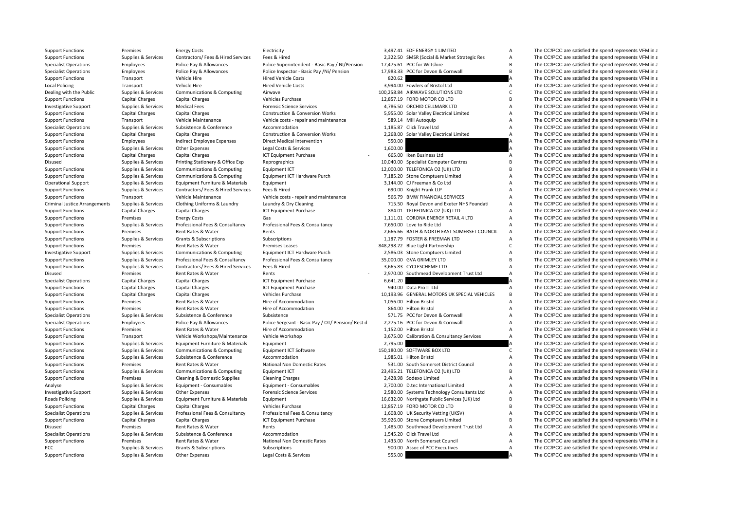| <b>Support Functions</b>             | Premises               | <b>Energy Costs</b>                   | Electricity                                       |          | 3,497.41 EDF ENERGY 1 LIMITED                | $\overline{A}$ | The CC/PCC are satisfied the spend represents VFM in a |
|--------------------------------------|------------------------|---------------------------------------|---------------------------------------------------|----------|----------------------------------------------|----------------|--------------------------------------------------------|
| <b>Support Functions</b>             | Supplies & Services    | Contractors/ Fees & Hired Services    | Fees & Hired                                      |          | 2,322.50 SMSR (Social & Market Strategic Res | Α              | The CC/PCC are satisfied the spend represents VFM in a |
| <b>Specialist Operations</b>         | Employees              | Police Pay & Allowances               | Police Superintendent - Basic Pay / NI/Pension    |          | 17,475.61 PCC for Wiltshire                  | R              | The CC/PCC are satisfied the spend represents VFM in a |
| <b>Specialist Operations</b>         | Employees              | Police Pay & Allowances               | Police Inspector - Basic Pay /Ni/ Pension         |          | 17,983.33 PCC for Devon & Cornwall           | B              | The CC/PCC are satisfied the spend represents VFM in a |
| <b>Support Functions</b>             | Transport              | Vehicle Hire                          | <b>Hired Vehicle Costs</b>                        | 820.62   |                                              |                | The CC/PCC are satisfied the spend represents VFM in a |
| <b>Local Policing</b>                | Transport              | Vehicle Hire                          | <b>Hired Vehicle Costs</b>                        |          | 3,994.00 Fowlers of Bristol Ltd              | Α              | The CC/PCC are satisfied the spend represents VFM in a |
| Dealing with the Public              | Supplies & Services    | Communications & Computing            | Airwave                                           |          | 100,258.84 AIRWAVE SOLUTIONS LTD             | $\mathsf{C}$   | The CC/PCC are satisfied the spend represents VFM in a |
| <b>Support Functions</b>             | Capital Charges        | <b>Capital Charges</b>                | Vehicles Purchase                                 |          | 12,857.19 FORD MOTOR CO LTD                  | B              | The CC/PCC are satisfied the spend represents VFM in a |
| <b>Investigative Support</b>         | Supplies & Services    | <b>Medical Fees</b>                   | <b>Forensic Science Services</b>                  |          | 4,786.50 ORCHID CELLMARK LTD                 | A              | The CC/PCC are satisfied the spend represents VFM in a |
| <b>Support Functions</b>             | Capital Charges        | <b>Capital Charges</b>                | <b>Construction &amp; Conversion Works</b>        |          | 5,955.00 Solar Valley Electrical Limited     | A              | The CC/PCC are satisfied the spend represents VFM in a |
| <b>Support Functions</b>             | Transport              | Vehicle Maintenance                   | Vehicle costs - repair and maintenance            |          | 589.14 Mill Autoquip                         | A              | The CC/PCC are satisfied the spend represents VFM in a |
| <b>Specialist Operations</b>         | Supplies & Services    | Subsistence & Conference              | Accommodation                                     |          | 1,185.87 Click Travel Ltd                    | A              | The CC/PCC are satisfied the spend represents VFM in a |
| <b>Support Functions</b>             | <b>Capital Charges</b> | <b>Capital Charges</b>                | <b>Construction &amp; Conversion Works</b>        |          | 2,268.00 Solar Valley Electrical Limited     | $\overline{A}$ | The CC/PCC are satisfied the spend represents VFM in a |
| <b>Support Functions</b>             | Employees              | Indirect Employee Expenses            | Direct Medical Intervention                       | 550.00   |                                              |                | The CC/PCC are satisfied the spend represents VFM in a |
| <b>Support Functions</b>             | Supplies & Services    | Other Expenses                        | Legal Costs & Services                            | 1,600.00 |                                              |                | The CC/PCC are satisfied the spend represents VFM in a |
| <b>Support Functions</b>             | <b>Capital Charges</b> | <b>Capital Charges</b>                | ICT Equipment Purchase                            |          | 665.00 Iken Business Ltd                     | A              | The CC/PCC are satisfied the spend represents VFM in a |
| Disused                              | Supplies & Services    | Printing Stationery & Office Exp      | Reprographics                                     |          | 10,040.00 Specialist Computer Centres        | B              | The CC/PCC are satisfied the spend represents VFM in a |
| <b>Support Functions</b>             | Supplies & Services    | Communications & Computing            | Equipment ICT                                     |          | 12,000.00 TELEFONICA O2 (UK) LTD             | B              | The CC/PCC are satisfied the spend represents VFM in a |
| <b>Support Functions</b>             | Supplies & Services    | <b>Communications &amp; Computing</b> | Equipment ICT Hardware Purch                      |          | 7,185.20 Stone Comptuers Limited             | A              | The CC/PCC are satisfied the spend represents VFM in a |
| <b>Operational Support</b>           | Supplies & Services    | Equipment Furniture & Materials       | Equipment                                         |          | 3,144.00 CJ Freeman & Co Ltd                 | $\overline{A}$ | The CC/PCC are satisfied the spend represents VFM in a |
| <b>Support Functions</b>             |                        | Contractors/ Fees & Hired Services    | Fees & Hired                                      |          | 690.00 Knight Frank LLP                      | A              | The CC/PCC are satisfied the spend represents VFM in a |
|                                      | Supplies & Services    | Vehicle Maintenance                   | Vehicle costs - repair and maintenance            |          | 566.79 BMW FINANCIAL SERVICES                | Α              | The CC/PCC are satisfied the spend represents VFM in a |
| <b>Support Functions</b>             | Transport              |                                       |                                                   |          |                                              |                |                                                        |
| <b>Criminal Justice Arrangements</b> | Supplies & Services    | Clothing Uniforms & Laundry           | Laundry & Dry Cleaning                            |          | 715.50 Royal Devon and Exeter NHS Foundati   | Α              | The CC/PCC are satisfied the spend represents VFM in a |
| <b>Support Functions</b>             | Capital Charges        | <b>Capital Charges</b>                | ICT Equipment Purchase                            |          | 884.01 TELEFONICA O2 (UK) LTD                | Α              | The CC/PCC are satisfied the spend represents VFM in a |
| <b>Support Functions</b>             | Premises               | <b>Energy Costs</b>                   | Gas                                               |          | 1,111.01 CORONA ENERGY RETAIL 4 LTD          | A              | The CC/PCC are satisfied the spend represents VFM in a |
| <b>Support Functions</b>             | Supplies & Services    | Professional Fees & Consultancy       | Professional Fees & Consultancy                   |          | 7,650.00 Love to Ride Ltd                    | A              | The CC/PCC are satisfied the spend represents VFM in a |
| <b>Support Functions</b>             | Premises               | Rent Rates & Water                    | Rents                                             |          | 2.666.66 BATH & NORTH EAST SOMERSET COUNCIL  | $\overline{A}$ | The CC/PCC are satisfied the spend represents VFM in a |
| <b>Support Functions</b>             | Supplies & Services    | Grants & Subscriptions                | Subscriptions                                     |          | 1.187.79 FOSTER & FREEMAN LTD                | A<br>C         | The CC/PCC are satisfied the spend represents VFM in a |
| <b>Support Functions</b>             | Premises               | Rent Rates & Water                    | <b>Premises Leases</b>                            |          | 848,298.22 Blue Light Partnership            |                | The CC/PCC are satisfied the spend represents VFM in a |
| <b>Investigative Support</b>         | Supplies & Services    | Communications & Computing            | Equipment ICT Hardware Purch                      |          | 2,586.03 Stone Comptuers Limited             | A              | The CC/PCC are satisfied the spend represents VFM in a |
| <b>Support Functions</b>             | Supplies & Services    | Professional Fees & Consultancy       | Professional Fees & Consultancy                   |          | 35,000.00 GVA GRIMLEY LTD                    | B <sub>1</sub> | The CC/PCC are satisfied the spend represents VFM in a |
| <b>Support Functions</b>             | Supplies & Services    | Contractors/ Fees & Hired Services    | Fees & Hired                                      |          | 3,665.83 CYCLESCHEME LTD                     | $\overline{A}$ | The CC/PCC are satisfied the spend represents VFM in a |
| Disused                              | Premises               | Rent Rates & Water                    | Rents                                             |          | 2,970.00 Southmead Development Trust Ltd     | $\overline{A}$ | The CC/PCC are satisfied the spend represents VFM in a |
| <b>Specialist Operations</b>         | <b>Capital Charges</b> | <b>Capital Charges</b>                | ICT Equipment Purchase                            | 6,641.20 |                                              |                | The CC/PCC are satisfied the spend represents VFM in a |
| <b>Support Functions</b>             | <b>Capital Charges</b> | <b>Capital Charges</b>                | ICT Equipment Purchase                            |          | 940.00 Data Pro IT Ltd                       | Α              | The CC/PCC are satisfied the spend represents VFM in a |
| <b>Support Functions</b>             | <b>Capital Charges</b> | <b>Capital Charges</b>                | Vehicles Purchase                                 |          | 10,193.96 GENERAL MOTORS UK SPECIAL VEHICLES | R <sub>1</sub> | The CC/PCC are satisfied the spend represents VFM in a |
| <b>Support Functions</b>             | Premises               | Rent Rates & Water                    | Hire of Accommodation                             |          | 1.056.00 Hilton Bristol                      | A              | The CC/PCC are satisfied the spend represents VFM in a |
| <b>Support Functions</b>             | Premises               | Rent Rates & Water                    | Hire of Accommodation                             |          | 864.00 Hilton Bristol                        | A              | The CC/PCC are satisfied the spend represents VFM in a |
| <b>Specialist Operations</b>         | Supplies & Services    | Subsistence & Conference              | Subsistence                                       |          | 571.75 PCC for Devon & Cornwall              | Α              | The CC/PCC are satisfied the spend represents VFM in a |
| <b>Specialist Operations</b>         | Employees              | Police Pay & Allowances               | Police Sergeant - Basic Pay / OT/ Pension/ Rest d |          | 2,275.16 PCC for Devon & Cornwall            | A              | The CC/PCC are satisfied the spend represents VFM in a |
| <b>Support Functions</b>             | Premises               | Rent Rates & Water                    | Hire of Accommodation                             |          | 1.152.00 Hilton Bristol                      | A              | The CC/PCC are satisfied the spend represents VFM in a |
| <b>Support Functions</b>             | Transport              | Vehicle Workshops/Maintenance         | Vehicle Workshop                                  |          | 3,675.00 Calibration & Consultancy Services  | A              | The CC/PCC are satisfied the spend represents VFM in a |
| <b>Support Functions</b>             | Supplies & Services    | Equipment Furniture & Materials       | Equipment                                         | 2.795.00 |                                              |                | The CC/PCC are satisfied the spend represents VFM in a |
| <b>Support Functions</b>             | Supplies & Services    | <b>Communications &amp; Computing</b> | <b>Equipment ICT Software</b>                     |          | 150,180.00 SOFTWARE BOX LTD                  | C              | The CC/PCC are satisfied the spend represents VFM in a |
| <b>Support Functions</b>             | Supplies & Services    | Subsistence & Conference              | Accommodation                                     |          | 1,985.01 Hilton Bristol                      | Α              | The CC/PCC are satisfied the spend represents VFM in a |
| <b>Support Functions</b>             | Premises               | Rent Rates & Water                    | National Non Domestic Rates                       |          | 531.00 South Somerset District Council       | A              | The CC/PCC are satisfied the spend represents VFM in a |
| <b>Support Functions</b>             | Supplies & Services    | Communications & Computing            | Equipment ICT                                     |          | 23,495.21 TELEFONICA O2 (UK) LTD             | B              | The CC/PCC are satisfied the spend represents VFM in a |
| <b>Support Functions</b>             | Premises               | Cleaning & Domestic Supplies          | <b>Cleaning Charges</b>                           |          | 2,428.98 Sodexo Limited                      | A              | The CC/PCC are satisfied the spend represents VFM in a |
| Analyse                              | Supplies & Services    | Equipment - Consumables               | Equipment - Consumables                           |          | 2,700.00 D.tec International Limited         | Α              | The CC/PCC are satisfied the spend represents VFM in a |
| Investigative Support                | Supplies & Services    | Other Expenses                        | <b>Forensic Science Services</b>                  |          | 2,580.00 Systems Technology Consultants Ltd  | Α              | The CC/PCC are satisfied the spend represents VFM in a |
| <b>Roads Policing</b>                | Supplies & Services    | Equipment Furniture & Materials       | Equipment                                         |          | 16,632.00 Northgate Public Services (UK) Ltd | B              | The CC/PCC are satisfied the spend represents VFM in a |
| <b>Support Functions</b>             | <b>Capital Charges</b> | <b>Capital Charges</b>                | Vehicles Purchase                                 |          | 12,857.19 FORD MOTOR CO LTD                  | R              | The CC/PCC are satisfied the spend represents VFM in a |
| <b>Specialist Operations</b>         | Supplies & Services    | Professional Fees & Consultancy       | Professional Fees & Consultancy                   |          | 1,608.00 UK Security Vetting (UKSV)          | Α              | The CC/PCC are satisfied the spend represents VFM in a |
| <b>Support Functions</b>             | Capital Charges        | <b>Capital Charges</b>                | ICT Equipment Purchase                            |          | 35,926.00 Stone Comptuers Limited            | B              | The CC/PCC are satisfied the spend represents VFM in a |
| Disused                              | Premises               | Rent Rates & Water                    | Rents                                             |          | 1,485.00 Southmead Development Trust Ltd     | Α              | The CC/PCC are satisfied the spend represents VFM in a |
| <b>Specialist Operations</b>         | Supplies & Services    | Subsistence & Conference              | Accommodation                                     |          | 1,545.20 Click Travel Ltd                    | Α              | The CC/PCC are satisfied the spend represents VFM in a |
| <b>Support Functions</b>             | Premises               | Rent Rates & Water                    | <b>National Non Domestic Rates</b>                |          | 1,433.00 North Somerset Council              | A              | The CC/PCC are satisfied the spend represents VFM in a |
| PCC                                  | Supplies & Services    | Grants & Subscriptions                | Subscriptions                                     |          | 900.00 Assoc of PCC Executives               | A              | The CC/PCC are satisfied the spend represents VFM in a |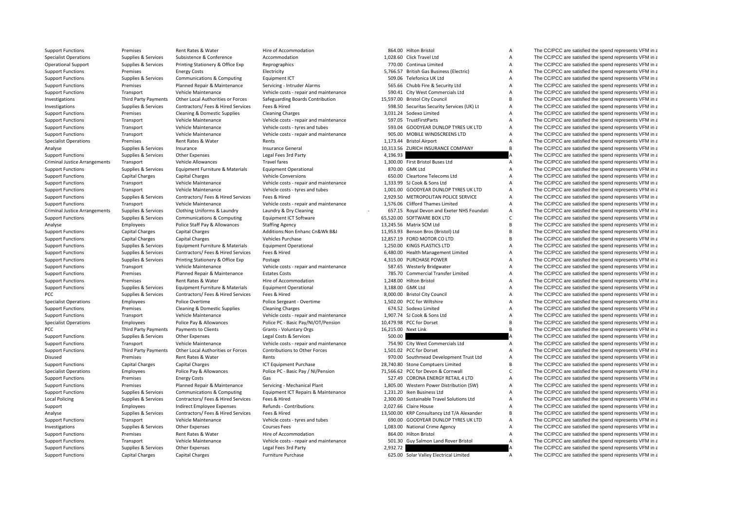| <b>Support Functions</b>             | Premises                         | Rent Rates & Water                         | Hire of Accommodation                           |          | 864.00 Hilton Bristol                       | Α              | The CC/PCC are satisfied the spend represents VFM in a |
|--------------------------------------|----------------------------------|--------------------------------------------|-------------------------------------------------|----------|---------------------------------------------|----------------|--------------------------------------------------------|
| <b>Specialist Operations</b>         | Supplies & Services              | Subsistence & Conference                   | Accommodation                                   |          | 1,028.60 Click Travel Ltd                   | Α              | The CC/PCC are satisfied the spend represents VFM in a |
| <b>Operational Support</b>           | Supplies & Services              | Printing Stationery & Office Exp           | Reprographics                                   |          | 770.00 Continua Limited                     | A              | The CC/PCC are satisfied the spend represents VFM in a |
| <b>Support Functions</b>             | Premises                         | <b>Energy Costs</b>                        | Electricity                                     |          | 5,766.57 British Gas Business (Electric)    | A              | The CC/PCC are satisfied the spend represents VFM in a |
| <b>Support Functions</b>             | Supplies & Services              | Communications & Computing                 | Equipment ICT                                   |          | 509.06 Telefonica UK Ltd                    | A              | The CC/PCC are satisfied the spend represents VFM in a |
| <b>Support Functions</b>             | Premises                         | Planned Repair & Maintenance               | Servicing - Intruder Alarms                     |          | 565.66 Chubb Fire & Security Ltd            | Α              | The CC/PCC are satisfied the spend represents VFM in a |
| <b>Support Functions</b>             | Transport                        | Vehicle Maintenance                        | Vehicle costs - repair and maintenance          |          | 590.41 City West Commercials Ltd            | A              | The CC/PCC are satisfied the spend represents VFM in a |
| Investigations                       | <b>Third Party Payments</b>      | Other Local Authorities or Forces          | Safeguarding Boards Contribution                |          | 15,597.00 Bristol City Council              | B <sub>1</sub> | The CC/PCC are satisfied the spend represents VFM in a |
| Investigations                       | Supplies & Services              | Contractors/ Fees & Hired Services         | Fees & Hired                                    |          | 598.50 Securitas Security Services (UK) Lt  | A              | The CC/PCC are satisfied the spend represents VFM in a |
| <b>Support Functions</b>             | Premises                         | Cleaning & Domestic Supplies               | <b>Cleaning Charges</b>                         |          | 3,031.24 Sodexo Limited                     | A              | The CC/PCC are satisfied the spend represents VFM in a |
| <b>Support Functions</b>             | Transport                        | Vehicle Maintenance                        | Vehicle costs - repair and maintenance          |          | 597.05 TrustFirstParts                      | A              | The CC/PCC are satisfied the spend represents VFM in a |
| <b>Support Functions</b>             | Transport                        | Vehicle Maintenance                        | Vehicle costs - tyres and tubes                 |          | 593.04 GOODYEAR DUNLOP TYRES UK LTD         | Α              | The CC/PCC are satisfied the spend represents VFM in a |
| <b>Support Functions</b>             | Transport                        | Vehicle Maintenance                        | Vehicle costs - repair and maintenance          |          | 905.00 MOBILE WINDSCREENS LTD               | Α              | The CC/PCC are satisfied the spend represents VFM in a |
| <b>Specialist Operations</b>         | Premises                         | Rent Rates & Water                         | Rents                                           |          | 1,173.44 Bristol Airport                    | А              | The CC/PCC are satisfied the spend represents VFM in a |
| Analyse                              | Supplies & Services              | Insurance                                  | <b>Insurance General</b>                        |          | 10,313.56 ZURICH INSURANCE COMPANY          | R <sub>1</sub> | The CC/PCC are satisfied the spend represents VFM in a |
| <b>Support Functions</b>             | Supplies & Services              | Other Expenses                             | Legal Fees 3rd Party                            | 4,196.93 |                                             |                | The CC/PCC are satisfied the spend represents VFM in a |
| <b>Criminal Justice Arrangements</b> | Transport                        | Vehicle Allowances                         | <b>Travel fares</b>                             |          | 1,300.00 First Bristol Buses Ltd            | $\overline{A}$ | The CC/PCC are satisfied the spend represents VFM in a |
| <b>Support Functions</b>             | Supplies & Services              | Equipment Furniture & Materials            | <b>Equipment Operational</b>                    |          | 870.00 GMK Ltd                              | A              | The CC/PCC are satisfied the spend represents VFM in a |
| <b>Support Functions</b>             | <b>Capital Charges</b>           | Capital Charges                            | <b>Vehicle Conversions</b>                      |          | 650.00 Cleartone Telecoms Ltd               | A              | The CC/PCC are satisfied the spend represents VFM in a |
| <b>Support Functions</b>             | Transport                        | Vehicle Maintenance                        | Vehicle costs - repair and maintenance          |          | 1.333.99 SJ Cook & Sons Ltd                 | A              | The CC/PCC are satisfied the spend represents VFM in a |
|                                      |                                  | Vehicle Maintenance                        |                                                 |          | 1,001.00 GOODYEAR DUNLOP TYRES UK LTD       | Α              | The CC/PCC are satisfied the spend represents VFM in a |
| <b>Support Functions</b>             | Transport<br>Supplies & Services | Contractors/ Fees & Hired Services         | Vehicle costs - tyres and tubes<br>Fees & Hired |          | 2,929.50 METROPOLITAN POLICE SERVICE        | A              | The CC/PCC are satisfied the spend represents VFM in a |
| <b>Support Functions</b>             |                                  |                                            |                                                 |          | 1,576.06 Clifford Thames Limited            | A              |                                                        |
| <b>Support Functions</b>             | Transport                        | Vehicle Maintenance                        | Vehicle costs - repair and maintenance          |          |                                             |                | The CC/PCC are satisfied the spend represents VFM in a |
| <b>Criminal Justice Arrangements</b> | Supplies & Services              | Clothing Uniforms & Laundry                | Laundry & Dry Cleaning                          |          | 657.15 Royal Devon and Exeter NHS Foundati  | A<br>Ċ         | The CC/PCC are satisfied the spend represents VFM in a |
| <b>Support Functions</b>             | Supplies & Services              | Communications & Computing                 | Equipment ICT Software                          |          | 65,520.00 SOFTWARE BOX LTD                  |                | The CC/PCC are satisfied the spend represents VFM in a |
| Analyse                              | Employees                        | Police Staff Pay & Allowances              | <b>Staffing Agency</b>                          |          | 13,245.56 Matrix SCM Ltd                    | B <sub>1</sub> | The CC/PCC are satisfied the spend represents VFM in a |
| <b>Support Functions</b>             | <b>Capital Charges</b>           | <b>Capital Charges</b>                     | Additions: Non Enhanc Cn&Wk B&I                 |          | 11,953.93 Benson Bros (Bristol) Ltd         | B <sub>1</sub> | The CC/PCC are satisfied the spend represents VFM in a |
| <b>Support Functions</b>             | <b>Capital Charges</b>           | <b>Capital Charges</b>                     | Vehicles Purchase                               |          | 12,857.19 FORD MOTOR CO LTD                 | B <sub>1</sub> | The CC/PCC are satisfied the spend represents VFM in a |
| <b>Support Functions</b>             | Supplies & Services              | Equipment Furniture & Materials            | <b>Equipment Operational</b>                    |          | 1,250.00 KINGS PLASTICS LTD                 | Α              | The CC/PCC are satisfied the spend represents VFM in a |
| <b>Support Functions</b>             | Supplies & Services              | Contractors/ Fees & Hired Services         | Fees & Hired                                    |          | 6,480.00 Health Management Limited          | А              | The CC/PCC are satisfied the spend represents VFM in a |
| <b>Support Functions</b>             | Supplies & Services              | Printing Stationery & Office Exp           | Postage                                         |          | 4,315.00 PURCHASE POWER                     | A              | The CC/PCC are satisfied the spend represents VFM in a |
| <b>Support Functions</b>             | Transport                        | Vehicle Maintenance                        | Vehicle costs - repair and maintenance          |          | 587.65 Westerly Bridgwater                  | $\overline{A}$ | The CC/PCC are satisfied the spend represents VFM in a |
| <b>Support Functions</b>             | Premises                         | Planned Repair & Maintenance               | <b>Estates Costs</b>                            |          | 785.70 Commercial Transfer Limited          | A              | The CC/PCC are satisfied the spend represents VFM in a |
| <b>Support Functions</b>             | Premises                         | Rent Rates & Water                         | Hire of Accommodation                           |          | 1.248.00 Hilton Bristol                     | A              | The CC/PCC are satisfied the spend represents VFM in a |
| <b>Support Functions</b>             | Supplies & Services              | <b>Equipment Furniture &amp; Materials</b> | <b>Equipment Operational</b>                    |          | 3,188.00 GMK Ltd                            | A              | The CC/PCC are satisfied the spend represents VFM in a |
| PCC                                  | Supplies & Services              | Contractors/ Fees & Hired Services         | Fees & Hired                                    |          | 8,000.00 Bristol City Council               | Α              | The CC/PCC are satisfied the spend represents VFM in a |
| <b>Specialist Operations</b>         | Employees                        | Police Overtime                            | Police Sergeant - Overtime                      |          | 1,502.00 PCC for Wiltshire                  | Α              | The CC/PCC are satisfied the spend represents VFM in a |
| <b>Support Functions</b>             | Premises                         | Cleaning & Domestic Supplies               | <b>Cleaning Charges</b>                         |          | 674.52 Sodexo Limited                       | A              | The CC/PCC are satisfied the spend represents VFM in a |
| <b>Support Functions</b>             | Transport                        | Vehicle Maintenance                        | Vehicle costs - repair and maintenance          |          | 1,907.74 SJ Cook & Sons Ltd                 | A              | The CC/PCC are satisfied the spend represents VFM in a |
| <b>Specialist Operations</b>         | Employees                        | Police Pay & Allowances                    | Police PC - Basic Pay/NI/OT/Pension             |          | 10,479.98 PCC for Dorset                    | B              | The CC/PCC are satisfied the spend represents VFM in a |
| PCC                                  | <b>Third Party Payments</b>      | Payments to Clients                        | Grants - Voluntary Orgs                         |          | 16,215.00 Next Link                         | B              | The CC/PCC are satisfied the spend represents VFM in a |
| <b>Support Functions</b>             | Supplies & Services              | <b>Other Expenses</b>                      | Legal Costs & Services                          | 500.00   |                                             |                | The CC/PCC are satisfied the spend represents VFM in a |
| <b>Support Functions</b>             | Transport                        | Vehicle Maintenance                        | Vehicle costs - repair and maintenance          |          | 754.90 City West Commercials Ltd            | A              | The CC/PCC are satisfied the spend represents VFM in a |
| <b>Support Functions</b>             | <b>Third Party Payments</b>      | Other Local Authorities or Forces          | <b>Contributions to Other Forces</b>            |          | 1,501.02 PCC for Dorset                     | Α              | The CC/PCC are satisfied the spend represents VFM in a |
| Disused                              | Premises                         | Rent Rates & Water                         | Rents                                           |          | 970.00 Southmead Development Trust Ltd      | А              | The CC/PCC are satisfied the spend represents VFM in a |
| <b>Support Functions</b>             | <b>Capital Charges</b>           | <b>Capital Charges</b>                     | ICT Equipment Purchase                          |          | 28,740.80 Stone Comptuers Limited           | B              | The CC/PCC are satisfied the spend represents VFM in a |
| <b>Specialist Operations</b>         | Employees                        | Police Pay & Allowances                    | Police PC - Basic Pay / NI/Pension              |          | 71,566.62 PCC for Devon & Cornwall          | $\mathsf{C}$   | The CC/PCC are satisfied the spend represents VFM in a |
| <b>Support Functions</b>             | Premises                         | <b>Energy Costs</b>                        | Gas                                             |          | 527.49 CORONA ENERGY RETAIL 4 LTD           | A              | The CC/PCC are satisfied the spend represents VFM in a |
| <b>Support Functions</b>             | Premises                         | Planned Repair & Maintenance               | Servicing - Mechanical Plant                    |          | 1,805.00 Western Power Distribution (SW)    | Α              | The CC/PCC are satisfied the spend represents VFM in a |
| <b>Support Functions</b>             | Supplies & Services              | <b>Communications &amp; Computing</b>      | Equipment ICT Repairs & Maintenance             |          | 1.231.20 Iken Business Ltd                  | A              | The CC/PCC are satisfied the spend represents VFM in a |
| <b>Local Policing</b>                | Supplies & Services              | Contractors/ Fees & Hired Services         | Fees & Hired                                    |          | 2.300.00 Sustainable Travel Solutions Ltd   | A              | The CC/PCC are satisfied the spend represents VFM in a |
| Support                              | Employees                        | Indirect Employee Expenses                 | <b>Refunds - Contributions</b>                  |          | 2.027.66 Claire House                       | Α              | The CC/PCC are satisfied the spend represents VFM in a |
| Analyse                              | Supplies & Services              | Contractors/ Fees & Hired Services         | Fees & Hired                                    |          | 13,500.00 KRP Consultancy Ltd T/A Alexander | В              | The CC/PCC are satisfied the spend represents VFM in a |
| <b>Support Functions</b>             | Transport                        | Vehicle Maintenance                        | Vehicle costs - tyres and tubes                 |          | 690.00 GOODYEAR DUNLOP TYRES UK LTD         | Α              | The CC/PCC are satisfied the spend represents VFM in a |
| Investigations                       | Supplies & Services              | Other Expenses                             | <b>Courses Fees</b>                             |          | 1,083.00 National Crime Agency              | A              | The CC/PCC are satisfied the spend represents VFM in a |
| <b>Support Functions</b>             | Premises                         | Rent Rates & Water                         | Hire of Accommodation                           |          | 864.00 Hilton Bristol                       | A              | The CC/PCC are satisfied the spend represents VFM in a |
| <b>Support Functions</b>             | Transport                        | Vehicle Maintenance                        | Vehicle costs - repair and maintenance          |          | 501.30 Guy Salmon Land Rover Bristol        | $\overline{A}$ | The CC/PCC are satisfied the spend represents VFM in a |
|                                      |                                  |                                            |                                                 |          |                                             |                | The CC/PCC are satisfied the spend represents VFM in a |
| <b>Support Functions</b>             | Supplies & Services              | Other Expenses                             | Legal Fees 3rd Party                            | 2,932.72 |                                             |                |                                                        |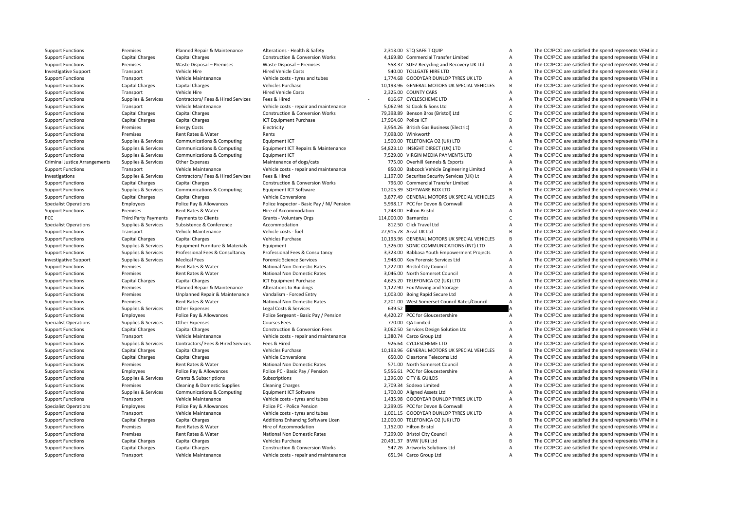Criminal JusticePCC Third Party Payments

Support Functions Premises Planned Repair & Maintenance Alterations - Health & Safety 2,313.00 STQ SAFE T QUIP A The CC/PCC are satisfied the spend represents VFM in a

Support Functions Capital Charges Capital Charges Construction & Conversion Works 4,169.80 Commercial Transfer Limited A The CC/PCC are satisfied the spend represents VFM in a Support Functions Premises Waste Disposal – Premises Waste Disposal – Premises Premises Premises SS8.37 SUEZ Recycling and Recovery UK Ltd A The CC/PCC are satisfied the spend represents VFM in a Investigative Support Transport Vehicle Hire Vehicle Hire Hired Vehicle Costs 540.00 TOLLGATE HIRE LTD A The CC/PCC are satisfied the spend represents VFM in a The CC/PCC are satisfied the spend represents VFM in a The CC/ Support Functions Transport Vehicle Maintenance Vehicle costs - tyres and tubes 1,774.68 GOODYEAR DUNLOP TYRES UK LTD A The CC/PCC are satisfied the spend represents VFM in a Support Functions Capital Charges Capital Charges Vehicles Purchase Vehicles Purchase 10,193.96 GENERAL MOTORS UK SPECIAL VEHICLES B The CC/PCC are satisfied the spend represents VFM in a Support Functions Transport Vehicle Hire Wehicle Hire Hired Vehicle Costs 2,325.00 COUNTY CARS A The CC/PCC are satisfied the spend represents VFM in a Support Functions Supplies & Services Contractors/ Fees & Hired Services Fees & Hired Services Fees & Hired Services Fees & Hired Services Fees & Hired Services Fees & Hired Services Fees & Hired Services Fees & Hired Serv Support Functions Transport Vehicle Maintenance Vehicle costs ‐ repair and maintenance 5,062.94 SJ Cook & Sons Ltd A The CC/PCC are satisfied the spend represents VFM in a Support Functions Capital Charges Capital Charges Construction & Conversion Works 79,398.89 Benson Bros (Bristol) Ltd C The CC/PCC are satisfied the spend represents VFM in a Support Functions Capital Charges Capital Charges Capital Charges ICT Equipment Purchase 17,904.60 Police ICT B The CC/PCC are satisfied the spend represents VFM in a Support Functions Premises Energy Costs Electricity Electricity and the Support Electricity 3,954.26 British Gas Business (Electricity A The CC/PCC are satisfied the spend represents VFM in a Support Functions Premises Rent Rates & Water Rents 7,098.00 Winkworth A The CC/PCC are satisfied the spend represents VFM in a Support Functions Supplies & Services Communications & Computing Faultoment ICT 1,500.00 TELEFONICA O2 (UK) LTD A The CC/PCC are satisfied the spend represents VFM in a Support Functions Supplies & Services Communications & Computing Equipment ICT Repairs & Maintenance 54,823.10 INSIGHT DIRECT (UK) LTD C The CC/PCC are satisfied the spend represents VFM in a Support Functions Supplies & Services Communications & Computing Equipment ICT 7,529.00 VIRGIN MEDIA PAYMENTS LTD A The CC/PCC are satisfied the spend represents VFM in a Arrangements Supplies & Services Other Expenses Maintenance of dogs/cats 775.00 Overhill Kennels & Exports A The CC/PCC are satisfied the spend represents VFM in a Support Functions Transport Vehicle Maintenance Vehicle costs - repair and maintenance 850.00 Babcock Vehicle Engineering Limited A The CC/PCC are satisfied the spend represents VFM in a Investigations Supplies & Services Contractors/ Fees & Hired Services Fees & Hired 1,197.00 Securitas Security Services (UK) Lt A The CC/PCC are satisfied the spend represents VFM in a Support Functions Capital Charges Capital Charges Construction & Conversion Works 796.00 Commercial Transfer Limited A The CC/PCC are satisfied the spend represents VFM in a Support Functions Supplies & Services Communications & Computing Equipment ICT Software 10,205.39 SOFTWARE BOX LTD B The CC/PCC are satisfied the spend represents VFM in a Support Functions Capital Charges Capital Charges Vehicle Conversions Vehicle Conversions 3,877.49 GENERAL MOTORS UK SPECIAL VEHICLES A The CC/PCC are satisfied the spend represents VFM in a Specialist Operations Employees Police Pay & Allowances Police Inspector - Basic Pay / NI/ Pension 5,998.17 PCC for Devon & Cornwall A The CC/PCC are satisfied the spend represents VFM in a Superation of the spend represen Support Functions Premises Rent Rates & Water Hire of Accommodation Hire of Accommodation 1,248.00 Hilton Bristol A The CC/PCC are satisfied the spend represents VFM in a Payments to Clients Grants - Voluntary Orgs Crants Communication C The CC/PCC are satisfied the spend represents VFM in a Specialist Operations Supplies & Services Subsistence & Conference Accommodation Accommodation 812.50 Click Travel Ltd A The CC/PCC are satisfied the spend represents VFM in a Support Functions Transport Vehicle Maintenance Vehicle costs - fuel 27,915.78 Arval UK Ltd B The CC/PCC are satisfied the spend represents VFM in a Support Functions Capital Charges Capital Charges Vehicles Purchase Vehicles Purchase 10,193.96 GENERAL MOTORS UK SPECIAL VEHICLES B The CC/PCC are satisfied the spend represents VFM in a Support Functions Supplies & Services Equipment Furniture & Materials Equipment 1,326.00 SONIC COMMUNICATIONS (INT) LTD A The CC/PCC are satisfied the spend represents VFM in a Support Functions Supplies & Services Professional Fees & Consultancy Professional Fees & Consultancy 3,323.00 Babbasa Youth Empowerment Projects A The CC/PCC are satisfied the spend represents VFM in a Investigative Support Supplies & Services Medical Fees Forensic Science Services Medical Fees Forensic Science Services A 1,948.00 Key Forensic Services Ltd A The CC/PCC are satisfied the spend represents VFM in a Support Functions Premises Premises Rent Rates & Water National Non Domestic Rates 1,222.00 Bristol City Council A The CC/PCC are satisfied the spend represents VFM in a Support Functions Premises Rent Rates & Water National Non Domestic Rates 3,046.00 North Somerset Council A The CC/PCC are satisfied the spend represents VFM in a Support Functions Capital Charges Capital Charges ICT Equipment Purchase 4,625.20 TELEFONICA O2 (UK) LTD A The CC/PCC are satisfied the spend represents VFM in a Support Functions Premises Planned Repair & Maintenance Alterations to Buildings 1,122.90 Fox Moving and Storage A The CC/PCC are satisfied the spend represents VFM in a Support Functions Premises Dinplanned Repair & Maintenance Vandalism - Forced Entry 1,003.00 Boing Rapid Secure Ltd A The CC/PCC are satisfied the spend represents VFM in a Support Functions Premises Rent Rates & Water National Non Domestic Rates 2,201.00 West Somerset Council A The CC/PCC are satisfied the spend represents VFM in a Support Functions Supplies & Services Other Expenses Legal Costs & Services Legal Costs & Services 639.52 A The CC/PCC are satisfied the spend represents VFM in a Support Functions Employees Police Pay & Allowances Police Sergeant - Basic Pay / Pension 4,420.27 PCC for Gloucestershire A The CC/PCC are satisfied the spend represents VFM in a Specialist Operations Supplies & Services Other Expenses Courses Fees Courses Fees 770.00 QA Limited A The CC/PCC are satisfied the spend represents VFM in a Support Functions Capital Charges Capital Charges Construction & Conversion Fees 3,062.50 Services Design Solution Ltd A The CC/PCC are satisfied the spend represents VFM in a Support Functions Transport Vehicle Maintenance Vehicle costs - repair and maintenance 1,380.74 Carco Group Ltd A The CC/PCC are satisfied the spend represents VFM in a Support Functions Supplies & Services Contractors/ Fees & Hired Services Fees & Hired 926.64 CYCLESCHEME LTD A The CC/PCC are satisfied the spend represents VFM in a Support Functions Capital Charges Capital Charges Vehicles Purchase Vehicles Purchase 10,193.96 GENERAL MOTORS UK SPECIAL VEHICLES B The CC/PCC are satisfied the spend represents VFM in a Support Functions Capital Charges Capital Charges Vehicle Conversions Vehicle Conversions 650.00 Cleartone Telecoms Ltd A The CC/PCC are satisfied the spend represents VFM in a Support Functions Premises Rent Rates & Water National Non Domestic Rates 571.00 North Somerset Council A The CC/PCC are satisfied the spend represents VFM in a Support Functions Employees Police Pay & Allowances Police PC - Basic Pay / Pension 5,556.61 PCC for Gloucestershire A The CC/PCC are satisfied the spend represents VFM in a Support Functions Supplies & Services Grants & Subscriptions Subscriptions Subscriptions Subscriptions Subscriptions Subscriptions Subscriptions and the CC/PCC are satisfied the spend represents VFM in a Support Functions Premises Cleaning & Domestic Supplies Cleaning Charges Cleaning Charges 2,709.34 Sodexo Limited A The CC/PCC are satisfied the spend represents VFM in a Support Functions Supplies & Services Communications & Computing Equipment ICT Software 1,700.00 Aligned Assets Ltd A The CC/PCC are satisfied the spend represents VFM in a Support Functions Transport Vehicle Maintenance Vehicle costs - tyres and tubes 1,435.98 GOODYEAR DUNLOP TYRES UK LTD A The CC/PCC are satisfied the spend represents VFM in a Specialist Operations Employees Police Pay & Allowances Police PC - Police Pension 2,299.05 PCC for Devon & Cornwall A The CC/PCC are satisfied the spend represents VFM in a Support Functions Transport Vehicle Maintenance Vehicle costs – tyres and tubes 1,001.15 GOODYEAR DUNLOP TYRES UK LTD A The CC/PCC are satisfied the spend represents VFM in a subport Functions Capital Charges Capital Charg Support Functions Capital Charges Capital Charges Additions Enhancing Software Licen 12,000.00 TELEFONICA O2 (UK) LTD B The CC/PCC are satisfied the spend represents VFM in a Support Functions Premises Rent Rates & Water Hire of Accommodation Hire of Accommodation 1,152.00 Hilton Bristol A The CC/PCC are satisfied the spend represents VFM in a Support Functions Premises Premises Rent Rates & Water National Non Domestic Rates 7,299.00 Bristol City Council A The CC/PCC are satisfied the spend represents VFM in a Support Functions Capital Charges Capital Charges Vehicles Purchase Vehicles Purchase 20,431.37 BMW (UK) Ltd B The CC/PCC are satisfied the spend represents VFM in a Support Functions Capital Charges Capital Charges Construction & Conversion Works 547.26 Artworks Solutions Ltd A The CC/PCC are satisfied the spend represents VFM in a Support Functions Transport Vehicle Maintenance Vehicle costs - repair and maintenance 651.94 Carco Group Ltd A The CC/PCC are satisfied the spend represents VFM in a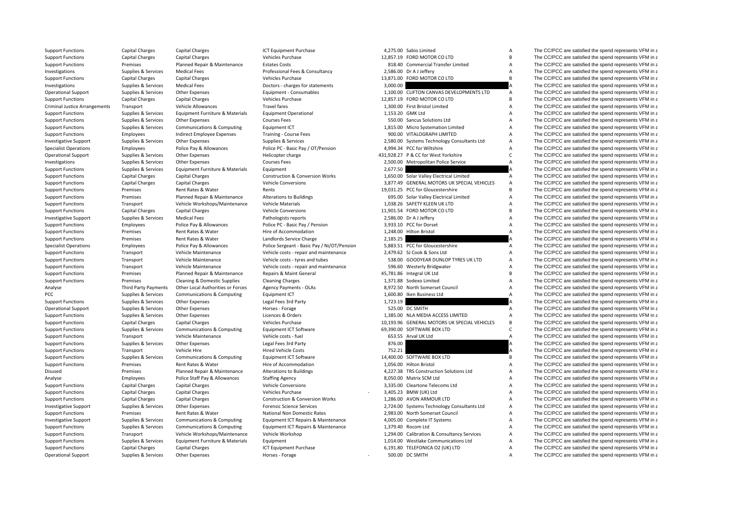| <b>Support Functions</b>             | <b>Capital Charges</b>      | <b>Capital Charges</b>                | ICT Equipment Purchase                      |                  | 4,275.00 Sabio Limited                       | $\overline{A}$            | The CC/PCC are satisfied the spend represents VFM in a |
|--------------------------------------|-----------------------------|---------------------------------------|---------------------------------------------|------------------|----------------------------------------------|---------------------------|--------------------------------------------------------|
| <b>Support Functions</b>             | Capital Charges             | <b>Capital Charges</b>                | Vehicles Purchase                           |                  | 12,857.19 FORD MOTOR CO LTD                  | $\overline{B}$            | The CC/PCC are satisfied the spend represents VFM in a |
| <b>Support Functions</b>             | Premises                    | Planned Repair & Maintenance          | <b>Estates Costs</b>                        |                  | 818.40 Commercial Transfer Limited           | $\overline{A}$            | The CC/PCC are satisfied the spend represents VFM in a |
| Investigations                       | Supplies & Services         | <b>Medical Fees</b>                   | Professional Fees & Consultancy             |                  | 2,586.00 Dr A J Jeffery                      | $\overline{A}$            | The CC/PCC are satisfied the spend represents VFM in a |
| <b>Support Functions</b>             | Capital Charges             | <b>Capital Charges</b>                | Vehicles Purchase                           |                  | 13,871.00 FORD MOTOR CO LTD                  | $\overline{B}$            | The CC/PCC are satisfied the spend represents VFM in a |
| Investigations                       | Supplies & Services         | <b>Medical Fees</b>                   | Doctors - charges for statements            | 3,000.00         |                                              |                           | The CC/PCC are satisfied the spend represents VFM in a |
| <b>Operational Support</b>           | Supplies & Services         | Other Expenses                        | Equipment - Consumables                     |                  | 1,100.00 CLIFTON CANVAS DEVELOPMENTS LTD     | $\overline{A}$            | The CC/PCC are satisfied the spend represents VFM in a |
| <b>Support Functions</b>             | Capital Charges             | <b>Capital Charges</b>                | Vehicles Purchase                           |                  | 12,857.19 FORD MOTOR CO LTD                  | $\overline{B}$            | The CC/PCC are satisfied the spend represents VFM in a |
| <b>Criminal Justice Arrangements</b> | Transport                   | Vehicle Allowances                    | <b>Travel fares</b>                         |                  | 1,300.00 First Bristol Limited               | $\overline{A}$            | The CC/PCC are satisfied the spend represents VFM in a |
| <b>Support Functions</b>             | Supplies & Services         | Equipment Furniture & Materials       | <b>Equipment Operational</b>                | 1.153.20 GMK Ltd |                                              | $\overline{A}$            | The CC/PCC are satisfied the spend represents VFM in a |
| <b>Support Functions</b>             | Supplies & Services         | Other Expenses                        | <b>Courses Fees</b>                         |                  | 550.00 Sancus Solutions Ltd                  | $\overline{A}$            | The CC/PCC are satisfied the spend represents VFM in a |
| <b>Support Functions</b>             | Supplies & Services         | Communications & Computing            | <b>Equipment ICT</b>                        |                  | 1,815.00 Micro Systemation Limited           | A                         | The CC/PCC are satisfied the spend represents VFM in a |
| <b>Support Functions</b>             | Employees                   | Indirect Employee Expenses            | Training - Course Fees                      |                  | 900.00 VITALOGRAPH LIMITED                   | A                         | The CC/PCC are satisfied the spend represents VFM in a |
| <b>Investigative Support</b>         | Supplies & Services         | Other Expenses                        | Supplies & Services                         |                  | 2,580.00 Systems Technology Consultants Ltd  | $\overline{A}$            | The CC/PCC are satisfied the spend represents VFM in a |
| <b>Specialist Operations</b>         | Employees                   | Police Pay & Allowances               | Police PC - Basic Pay / OT/Pension          |                  | 4,994.34 PCC for Wiltshire                   | $\overline{A}$            | The CC/PCC are satisfied the spend represents VFM in a |
| <b>Operational Support</b>           | Supplies & Services         | Other Expenses                        | Helicopter charge                           |                  | 431.928.27 P & CC for West Yorkshire         | $\mathsf{C}$              | The CC/PCC are satisfied the spend represents VFM in a |
| Investigations                       | Supplies & Services         | Other Expenses                        | <b>Courses Fees</b>                         |                  | 2,500.00 Metropolitan Police Service         | $\overline{A}$            | The CC/PCC are satisfied the spend represents VFM in a |
| <b>Support Functions</b>             | Supplies & Services         | Equipment Furniture & Materials       | Equipment                                   | 2,677.50         |                                              |                           | The CC/PCC are satisfied the spend represents VFM in a |
| <b>Support Functions</b>             | <b>Capital Charges</b>      | <b>Capital Charges</b>                | <b>Construction &amp; Conversion Works</b>  |                  | 1,650.00 Solar Valley Electrical Limited     | $\overline{A}$            | The CC/PCC are satisfied the spend represents VFM in a |
| <b>Support Functions</b>             | <b>Capital Charges</b>      | <b>Capital Charges</b>                | Vehicle Conversions                         |                  | 3,877.49 GENERAL MOTORS UK SPECIAL VEHICLES  | $\overline{A}$            | The CC/PCC are satisfied the spend represents VFM in a |
| <b>Support Functions</b>             | Premises                    | Rent Rates & Water                    | Rents                                       |                  | 19,031.25 PCC for Gloucestershire            | $\overline{B}$            | The CC/PCC are satisfied the spend represents VFM in a |
| <b>Support Functions</b>             | Premises                    | Planned Repair & Maintenance          | <b>Alterations to Buildings</b>             |                  | 695.00 Solar Valley Electrical Limited       | $\overline{A}$            | The CC/PCC are satisfied the spend represents VFM in a |
| <b>Support Functions</b>             | Transport                   | Vehicle Workshops/Maintenance         | <b>Vehicle Materials</b>                    |                  | 1,038.26 SAFETY KLEEN UK LTD                 | $\overline{A}$            | The CC/PCC are satisfied the spend represents VFM in a |
| <b>Support Functions</b>             | <b>Capital Charges</b>      | <b>Capital Charges</b>                | <b>Vehicle Conversions</b>                  |                  | 11,901.54 FORD MOTOR CO LTD                  | B                         | The CC/PCC are satisfied the spend represents VFM in a |
| <b>Investigative Support</b>         | Supplies & Services         | <b>Medical Fees</b>                   | Pathologists reports                        |                  | 2,586.00 Dr A J Jeffery                      | A                         | The CC/PCC are satisfied the spend represents VFM in a |
| <b>Support Functions</b>             | Employees                   | Police Pay & Allowances               | Police PC - Basic Pay / Pension             |                  | 3,933.10 PCC for Dorset                      | $\overline{A}$            | The CC/PCC are satisfied the spend represents VFM in a |
| <b>Support Functions</b>             | Premises                    | Rent Rates & Water                    | Hire of Accommodation                       |                  | 1,248.00 Hilton Bristol                      | $\overline{A}$            | The CC/PCC are satisfied the spend represents VFM in a |
| <b>Support Functions</b>             | Premises                    | Rent Rates & Water                    | Landlords Service Charge                    | 2,185.25         |                                              |                           | The CC/PCC are satisfied the spend represents VFM in a |
| <b>Specialist Operations</b>         | Employees                   | Police Pay & Allowances               | Police Sergeant - Basic Pay / Ni/OT/Pension |                  | 5,883.51 PCC for Gloucestershire             | A                         | The CC/PCC are satisfied the spend represents VFM in a |
| <b>Support Functions</b>             | Transport                   | Vehicle Maintenance                   | Vehicle costs - repair and maintenance      |                  | 2,479.62 SJ Cook & Sons Ltd                  | $\overline{A}$            | The CC/PCC are satisfied the spend represents VFM in a |
| <b>Support Functions</b>             | Transport                   | Vehicle Maintenance                   | Vehicle costs - tyres and tubes             |                  | 538.00 GOODYEAR DUNLOP TYRES UK LTD          | $\overline{A}$            | The CC/PCC are satisfied the spend represents VFM in a |
| <b>Support Functions</b>             | Transport                   | Vehicle Maintenance                   | Vehicle costs - repair and maintenance      |                  | 596.60 Westerly Bridgwater                   | $\overline{A}$            | The CC/PCC are satisfied the spend represents VFM in a |
| <b>Support Functions</b>             | Premises                    | Planned Repair & Maintenance          | Repairs & Maint General                     |                  | 45,781.86 Integral UK Ltd                    | $\overline{B}$            | The CC/PCC are satisfied the spend represents VFM in a |
| <b>Support Functions</b>             | Premises                    | Cleaning & Domestic Supplies          | <b>Cleaning Charges</b>                     |                  | 1,371.88 Sodexo Limited                      | $\overline{A}$            | The CC/PCC are satisfied the spend represents VFM in a |
| Analyse                              | <b>Third Party Payments</b> | Other Local Authorities or Forces     | Agency Payments - OLAs                      |                  | 8,972.50 North Somerset Council              | $\overline{A}$            | The CC/PCC are satisfied the spend represents VFM in a |
| PCC                                  | Supplies & Services         | <b>Communications &amp; Computing</b> | Equipment ICT                               |                  | 1,600.80 Iken Business Ltd                   | $\overline{A}$            | The CC/PCC are satisfied the spend represents VFM in a |
| <b>Support Functions</b>             | Supplies & Services         | Other Expenses                        | Legal Fees 3rd Party                        | 1,723.19         |                                              |                           | The CC/PCC are satisfied the spend represents VFM in a |
| <b>Operational Support</b>           | Supplies & Services         | Other Expenses                        | Horses - Forage                             |                  | 525.00 DC SMITH                              | $\overline{A}$            | The CC/PCC are satisfied the spend represents VFM in a |
| <b>Support Functions</b>             | Supplies & Services         | Other Expenses                        | Licences & Orders                           |                  | 1,385.00 NLA MEDIA ACCESS LIMITED            | $\overline{A}$            | The CC/PCC are satisfied the spend represents VFM in a |
| <b>Support Functions</b>             | Capital Charges             | <b>Capital Charges</b>                | Vehicles Purchase                           |                  | 10,193.96 GENERAL MOTORS UK SPECIAL VEHICLES | B                         | The CC/PCC are satisfied the spend represents VFM in a |
| <b>Support Functions</b>             | Supplies & Services         | Communications & Computing            | Equipment ICT Software                      |                  | 69.390.00 SOFTWARE BOX LTD                   | $\mathsf{C}$              | The CC/PCC are satisfied the spend represents VFM in a |
| <b>Support Functions</b>             | Transport                   | Vehicle Maintenance                   | Vehicle costs - fuel                        |                  | 653.55 Arval UK Ltd                          | $\overline{A}$            | The CC/PCC are satisfied the spend represents VFM in a |
| <b>Support Functions</b>             | Supplies & Services         | Other Expenses                        | Legal Fees 3rd Party                        | 876.00           |                                              |                           | The CC/PCC are satisfied the spend represents VFM in a |
| <b>Support Functions</b>             | Transport                   | Vehicle Hire                          | <b>Hired Vehicle Costs</b>                  | 752.21           |                                              |                           | The CC/PCC are satisfied the spend represents VFM in a |
| <b>Support Functions</b>             | Supplies & Services         | <b>Communications &amp; Computing</b> | Equipment ICT Software                      |                  | 14,400.00 SOFTWARE BOX LTD                   | B                         | The CC/PCC are satisfied the spend represents VFM in a |
| <b>Support Functions</b>             | Premises                    | Rent Rates & Water                    | Hire of Accommodation                       |                  | 1,056.00 Hilton Bristol                      | $\overline{A}$            | The CC/PCC are satisfied the spend represents VFM in a |
| Disused                              | Premises                    | Planned Repair & Maintenance          | <b>Alterations to Buildings</b>             |                  | 4,227.38 TRS Construction Solutions Ltd      | $\overline{A}$            | The CC/PCC are satisfied the spend represents VFM in a |
| Analyse                              | Employees                   | Police Staff Pay & Allowances         | <b>Staffing Agency</b>                      |                  | 8.050.00 Matrix SCM Ltd                      | $\overline{A}$            | The CC/PCC are satisfied the spend represents VFM in a |
| <b>Support Functions</b>             | <b>Capital Charges</b>      | <b>Capital Charges</b>                | <b>Vehicle Conversions</b>                  |                  | 3,335.00 Cleartone Telecoms Ltd              | $\overline{A}$            | The CC/PCC are satisfied the spend represents VFM in a |
| <b>Support Functions</b>             | <b>Capital Charges</b>      | <b>Capital Charges</b>                | Vehicles Purchase                           |                  | 3,405.23 BMW (UK) Ltd                        | $\boldsymbol{\mathsf{A}}$ | The CC/PCC are satisfied the spend represents VFM in a |
| <b>Support Functions</b>             | <b>Capital Charges</b>      | <b>Capital Charges</b>                | <b>Construction &amp; Conversion Works</b>  |                  | 1,286.00 AVON ARMOUR LTD                     | A                         | The CC/PCC are satisfied the spend represents VFM in a |
| <b>Investigative Support</b>         | Supplies & Services         | Other Expenses                        | <b>Forensic Science Services</b>            |                  | 2,724.00 Systems Technology Consultants Ltd  | $\overline{A}$            | The CC/PCC are satisfied the spend represents VFM in a |
| <b>Support Functions</b>             | Premises                    | Rent Rates & Water                    | National Non Domestic Rates                 |                  | 2,983.00 North Somerset Council              | $\overline{A}$            | The CC/PCC are satisfied the spend represents VFM in a |
| <b>Investigative Support</b>         | Supplies & Services         | Communications & Computing            | Equipment ICT Repairs & Maintenance         |                  | 4,005.00 Complete IT Systems                 | $\overline{A}$            | The CC/PCC are satisfied the spend represents VFM in a |
| <b>Support Functions</b>             | Supplies & Services         | Communications & Computing            | Equipment ICT Repairs & Maintenance         |                  | 1,379.40 Rocom Ltd                           | $\overline{A}$            | The CC/PCC are satisfied the spend represents VFM in a |
| <b>Support Functions</b>             | Transport                   | Vehicle Workshops/Maintenance         | Vehicle Workshop                            |                  | 1,294.00 Calibration & Consultancy Services  | $\overline{A}$            | The CC/PCC are satisfied the spend represents VFM in a |
| <b>Support Functions</b>             | Supplies & Services         | Equipment Furniture & Materials       | Equipment                                   |                  | 1,014.00 Westlake Communications Ltd         | $\boldsymbol{\mathsf{A}}$ | The CC/PCC are satisfied the spend represents VFM in a |
| <b>Support Functions</b>             | Capital Charges             | <b>Capital Charges</b>                | <b>ICT Equipment Purchase</b>               |                  | 6,191.80 TELEFONICA O2 (UK) LTD              | $\overline{A}$            | The CC/PCC are satisfied the spend represents VFM in a |
|                                      |                             |                                       |                                             |                  |                                              |                           |                                                        |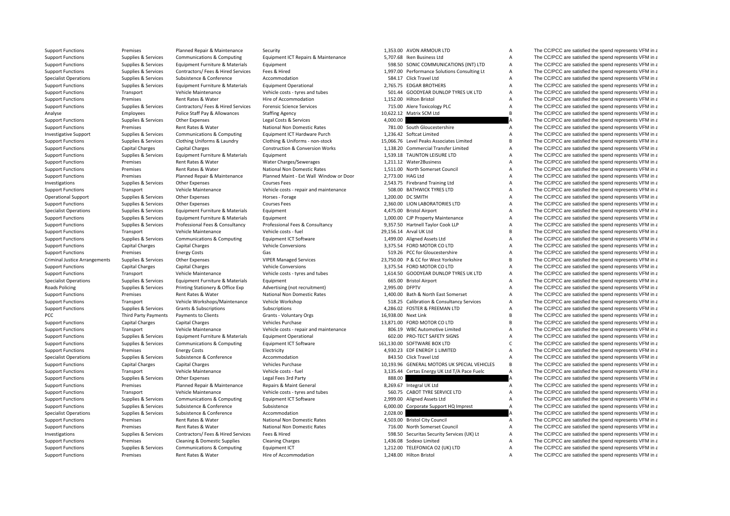| <b>Support Functions</b>             | Premises                    | Planned Repair & Maintenance          | Security                                   |                | 1,353.00 AVON ARMOUR LTD                     | Α              | The CC/PCC are satisfied the spend represents VFM in a |
|--------------------------------------|-----------------------------|---------------------------------------|--------------------------------------------|----------------|----------------------------------------------|----------------|--------------------------------------------------------|
| <b>Support Functions</b>             | Supplies & Services         | Communications & Computing            | Equipment ICT Repairs & Maintenance        |                | 5,707.68 Iken Business Ltd                   | Α              | The CC/PCC are satisfied the spend represents VFM in a |
| <b>Support Functions</b>             | Supplies & Services         | Equipment Furniture & Materials       | Equipment                                  |                | 598.50 SONIC COMMUNICATIONS (INT) LTD        | А              | The CC/PCC are satisfied the spend represents VFM in a |
| <b>Support Functions</b>             | Supplies & Services         | Contractors/ Fees & Hired Services    | Fees & Hired                               |                | 1,997.00 Performance Solutions Consulting Lt | А              | The CC/PCC are satisfied the spend represents VFM in a |
| <b>Specialist Operations</b>         | Supplies & Services         | Subsistence & Conference              | Accommodation                              |                | 584.17 Click Travel Ltd                      | A              | The CC/PCC are satisfied the spend represents VFM in a |
| <b>Support Functions</b>             | Supplies & Services         | Equipment Furniture & Materials       | <b>Equipment Operational</b>               |                | 2,765.75 EDGAR BROTHERS                      | Α              | The CC/PCC are satisfied the spend represents VFM in a |
| <b>Support Functions</b>             | Transport                   | Vehicle Maintenance                   | Vehicle costs - tyres and tubes            |                | 501.44 GOODYEAR DUNLOP TYRES UK LTD          | Α              | The CC/PCC are satisfied the spend represents VFM in a |
| <b>Support Functions</b>             | Premises                    | Rent Rates & Water                    | Hire of Accommodation                      |                | 1,152.00 Hilton Bristol                      | A              | The CC/PCC are satisfied the spend represents VFM in a |
| <b>Support Functions</b>             | Supplies & Services         | Contractors/ Fees & Hired Services    | <b>Forensic Science Services</b>           |                | 715.00 Alere Toxicology PLC                  | Α              | The CC/PCC are satisfied the spend represents VFM in a |
| Analyse                              | Employees                   | Police Staff Pay & Allowances         | <b>Staffing Agency</b>                     |                | 10,622.12 Matrix SCM Ltd                     | B <sub>1</sub> | The CC/PCC are satisfied the spend represents VFM in a |
| <b>Support Functions</b>             | Supplies & Services         | Other Expenses                        | Legal Costs & Services                     | 4,000.00       |                                              |                | The CC/PCC are satisfied the spend represents VFM in a |
| <b>Support Functions</b>             | Premises                    | Rent Rates & Water                    | <b>National Non Domestic Rates</b>         |                | 781.00 South Gloucestershire                 | A              | The CC/PCC are satisfied the spend represents VFM in a |
| <b>Investigative Support</b>         | Supplies & Services         | Communications & Computing            | Equipment ICT Hardware Purch               |                | 1,236.42 Softcat Limited                     | Α              | The CC/PCC are satisfied the spend represents VFM in a |
| <b>Support Functions</b>             | Supplies & Services         | Clothing Uniforms & Laundry           | Clothing & Uniforms - non-stock            |                | 15,066.76 Level Peaks Associates Limited     | B <sub>1</sub> | The CC/PCC are satisfied the spend represents VFM in a |
| <b>Support Functions</b>             | <b>Capital Charges</b>      | <b>Capital Charges</b>                | <b>Construction &amp; Conversion Works</b> |                | 1,138.20 Commercial Transfer Limited         | A              | The CC/PCC are satisfied the spend represents VFM in a |
| <b>Support Functions</b>             | Supplies & Services         | Equipment Furniture & Materials       | Equipment                                  |                | 1,539.18 TAUNTON LEISURE LTD                 | A              | The CC/PCC are satisfied the spend represents VFM in a |
| <b>Support Functions</b>             | Premises                    | Rent Rates & Water                    | Water Charges/Sewerages                    |                | 1,211.12 Water2Business                      | A              | The CC/PCC are satisfied the spend represents VFM in a |
| <b>Support Functions</b>             | Premises                    | Rent Rates & Water                    | <b>National Non Domestic Rates</b>         |                | 1.511.00 North Somerset Council              | $\overline{A}$ | The CC/PCC are satisfied the spend represents VFM in a |
| <b>Support Functions</b>             | Premises                    | Planned Repair & Maintenance          | Planned Maint - Ext Wall Window or Door    |                | 2.773.00 HAG Ltd                             | $\mathsf{A}$   | The CC/PCC are satisfied the spend represents VFM in a |
| Investigations                       | Supplies & Services         | Other Expenses                        | <b>Courses Fees</b>                        |                | 2,543.75 Firebrand Training Ltd              | $\overline{A}$ | The CC/PCC are satisfied the spend represents VFM in a |
|                                      |                             |                                       |                                            |                |                                              |                |                                                        |
| <b>Support Functions</b>             | Transport                   | Vehicle Maintenance                   | Vehicle costs - repair and maintenance     |                | 508.00 BATHWICK TYRES LTD                    | A              | The CC/PCC are satisfied the spend represents VFM in a |
| <b>Operational Support</b>           | Supplies & Services         | Other Expenses                        | Horses - Forage                            |                | 1,200.00 DC SMITH                            | A              | The CC/PCC are satisfied the spend represents VFM in a |
| <b>Support Functions</b>             | Supplies & Services         | <b>Other Expenses</b>                 | <b>Courses Fees</b>                        |                | 2,360.00 LION LABORATORIES LTD               | Α              | The CC/PCC are satisfied the spend represents VFM in a |
| <b>Specialist Operations</b>         | Supplies & Services         | Equipment Furniture & Materials       | Equipment                                  |                | 4,475.00 Bristol Airport                     | Α              | The CC/PCC are satisfied the spend represents VFM in a |
| <b>Support Functions</b>             | Supplies & Services         | Equipment Furniture & Materials       | Equipment                                  |                | 1,000.00 CJP Property Maintenance            | A              | The CC/PCC are satisfied the spend represents VFM in a |
| <b>Support Functions</b>             | Supplies & Services         | Professional Fees & Consultancy       | Professional Fees & Consultancy            |                | 9,357.50 Hartnell Taylor Cook LLP            | A              | The CC/PCC are satisfied the spend represents VFM in a |
| <b>Support Functions</b>             | Transport                   | Vehicle Maintenance                   | Vehicle costs - fuel                       |                | 29,156.14 Arval UK Ltd                       | B              | The CC/PCC are satisfied the spend represents VFM in a |
| <b>Support Functions</b>             | Supplies & Services         | <b>Communications &amp; Computing</b> | Equipment ICT Software                     |                | 1,499.00 Aligned Assets Ltd                  | A              | The CC/PCC are satisfied the spend represents VFM in a |
| <b>Support Functions</b>             | <b>Capital Charges</b>      | <b>Capital Charges</b>                | <b>Vehicle Conversions</b>                 |                | 3.375.54 FORD MOTOR CO LTD                   | $\mathsf{A}$   | The CC/PCC are satisfied the spend represents VFM in a |
| <b>Support Functions</b>             | Premises                    | <b>Energy Costs</b>                   | Gas                                        |                | 519.26 PCC for Gloucestershire               | $\mathsf{A}$   | The CC/PCC are satisfied the spend represents VFM in a |
| <b>Criminal Justice Arrangements</b> | Supplies & Services         | Other Expenses                        | <b>VIPER Managed Services</b>              |                | 23,750.00 P & CC for West Yorkshire          | B              | The CC/PCC are satisfied the spend represents VFM in a |
| <b>Support Functions</b>             | <b>Capital Charges</b>      | <b>Capital Charges</b>                | <b>Vehicle Conversions</b>                 |                | 3,375.54 FORD MOTOR CO LTD                   | Α              | The CC/PCC are satisfied the spend represents VFM in a |
| <b>Support Functions</b>             | Transport                   | Vehicle Maintenance                   | Vehicle costs - tyres and tubes            |                | 1,614.50 GOODYEAR DUNLOP TYRES UK LTD        | Α              | The CC/PCC are satisfied the spend represents VFM in a |
| <b>Specialist Operations</b>         | Supplies & Services         | Equipment Furniture & Materials       | Equipment                                  |                | 665.00 Bristol Airport                       | A              | The CC/PCC are satisfied the spend represents VFM in a |
| Roads Policing                       | Supplies & Services         | Printing Stationery & Office Exp      | Advertising (not recruitment)              | 2,995.00 DFPTV |                                              | A              | The CC/PCC are satisfied the spend represents VFM in a |
| <b>Support Functions</b>             | Premises                    | Rent Rates & Water                    | <b>National Non Domestic Rates</b>         |                | 1.400.00 Bath & North East Somerset          | $\mathsf{A}$   | The CC/PCC are satisfied the spend represents VFM in a |
| <b>Support Functions</b>             | Transport                   | Vehicle Workshops/Maintenance         | Vehicle Workshop                           |                | 518.25 Calibration & Consultancy Services    | A              | The CC/PCC are satisfied the spend represents VFM in a |
| <b>Support Functions</b>             | Supplies & Services         | <b>Grants &amp; Subscriptions</b>     | Subscriptions                              |                | 4.286.02 FOSTER & FREEMAN LTD                | $\mathsf{A}$   | The CC/PCC are satisfied the spend represents VFM in a |
| PCC                                  | <b>Third Party Payments</b> | Payments to Clients                   | Grants - Voluntary Orgs                    |                | 16,938.00 Next Link                          | <b>B</b>       | The CC/PCC are satisfied the spend represents VFM in a |
| <b>Support Functions</b>             | <b>Capital Charges</b>      | <b>Capital Charges</b>                | Vehicles Purchase                          |                | 13.871.00 FORD MOTOR CO LTD                  | R <sub>1</sub> | The CC/PCC are satisfied the spend represents VFM in a |
|                                      |                             |                                       |                                            |                |                                              | A              | The CC/PCC are satisfied the spend represents VFM in a |
| <b>Support Functions</b>             | Transport                   | Vehicle Maintenance                   | Vehicle costs - repair and maintenance     |                | 806.19 WBC Automotive Limited                |                |                                                        |
| <b>Support Functions</b>             | Supplies & Services         | Equipment Furniture & Materials       | <b>Equipment Operational</b>               |                | 602.00 PRO-TECT SAFETY SIGNS                 | А              | The CC/PCC are satisfied the spend represents VFM in a |
| <b>Support Functions</b>             | Supplies & Services         | Communications & Computing            | Equipment ICT Software                     |                | 161,130.00 SOFTWARE BOX LTD                  | $\mathsf{C}$   | The CC/PCC are satisfied the spend represents VFM in a |
| <b>Support Functions</b>             | Premises                    | <b>Energy Costs</b>                   | Electricity                                |                | 4,930.23 EDF ENERGY 1 LIMITED                | Α              | The CC/PCC are satisfied the spend represents VFM in a |
| <b>Specialist Operations</b>         | Supplies & Services         | Subsistence & Conference              | Accommodation                              |                | 843.50 Click Travel Ltd                      | $\overline{A}$ | The CC/PCC are satisfied the spend represents VFM in a |
| <b>Support Functions</b>             | <b>Capital Charges</b>      | <b>Capital Charges</b>                | Vehicles Purchase                          |                | 10,193.96 GENERAL MOTORS UK SPECIAL VEHICLES | B              | The CC/PCC are satisfied the spend represents VFM in a |
| <b>Support Functions</b>             | Transport                   | Vehicle Maintenance                   | Vehicle costs - fuel                       |                | 3,135.44 Certas Energy UK Ltd T/A Pace Fuelc | $\overline{A}$ | The CC/PCC are satisfied the spend represents VFM in a |
| <b>Support Functions</b>             | Supplies & Services         | Other Expenses                        | Legal Fees 3rd Party                       | 888.00         |                                              |                | The CC/PCC are satisfied the spend represents VFM in a |
| <b>Support Functions</b>             | Premises                    | Planned Repair & Maintenance          | Repairs & Maint General                    |                | 8,269.67 Integral UK Ltd                     | Α              | The CC/PCC are satisfied the spend represents VFM in a |
| <b>Support Functions</b>             | Transport                   | Vehicle Maintenance                   | Vehicle costs - tyres and tubes            |                | 560.75 CABOT TYRE SERVICE LTD                | А              | The CC/PCC are satisfied the spend represents VFM in a |
| <b>Support Functions</b>             | Supplies & Services         | Communications & Computing            | Equipment ICT Software                     |                | 2,999.00 Aligned Assets Ltd                  | А              | The CC/PCC are satisfied the spend represents VFM in a |
| <b>Support Functions</b>             | Supplies & Services         | Subsistence & Conference              | Subsistence                                |                | 6,000.00 Corporate Support HQ Imprest        | Α              | The CC/PCC are satisfied the spend represents VFM in a |
| <b>Specialist Operations</b>         | Supplies & Services         | Subsistence & Conference              | Accommodation                              | 2,028.00       |                                              |                | The CC/PCC are satisfied the spend represents VFM in a |
| <b>Support Functions</b>             | Premises                    | Rent Rates & Water                    | <b>National Non Domestic Rates</b>         |                | 4,503.00 Bristol City Council                | Α              | The CC/PCC are satisfied the spend represents VFM in a |
| <b>Support Functions</b>             | Premises                    | Rent Rates & Water                    | <b>National Non Domestic Rates</b>         |                | 716.00 North Somerset Council                | Α              | The CC/PCC are satisfied the spend represents VFM in a |
| Investigations                       | Supplies & Services         | Contractors/ Fees & Hired Services    | Fees & Hired                               |                | 598.50 Securitas Security Services (UK) Lt   | Α              | The CC/PCC are satisfied the spend represents VFM in a |
| <b>Support Functions</b>             | Premises                    | Cleaning & Domestic Supplies          | <b>Cleaning Charges</b>                    |                | 1,436.08 Sodexo Limited                      | $\mathsf{A}$   | The CC/PCC are satisfied the spend represents VFM in a |
| <b>Support Functions</b>             | Supplies & Services         | Communications & Computing            | <b>Equipment ICT</b>                       |                | 1,212.00 TELEFONICA O2 (UK) LTD              | Α              | The CC/PCC are satisfied the spend represents VFM in a |
|                                      |                             |                                       |                                            |                |                                              |                |                                                        |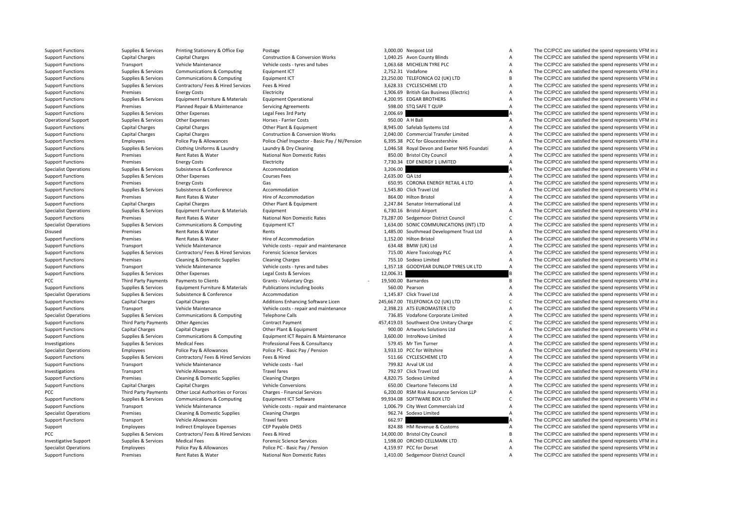| <b>Support Functions</b>     | Supplies & Services         | Printing Stationery & Office Exp   | Postage                                         |                 | 3,000.00 Neopost Ltd                               | Α              | The CC/PCC are satisfied the spend represents VFM in a |
|------------------------------|-----------------------------|------------------------------------|-------------------------------------------------|-----------------|----------------------------------------------------|----------------|--------------------------------------------------------|
| <b>Support Functions</b>     | <b>Capital Charges</b>      | Capital Charges                    | <b>Construction &amp; Conversion Works</b>      |                 | 1,040.25 Avon County Blinds                        | Α              | The CC/PCC are satisfied the spend represents VFM in a |
| <b>Support Functions</b>     | Transport                   | Vehicle Maintenance                | Vehicle costs - tyres and tubes                 |                 | 1.063.68 MICHELIN TYRE PLC                         | $\overline{A}$ | The CC/PCC are satisfied the spend represents VFM in a |
| <b>Support Functions</b>     | Supplies & Services         | Communications & Computing         | <b>Equipment ICT</b>                            |                 | 2,752.31 Vodafone                                  | $\mathsf{A}$   | The CC/PCC are satisfied the spend represents VFM in a |
| <b>Support Functions</b>     | Supplies & Services         | Communications & Computing         | Equipment ICT                                   |                 | 23,250.00 TELEFONICA O2 (UK) LTD                   | B              | The CC/PCC are satisfied the spend represents VFM in a |
| <b>Support Functions</b>     | Supplies & Services         | Contractors/ Fees & Hired Services | Fees & Hired                                    |                 | 3,628.33 CYCLESCHEME LTD                           | A              | The CC/PCC are satisfied the spend represents VFM in a |
| <b>Support Functions</b>     | Premises                    | <b>Energy Costs</b>                | Electricity                                     |                 | 1,906.69 British Gas Business (Electric)           | $\overline{A}$ | The CC/PCC are satisfied the spend represents VFM in a |
| <b>Support Functions</b>     | Supplies & Services         | Equipment Furniture & Materials    | <b>Equipment Operational</b>                    |                 | 4.200.95 EDGAR BROTHERS                            | $\overline{A}$ | The CC/PCC are satisfied the spend represents VFM in a |
| <b>Support Functions</b>     | Premises                    | Planned Repair & Maintenance       | <b>Servicing Agreements</b>                     |                 | 598.00 STO SAFE T QUIP                             | A              | The CC/PCC are satisfied the spend represents VFM in a |
| <b>Support Functions</b>     | Supplies & Services         | Other Expenses                     | Legal Fees 3rd Party                            | 2,006.69        |                                                    |                | The CC/PCC are satisfied the spend represents VFM in a |
| <b>Operational Support</b>   | Supplies & Services         | Other Expenses                     | Horses - Farrier Costs                          |                 | 950.00 A H Ball                                    | A              | The CC/PCC are satisfied the spend represents VFM in a |
| <b>Support Functions</b>     | <b>Capital Charges</b>      | <b>Capital Charges</b>             | Other Plant & Equipment                         |                 | 8,945.00 Safelab Systems Ltd                       | Α              | The CC/PCC are satisfied the spend represents VFM in a |
| <b>Support Functions</b>     | <b>Capital Charges</b>      | <b>Capital Charges</b>             | <b>Construction &amp; Conversion Works</b>      |                 | 2,040.00 Commercial Transfer Limited               | A              | The CC/PCC are satisfied the spend represents VFM in a |
| <b>Support Functions</b>     | Employees                   | Police Pay & Allowances            | Police Chief Inspector - Basic Pay / NI/Pension |                 | 6,395.38 PCC for Gloucestershire                   | A              | The CC/PCC are satisfied the spend represents VFM in a |
| <b>Support Functions</b>     | Supplies & Services         | Clothing Uniforms & Laundry        | Laundry & Dry Cleaning                          |                 | 1,046.58 Royal Devon and Exeter NHS Foundati       | Α              | The CC/PCC are satisfied the spend represents VFM in a |
| <b>Support Functions</b>     | Premises                    | Rent Rates & Water                 | <b>National Non Domestic Rates</b>              |                 | 850.00 Bristol City Council                        | A              | The CC/PCC are satisfied the spend represents VFM in a |
| <b>Support Functions</b>     | Premises                    | <b>Energy Costs</b>                | Electricity                                     |                 | 7,730.34 EDF ENERGY 1 LIMITED                      | $\overline{A}$ | The CC/PCC are satisfied the spend represents VFM in a |
| <b>Specialist Operations</b> | Supplies & Services         | Subsistence & Conference           | Accommodation                                   | 3,206.00        |                                                    |                | The CC/PCC are satisfied the spend represents VFM in a |
| <b>Support Functions</b>     | Supplies & Services         | Other Expenses                     | <b>Courses Fees</b>                             | 2,635.00 QA Ltd |                                                    | Α              | The CC/PCC are satisfied the spend represents VFM in a |
| <b>Support Functions</b>     | Premises                    | <b>Energy Costs</b>                | Gas                                             |                 | 650.95 CORONA ENERGY RETAIL 4 LTD                  | A              | The CC/PCC are satisfied the spend represents VFM in a |
|                              |                             |                                    |                                                 |                 |                                                    |                |                                                        |
| <b>Support Functions</b>     | Supplies & Services         | Subsistence & Conference           | Accommodation                                   |                 | 1,545.80 Click Travel Ltd<br>864.00 Hilton Bristol | Α              | The CC/PCC are satisfied the spend represents VFM in a |
| <b>Support Functions</b>     | Premises                    | Rent Rates & Water                 | Hire of Accommodation                           |                 |                                                    | Α              | The CC/PCC are satisfied the spend represents VFM in a |
| <b>Support Functions</b>     | Capital Charges             | <b>Capital Charges</b>             | Other Plant & Equipment                         |                 | 2,247.84 Senator International Ltd                 | A              | The CC/PCC are satisfied the spend represents VFM in a |
| <b>Specialist Operations</b> | Supplies & Services         | Equipment Furniture & Materials    | Equipment                                       |                 | 6,730.16 Bristol Airport                           | Α              | The CC/PCC are satisfied the spend represents VFM in a |
| <b>Support Functions</b>     | Premises                    | Rent Rates & Water                 | National Non Domestic Rates                     |                 | 73,287.00 Sedgemoor District Council               | $\mathsf{C}$   | The CC/PCC are satisfied the spend represents VFM in a |
| <b>Specialist Operations</b> | Supplies & Services         | Communications & Computing         | <b>Equipment ICT</b>                            |                 | 1,634.00 SONIC COMMUNICATIONS (INT) LTD            | Α              | The CC/PCC are satisfied the spend represents VFM in a |
| Disused                      | Premises                    | Rent Rates & Water                 | Rents                                           |                 | 1,485.00 Southmead Development Trust Ltd           | A              | The CC/PCC are satisfied the spend represents VFM in a |
| <b>Support Functions</b>     | Premises                    | Rent Rates & Water                 | Hire of Accommodation                           |                 | 1,152.00 Hilton Bristol                            | A              | The CC/PCC are satisfied the spend represents VFM in a |
| <b>Support Functions</b>     | Transport                   | Vehicle Maintenance                | Vehicle costs - repair and maintenance          |                 | 634.48 BMW (UK) Ltd                                | Α              | The CC/PCC are satisfied the spend represents VFM in a |
| <b>Support Functions</b>     | Supplies & Services         | Contractors/ Fees & Hired Services | <b>Forensic Science Services</b>                |                 | 715.00 Alere Toxicology PLC                        | A              | The CC/PCC are satisfied the spend represents VFM in a |
| <b>Support Functions</b>     | Premises                    | Cleaning & Domestic Supplies       | <b>Cleaning Charges</b>                         |                 | 755.10 Sodexo Limited                              | A              | The CC/PCC are satisfied the spend represents VFM in a |
| <b>Support Functions</b>     | Transport                   | Vehicle Maintenance                | Vehicle costs - tyres and tubes                 |                 | 1,357.18 GOODYEAR DUNLOP TYRES UK LTD              | $\overline{A}$ | The CC/PCC are satisfied the spend represents VFM in a |
| <b>Support Functions</b>     | Supplies & Services         | Other Expenses                     | Legal Costs & Services                          | 12,006.31       |                                                    |                | The CC/PCC are satisfied the spend represents VFM in a |
| PCC                          | <b>Third Party Payments</b> | Payments to Clients                | Grants - Voluntary Orgs                         |                 | 19,500.00 Barnardos                                | B              | The CC/PCC are satisfied the spend represents VFM in a |
| <b>Support Functions</b>     | Supplies & Services         | Equipment Furniture & Materials    | Publications including books                    |                 | 560.00 Pearson                                     | A              | The CC/PCC are satisfied the spend represents VFM in a |
| <b>Specialist Operations</b> | Supplies & Services         | Subsistence & Conference           | Accommodation                                   |                 | 1.145.87 Click Travel Ltd                          | Α              | The CC/PCC are satisfied the spend represents VFM in a |
| <b>Support Functions</b>     | Capital Charges             | Capital Charges                    | Additions Enhancing Software Licen              |                 | 245,667.00 TELEFONICA O2 (UK) LTD                  | $\mathsf{C}$   | The CC/PCC are satisfied the spend represents VFM in a |
| <b>Support Functions</b>     | Transport                   | Vehicle Maintenance                | Vehicle costs - repair and maintenance          |                 | 2,398.23 ATS EUROMASTER LTD                        | A              | The CC/PCC are satisfied the spend represents VFM in a |
| <b>Specialist Operations</b> | Supplies & Services         | Communications & Computing         | <b>Telephone Calls</b>                          |                 | 736.85 Vodafone Corporate Limited                  | A              | The CC/PCC are satisfied the spend represents VFM in a |
| <b>Support Functions</b>     | Third Party Payments        | <b>Other Agencies</b>              | Contract Payment                                |                 | 457,419.03 Southwest One Unitary Charge            | $\mathsf{C}$   | The CC/PCC are satisfied the spend represents VFM in a |
| <b>Support Functions</b>     | Capital Charges             | <b>Capital Charges</b>             | Other Plant & Equipment                         |                 | 900.00 Artworks Solutions Ltd                      | A              | The CC/PCC are satisfied the spend represents VFM in a |
| <b>Support Functions</b>     | Supplies & Services         | Communications & Computing         | Equipment ICT Repairs & Maintenance             |                 | 3,600.00 IntroNovo Limited                         | A              | The CC/PCC are satisfied the spend represents VFM in a |
| Investigations               | Supplies & Services         | <b>Medical Fees</b>                | Professional Fees & Consultancy                 |                 | 579.45 Mr Tim Turner                               | Α              | The CC/PCC are satisfied the spend represents VFM in a |
| <b>Specialist Operations</b> | Employees                   | Police Pay & Allowances            | Police PC - Basic Pay / Pension                 |                 | 3,933.10 PCC for Wiltshire                         | Α              | The CC/PCC are satisfied the spend represents VFM in a |
| <b>Support Functions</b>     | Supplies & Services         | Contractors/ Fees & Hired Services | Fees & Hired                                    |                 | 511.66 CYCLESCHEME LTD                             | A              | The CC/PCC are satisfied the spend represents VFM in a |
| <b>Support Functions</b>     | Transport                   | Vehicle Maintenance                | Vehicle costs - fuel                            |                 | 799.82 Arval UK Ltd                                | A              | The CC/PCC are satisfied the spend represents VFM in a |
| Investigations               | Transport                   | Vehicle Allowances                 | <b>Travel fares</b>                             |                 | 792.97 Click Travel Ltd                            | A              | The CC/PCC are satisfied the spend represents VFM in a |
| <b>Support Functions</b>     | Premises                    | Cleaning & Domestic Supplies       | <b>Cleaning Charges</b>                         |                 | 4,820.75 Sodexo Limited                            | A              | The CC/PCC are satisfied the spend represents VFM in a |
| <b>Support Functions</b>     | <b>Capital Charges</b>      | <b>Capital Charges</b>             | <b>Vehicle Conversions</b>                      |                 | 650.00 Cleartone Telecoms Ltd                      | A              | The CC/PCC are satisfied the spend represents VFM in a |
| PCC                          | <b>Third Party Payments</b> | Other Local Authorities or Forces  | Charges - Financial Services                    |                 | 6,200.00 RSM Risk Assurance Services LLP           | A              | The CC/PCC are satisfied the spend represents VFM in a |
| <b>Support Functions</b>     | Supplies & Services         | Communications & Computing         | Equipment ICT Software                          |                 | 99,934.08 SOFTWARE BOX LTD                         | $\mathsf{C}$   | The CC/PCC are satisfied the spend represents VFM in a |
|                              |                             |                                    |                                                 |                 |                                                    |                |                                                        |
| <b>Support Functions</b>     | Transport                   | Vehicle Maintenance                | Vehicle costs - repair and maintenance          |                 | 1,006.79 City West Commercials Ltd                 | Α              | The CC/PCC are satisfied the spend represents VFM in a |
| <b>Specialist Operations</b> | Premises                    | Cleaning & Domestic Supplies       | <b>Cleaning Charges</b>                         |                 | 962.74 Sodexo Limited                              | $\overline{A}$ | The CC/PCC are satisfied the spend represents VFM in a |
| <b>Support Functions</b>     | Transport                   | <b>Vehicle Allowances</b>          | <b>Travel fares</b>                             | 662.97          |                                                    |                | The CC/PCC are satisfied the spend represents VFM in a |
| Support                      | Employees                   | Indirect Employee Expenses         | CEP Payable DHSS                                |                 | 824.88 HM Revenue & Customs                        | A              | The CC/PCC are satisfied the spend represents VFM in a |
| PCC                          | Supplies & Services         | Contractors/ Fees & Hired Services | Fees & Hired                                    |                 | 14,000.00 Bristol City Council                     | B              | The CC/PCC are satisfied the spend represents VFM in a |
| <b>Investigative Support</b> | Supplies & Services         | <b>Medical Fees</b>                | <b>Forensic Science Services</b>                |                 | 1,598.00 ORCHID CELLMARK LTD                       | Α              | The CC/PCC are satisfied the spend represents VFM in a |
| <b>Specialist Operations</b> | Employees                   | Police Pay & Allowances            | Police PC - Basic Pay / Pension                 |                 | 4,159.97 PCC for Dorset                            | A              | The CC/PCC are satisfied the spend represents VFM in a |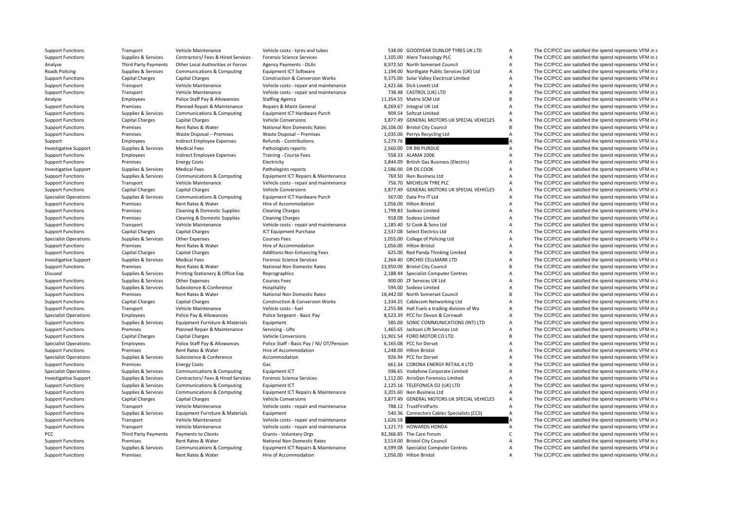**Roads Policing** PCC Third Party Payments

Support Functions Transport Vehicle Maintenance Vehicle costs - tyres and tubes 538.00 GOODYEAR DUNLOP TYRES UK LTD A The CC/PCC are satisfied the spend represents VFM in a

Support Functions Supplies & Services Contractors/ Fees & Hired Services Forensic Science Services 1,105.00 Alere Toxicology PLC A The CC/PCC are satisfied the spend represents VFM in a Analyse Third Party Payments Other Local Authorities or Forces Agency Payments - OLAs 8,972.50 North Somerset Council A The CC/PCC are satisfied the spend represents VFM in a Policing Supplies & Services Communications & Computing Equipment ICT Software 1,194.00 Northgate Public Services (UK) Ltd A The CC/PCC are satisfied the spend represents VFM in a Construction & Conversion Works 3.375.00 S Support Functions Capital Charges Capital Charges Construction & Conversion Works 9,375.00 Solar Valley Electrical Limited A The CC/PCC are satisfied the spend represents VFM in a Support Functions Transport Vehicle Maintenance Vehicle costs - repair and maintenance 2,421.66 Dick Lovett Ltd A The CC/PCC are satisfied the spend represents VFM in a Support Functions Transport Vehicle Maintenance Vehicle costs - repair and maintenance 738.48 CASTROL (UK) LTD A The CC/PCC are satisfied the spend represents VFM in a Analyse Employees Police Staff Pay & Allowances Staffing Agency 11,354.55 Matrix SCM Ltd B The CC/PCC are satisfied the spend represents VFM in a Support Functions Premises Planned Repair & Maintenance Repairs & Maint General 8,269.67 Integral UK Ltd A The CC/PCC are satisfied the spend represents VFM in a Support Functions Supplies & Services Communications & Computing Faultoment ICT Hardware Purch 909.54 Softcat Limited A The CC/PCC are satisfied the spend represents VFM in a Support Functions Capital Charges Capital Charges Vehicle Conversions Vehicle Conversions 3,877.49 GENERAL MOTORS UK SPECIAL VEHICLES A The CC/PCC are satisfied the spend represents VFM in a Support Functions Premises Rent Rates & Water National Non Domestic Rates 26,106.00 Bristol City Council B The CC/PCC are satisfied the spend represents VFM in a Support Functions Premises Waste Disposal – Premises Waste Disposal – Premises Waste Disposal – Premises Waste Disposal – Premises 1,035.00 Perrys Recycling Ltd A The CC/PCC are satisfied the spend represents VFM in a Support Employees Indirect Employee Expenses Refunds - Contributions 5,279.76 5,279.76 A The CC/PCC are satisfied the spend represents VFM in a Investigative Support Supplies & Services Medical Fees Pathologists reports Pathologists reports 2,560.00 DR BN PURDUE A The CC/PCC are satisfied the spend represents VFM in a Support Functions Employees Indirect Employee Expenses Training - Course Fees 558.33 ALAMA 2006 558.33 ALAMA 2006 A The CC/PCC are satisfied the spend represents VFM in a Support Functions of the critical premises of the s Support Functions Premises Energy Costs Electricity Electricity 3,844.09 British Gas Business (Flectric) A The CC/PCC are satisfied the spend represents VFM in a Investigative Support Supplies & Services Medical Fees Pathologists reports Pathologists reports 2,586.00 DR DS COOK A The CC/PCC are satisfied the spend represents VFM in a Support Functions Supplies & Services Communications & Computing Equipment ICT Repairs & Maintenance 769.50 Iken Business Ltd A The CC/PCC are satisfied the spend represents VFM in a Support Functions Transport Vehicle Maintenance Vehicle costs - repair and maintenance 756.70 MICHELIN TYRE PLC A The CC/PCC are satisfied the spend represents VFM in a Support Functions Capital Charges Capital Charges Vehicle Conversions Vehicle Conversions 3,877.49 GENERAL MOTORS UK SPECIAL VEHICLES A The CC/PCC are satisfied the spend represents VFM in a Specialist Operations Supplies & Services Communications & Computing Equipment ICT Hardware Purch 567.00 Data Pro IT Ltd A The CC/PCC are satisfied the spend represents VFM in a Support Functions Premises Rent Rates & Water Hire of Accommodation Hire of Accommodation 1,056.00 Hilton Bristol A The CC/PCC are satisfied the spend represents VFM in a Support Functions Premises Cleaning & Domestic Supplies Cleaning Charges Cleaning Charges 1,799.83 Sodexo Limited A The CC/PCC are satisfied the spend represents VFM in a Support Functions **Premises** Cleaning & Domestic Supplies Cleaning Charges 918.08 Sodexo Limited A The CC/PCC are satisfied the spend represents VFM in a Support Functions Transport Vehicle Maintenance Vehicle costs - repair and maintenance 1,185.40 SJ Cook & Sons Ltd A The CC/PCC are satisfied the spend represents VFM in a Support Functions Capital Charges Capital Charges ICT Equipment Purchase 2,537.08 Select Electrics Ltd A The CC/PCC are satisfied the spend represents VFM in a Specialist Operations Supplies & Services Other Expenses Courses Fees Courses Fees 1,055.00 College of Policing Ltd A The CC/PCC are satisfied the spend represents VFM in a Support Functions Premises Rent Rates & Water Hire of Accommodation Hire of Accommodation 1,056.00 Hilton Bristol A The CC/PCC are satisfied the spend represents VFM in a Support Functions Capital Charges Capital Charges Additions:Non Enhancing Fees 625.00 Red Panda Thinking Limited A The CC/PCC are satisfied the spend represents VFM in a Investigative Support Supplies & Services Medical Fees Forensic Science Services Forensic Science Services 2,364.40 ORCHID CELLMARK LTD A The CC/PCC are satisfied the spend represents VFM in a Support Functions Premises Premises Rent Rates & Water National Non Domestic Rates 23,950.00 Bristol City Council City Council B The CC/PCC are satisfied the spend represents VFM in a Disused Supplies & Services Printing Stationery & Office Exp Reprographics 2,188.44 Specialist Computer Centres A The CC/PCC are satisfied the spend represents VFM in a Support Functions Supplies & Services Other Expenses Courses Fees Courses Fees 900.00 ZF Services UK Ltd A The CC/PCC are satisfied the spend represents VFM in a Support Functions Supplies & Services Subsistence Supportere Hospitality Hospitality 594.00 Sodexo Limited A The CC/PCC are satisfied the spend represents VFM in a Support Functions Premises Rent Rates & Water National Non Domestic Rates 18,442.00 North Somerset Council B The CC/PCC are satisfied the spend represents VFM in a Support Functions Capital Charges Capital Charges Construction & Conversion Works 1,334.25 Cablecom Networking Ltd A The CC/PCC are satisfied the spend represents VFM in a Support Functions Transport Vehicle Maintenance Vehicle costs - fuel vehicle costs - fuel 2,255.88 Hall Fuels a trading division of Wa A The CC/PCC are satisfied the spend represents VFM in a Secialist Operations Employees Specialist Operations Employees Police Pay & Allowances Police Sergeant - Basic Pay 8,523.39 PCC for Devon & Cornwall A The CC/PCC are satisfied the spend represents VFM in a Support Functions Supplies & Services Equipment Furniture & Materials Equipment Supplies Assets Equipment Functions and The CC/PCC are satisfied the spend represents VFM in a Support Functions Premises Planned Repair & Maintenance Servicing - Lifts 1,465.65 Jackson Lift Services Ltd A The CC/PCC are satisfied the spend represents VFM in a Support Functions Capital Charges Capital Charges Centra Support Functions Capital Charges Capital Charges Vehicle Conversions Vehicle Conversions 11,901.54 FORD MOTOR CO LTD B The CC/PCC are satisfied the spend represents VFM in a Specialist Operations Employees Police Staff Pay & Allowances Police Staff - Basic Pay / NI/ OT/Pension 6,165.08 PCC for Dorset A The CC/PCC are satisfied the spend represents VFM in a Support Functions Premises Rent Rates & Water Hire of Accommodation Hire of Accommodation 1,248.00 Hilton Bristol A The CC/PCC are satisfied the spend represents VFM in a Specialist Operations Supplies & Services Subsistence Subsistence Accommodation Accommodation 926.94 PCC for Dorset A The CC/PCC are satisfied the spend represents VFM in a Support Functions Premises Energy Costs Gas Gas Gas CORONA ENERGY RETAIL 4 LTD A The CC/PCC are satisfied the spend represents VFM in a Specialist Operations Supplies & Services Communications & Computing Equipment ICT 596.65 Vodafone Corporate Limited A The CC/PCC are satisfied the spend represents VFM in a Investigative Support Supplies & Services Contractors/ Fees & Hired Services Forensic Science Services A The CC/PCC are satisfied the spend represents VFM in a Support Functions Supplies & Services Communications & Computing Equipment ICT 2,125.16 TELEFONICA O2 (UK) LTD A The CC/PCC are satisfied the spend represents VFM in a Support Functions Supplies & Services Communications & Computing Equipment ICT Repairs & Maintenance 3,201.60 Iken Business Ltd A The CC/PCC are satisfied the spend represents VFM in a Support Functions Capital Charges Capital Charges Vehicle Conversions Vehicle Conversions 3,877.49 GENERAL MOTORS UK SPECIAL VEHICLES A The CC/PCC are satisfied the spend represents VFM in a Support Functions Transport Vehicle Maintenance Vehicle costs - repair and maintenance 788.12 TrustFirstParts A The CC/PCC are satisfied the spend represents VFM in a Support Functions Supplies & Services Equipment Furniture & Materials Equipment Supplies and The CC/PCC are satisfied the spend represents VFM in a Support Functions Transport Vehicle Maintenance Vehicle costs - repair and maintenance 1,626.58 A The CC/PCC are satisfied the spend represents VFM in a Support Functions Transport Vehicle Maintenance Vehicle costs - repair and maintenance 1,121.73 HOWARDS HONDA A The CC/PCC are satisfied the spend represents VFM in a Payments to Clients Grants - Voluntary Orgs 67 and the Same Sack Area Forum C The CC/PCC are satisfied the spend represents VFM in a Support Functions Premises Rent Rates & Water National Non Domestic Rates 3,514.00 Bristol City Council A The CC/PCC are satisfied the spend represents VFM in a Support Functions Supplies & Services Communications & Computing Equipment ICT Repairs & Maintenance 4,599.08 Specialist Computer Centres A The CC/PCC are satisfied the spend represents VFM in a Support Functions Premises Rent Rates & Water Hire of Accommodation Hire of Accommodation 1,056.00 Hilton Bristol A The CC/PCC are satisfied the spend represents VFM in a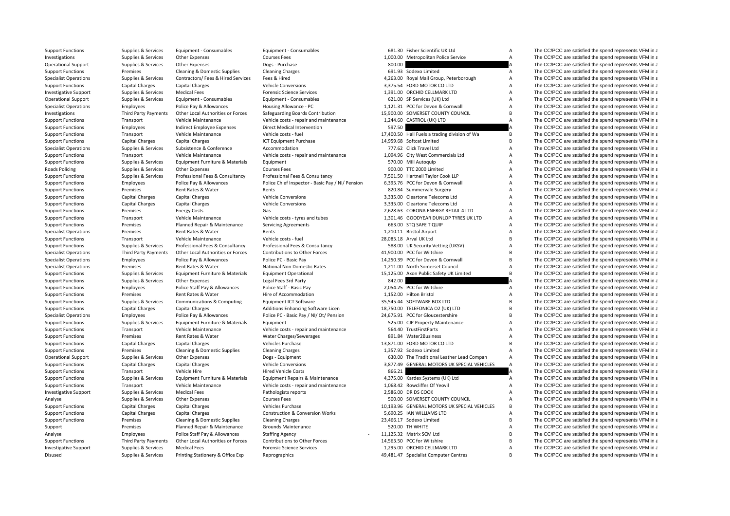| <b>Support Functions</b>     | Supplies & Services         | Equipment - Consumables            | Equipment - Consumables                                 |        | 681.30 Fisher Scientific UK Ltd               | Α              | The CC/PCC are satisfied the spend represents VFM in a |
|------------------------------|-----------------------------|------------------------------------|---------------------------------------------------------|--------|-----------------------------------------------|----------------|--------------------------------------------------------|
| Investigations               | Supplies & Services         | Other Expenses                     | <b>Courses Fees</b>                                     |        | 1,000.00 Metropolitan Police Service          | Α              | The CC/PCC are satisfied the spend represents VFM in a |
| <b>Operational Support</b>   | Supplies & Services         | Other Expenses                     | Dogs - Purchase                                         | 800.00 |                                               |                | The CC/PCC are satisfied the spend represents VFM in a |
| <b>Support Functions</b>     | Premises                    | Cleaning & Domestic Supplies       | <b>Cleaning Charges</b>                                 |        | 691.93 Sodexo Limited                         | A              | The CC/PCC are satisfied the spend represents VFM in a |
| <b>Specialist Operations</b> | Supplies & Services         | Contractors/ Fees & Hired Services | Fees & Hired                                            |        | 4,263.00 Royal Mail Group, Peterborough       | A              | The CC/PCC are satisfied the spend represents VFM in a |
| <b>Support Functions</b>     | Capital Charges             | <b>Capital Charges</b>             | <b>Vehicle Conversions</b>                              |        | 3,375.54 FORD MOTOR CO LTD                    | A              | The CC/PCC are satisfied the spend represents VFM in a |
| <b>Investigative Support</b> | Supplies & Services         | <b>Medical Fees</b>                | <b>Forensic Science Services</b>                        |        | 1,391.00 ORCHID CELLMARK LTD                  | A              | The CC/PCC are satisfied the spend represents VFM in a |
| <b>Operational Support</b>   | Supplies & Services         | Equipment - Consumables            | Equipment - Consumables                                 |        | 621.00 SP Services (UK) Ltd                   | А              | The CC/PCC are satisfied the spend represents VFM in a |
| <b>Specialist Operations</b> | Employees                   | Police Pay & Allowances            | Housing Allowance - PC                                  |        | 1,121.31 PCC for Devon & Cornwall             | $\overline{A}$ | The CC/PCC are satisfied the spend represents VFM in a |
| Investigations               | Third Party Payments        | Other Local Authorities or Forces  | Safeguarding Boards Contribution                        |        | 15,900.00 SOMERSET COUNTY COUNCIL             | B <sub>1</sub> | The CC/PCC are satisfied the spend represents VFM in a |
| <b>Support Functions</b>     | Transport                   | Vehicle Maintenance                | Vehicle costs - repair and maintenance                  |        | 1,244.60 CASTROL (UK) LTD                     | A              | The CC/PCC are satisfied the spend represents VFM in a |
| <b>Support Functions</b>     | Employees                   | Indirect Employee Expenses         | Direct Medical Intervention                             | 597.50 |                                               |                | The CC/PCC are satisfied the spend represents VFM in a |
| <b>Support Functions</b>     | Transport                   | Vehicle Maintenance                | Vehicle costs - fuel                                    |        | 17,400.50 Hall Fuels a trading division of Wa | B              | The CC/PCC are satisfied the spend represents VFM in a |
| <b>Support Functions</b>     | Capital Charges             | <b>Capital Charges</b>             | <b>ICT Equipment Purchase</b>                           |        | 14,959.68 Softcat Limited                     | B <sub>1</sub> | The CC/PCC are satisfied the spend represents VFM in a |
| <b>Specialist Operations</b> | Supplies & Services         | Subsistence & Conference           | Accommodation                                           |        | 777.62 Click Travel Ltd                       | Α              | The CC/PCC are satisfied the spend represents VFM in a |
| <b>Support Functions</b>     | Transport                   | Vehicle Maintenance                | Vehicle costs - repair and maintenance                  |        | 1,094.96 City West Commercials Ltd            | A              | The CC/PCC are satisfied the spend represents VFM in a |
| <b>Support Functions</b>     | Supplies & Services         | Equipment Furniture & Materials    | Equipment                                               |        | 570.00 Mill Autoquip                          | A              | The CC/PCC are satisfied the spend represents VFM in a |
| <b>Roads Policing</b>        | Supplies & Services         | Other Expenses                     | <b>Courses Fees</b>                                     |        | 900.00 TTC 2000 Limited                       | Α              | The CC/PCC are satisfied the spend represents VFM in a |
| <b>Support Functions</b>     | Supplies & Services         | Professional Fees & Consultancy    | Professional Fees & Consultancy                         |        | 7,501.50 Hartnell Taylor Cook LLP             | Α              | The CC/PCC are satisfied the spend represents VFM in a |
| <b>Support Functions</b>     | Employees                   | Police Pay & Allowances            | Police Chief Inspector - Basic Pay / NI/ Pension        |        | 6,395.76 PCC for Devon & Cornwall             | A              | The CC/PCC are satisfied the spend represents VFM in a |
| <b>Support Functions</b>     | Premises                    | Rent Rates & Water                 | Rents                                                   |        | 820.84 Summervale Surgery                     | A              | The CC/PCC are satisfied the spend represents VFM in a |
| <b>Support Functions</b>     | Capital Charges             | <b>Capital Charges</b>             | <b>Vehicle Conversions</b>                              |        | 3,335.00 Cleartone Telecoms Ltd               | A              | The CC/PCC are satisfied the spend represents VFM in a |
| <b>Support Functions</b>     | <b>Capital Charges</b>      | <b>Capital Charges</b>             | <b>Vehicle Conversions</b>                              |        | 3,335.00 Cleartone Telecoms Ltd               | A              | The CC/PCC are satisfied the spend represents VFM in a |
| <b>Support Functions</b>     | Premises                    | <b>Energy Costs</b>                | Gas                                                     |        | 2,628.63 CORONA ENERGY RETAIL 4 LTD           | Α              | The CC/PCC are satisfied the spend represents VFM in a |
| <b>Support Functions</b>     | Transport                   | Vehicle Maintenance                | Vehicle costs - tyres and tubes                         |        | 1,301.46 GOODYEAR DUNLOP TYRES UK LTD         | А              | The CC/PCC are satisfied the spend represents VFM in a |
| <b>Support Functions</b>     | Premises                    | Planned Repair & Maintenance       | <b>Servicing Agreements</b>                             |        | 663.00 STQ SAFE T QUIP                        | Α              | The CC/PCC are satisfied the spend represents VFM in a |
|                              |                             |                                    |                                                         |        | 1,210.11 Bristol Airport                      | A              | The CC/PCC are satisfied the spend represents VFM in a |
| <b>Specialist Operations</b> | Premises                    | Rent Rates & Water                 | Rents                                                   |        | 28,085.18 Arval UK Ltd                        | B              | The CC/PCC are satisfied the spend represents VFM in a |
| <b>Support Functions</b>     | Transport                   | Vehicle Maintenance                | Vehicle costs - fuel<br>Professional Fees & Consultancy |        |                                               | $\overline{A}$ | The CC/PCC are satisfied the spend represents VFM in a |
| <b>Support Functions</b>     | Supplies & Services         | Professional Fees & Consultancy    |                                                         |        | 588.00 UK Security Vetting (UKSV)             | R              |                                                        |
| <b>Specialist Operations</b> | <b>Third Party Payments</b> | Other Local Authorities or Forces  | Contributions to Other Forces                           |        | 41,900.00 PCC for Wiltshire                   |                | The CC/PCC are satisfied the spend represents VFM in a |
| <b>Specialist Operations</b> | Employees                   | Police Pay & Allowances            | Police PC - Basic Pay                                   |        | 14,250.39 PCC for Devon & Cornwall            | B              | The CC/PCC are satisfied the spend represents VFM in a |
| <b>Specialist Operations</b> | Premises                    | Rent Rates & Water                 | National Non Domestic Rates                             |        | 1,211.00 North Somerset Council               | $\overline{A}$ | The CC/PCC are satisfied the spend represents VFM in a |
| <b>Support Functions</b>     | Supplies & Services         | Equipment Furniture & Materials    | <b>Equipment Operational</b>                            |        | 15,125.00 Axon Public Safety UK Limited       | B              | The CC/PCC are satisfied the spend represents VFM in a |
| <b>Support Functions</b>     | Supplies & Services         | Other Expenses                     | Legal Fees 3rd Party                                    | 842.00 |                                               |                | The CC/PCC are satisfied the spend represents VFM in a |
| <b>Support Functions</b>     | Employees                   | Police Staff Pay & Allowances      | Police Staff - Basic Pay                                |        | 2.054.25 PCC for Wiltshire                    | A              | The CC/PCC are satisfied the spend represents VFM in a |
| <b>Support Functions</b>     | Premises                    | Rent Rates & Water                 | Hire of Accommodation                                   |        | 1.152.00 Hilton Bristol                       | Α              | The CC/PCC are satisfied the spend represents VFM in a |
| <b>Support Functions</b>     | Supplies & Services         | Communications & Computing         | <b>Equipment ICT Software</b>                           |        | 35,545.44 SOFTWARE BOX LTD                    | B              | The CC/PCC are satisfied the spend represents VFM in a |
| <b>Support Functions</b>     | <b>Capital Charges</b>      | <b>Capital Charges</b>             | Additions Enhancing Software Licen                      |        | 18,750.00 TELEFONICA O2 (UK) LTD              | B              | The CC/PCC are satisfied the spend represents VFM in a |
| <b>Specialist Operations</b> | Employees                   | Police Pay & Allowances            | Police PC - Basic Pay / NI/ Ot/ Pension                 |        | 24,675.91 PCC for Gloucestershire             | B              | The CC/PCC are satisfied the spend represents VFM in a |
| <b>Support Functions</b>     | Supplies & Services         | Equipment Furniture & Materials    | Equipment                                               |        | 525.00 CJP Property Maintenance               | A              | The CC/PCC are satisfied the spend represents VFM in a |
| <b>Support Functions</b>     | Transport                   | Vehicle Maintenance                | Vehicle costs - repair and maintenance                  |        | 564.40 TrustFirstParts                        | A              | The CC/PCC are satisfied the spend represents VFM in a |
| <b>Support Functions</b>     | Premises                    | Rent Rates & Water                 | Water Charges/Sewerages                                 |        | 891.84 Water2Business                         | A              | The CC/PCC are satisfied the spend represents VFM in a |
| <b>Support Functions</b>     | <b>Capital Charges</b>      | <b>Capital Charges</b>             | Vehicles Purchase                                       |        | 13,871.00 FORD MOTOR CO LTD                   | B              | The CC/PCC are satisfied the spend represents VFM in a |
| <b>Support Functions</b>     | Premises                    | Cleaning & Domestic Supplies       | <b>Cleaning Charges</b>                                 |        | 1,357.92 Sodexo Limited                       | A              | The CC/PCC are satisfied the spend represents VFM in a |
| <b>Operational Support</b>   | Supplies & Services         | Other Expenses                     | Dogs - Equipment                                        |        | 630.00 The Traditional Leather Lead Compan    | $\overline{A}$ | The CC/PCC are satisfied the spend represents VFM in a |
| <b>Support Functions</b>     | Capital Charges             | <b>Capital Charges</b>             | <b>Vehicle Conversions</b>                              |        | 3,877.49 GENERAL MOTORS UK SPECIAL VEHICLES   | A              | The CC/PCC are satisfied the spend represents VFM in a |
| <b>Support Functions</b>     | Transport                   | Vehicle Hire                       | <b>Hired Vehicle Costs</b>                              | 866.21 |                                               |                | The CC/PCC are satisfied the spend represents VFM in a |
| <b>Support Functions</b>     | Supplies & Services         | Equipment Furniture & Materials    | Equipment Repairs & Maintenance                         |        | 4,375.00 Kardex Systems (UK) Ltd              | Α              | The CC/PCC are satisfied the spend represents VFM in a |
| <b>Support Functions</b>     | Transport                   | Vehicle Maintenance                | Vehicle costs - repair and maintenance                  |        | 1,068.42 Rowcliffes Of Yeovil                 | Α              | The CC/PCC are satisfied the spend represents VFM in a |
| <b>Investigative Support</b> | Supplies & Services         | <b>Medical Fees</b>                | Pathologists reports                                    |        | 2,586.00 DR DS COOK                           | Α              | The CC/PCC are satisfied the spend represents VFM in a |
| Analyse                      | Supplies & Services         | Other Expenses                     | <b>Courses Fees</b>                                     |        | 500.00 SOMERSET COUNTY COUNCIL                | A              | The CC/PCC are satisfied the spend represents VFM in a |
| <b>Support Functions</b>     | <b>Capital Charges</b>      | <b>Capital Charges</b>             | Vehicles Purchase                                       |        | 10,193.96 GENERAL MOTORS UK SPECIAL VEHICLES  | $\overline{B}$ | The CC/PCC are satisfied the spend represents VFM in a |
| <b>Support Functions</b>     | <b>Capital Charges</b>      | <b>Capital Charges</b>             | <b>Construction &amp; Conversion Works</b>              |        | 5.690.25 IAN WILLIAMS LTD                     | $\overline{A}$ | The CC/PCC are satisfied the spend represents VFM in a |
| <b>Support Functions</b>     | Premises                    | Cleaning & Domestic Supplies       | <b>Cleaning Charges</b>                                 |        | 23,466.17 Sodexo Limited                      | B              | The CC/PCC are satisfied the spend represents VFM in a |
| Support                      | Premises                    | Planned Repair & Maintenance       | Grounds Maintenance                                     |        | 520.00 TH WHITE                               | Α              | The CC/PCC are satisfied the spend represents VFM in a |
| Analyse                      | Employees                   | Police Staff Pay & Allowances      | <b>Staffing Agency</b>                                  |        | 11,125.32 Matrix SCM Ltd                      | B              | The CC/PCC are satisfied the spend represents VFM in a |
| <b>Support Functions</b>     | Third Party Payments        | Other Local Authorities or Forces  | Contributions to Other Forces                           |        | 14.563.50 PCC for Wiltshire                   | B              | The CC/PCC are satisfied the spend represents VFM in a |
| <b>Investigative Support</b> | Supplies & Services         | <b>Medical Fees</b>                | <b>Forensic Science Services</b>                        |        | 1.295.00 ORCHID CELLMARK LTD                  | A              | The CC/PCC are satisfied the spend represents VFM in a |
|                              |                             |                                    |                                                         |        |                                               |                |                                                        |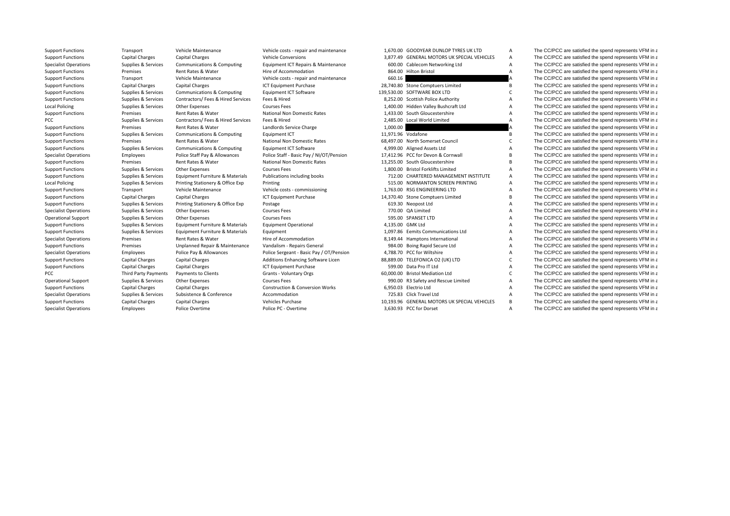**Local Policing Local Policing** PCC Third Party Payments

Specialist Operations Employees Police Overtime Police PC - Overtime Police PC - Overtime 3,630.93 PCC for Dorset A The CC/PCC are satisfied the spend represents VFM in a

Support Functions Transport Vehicle Maintenance Vehicle costs - repair and maintenance 1,670.00 GOODYEAR DUNLOP TYRES UK LTD A The CC/PCC are satisfied the spend represents VFM in a Support Functions Capital Charges Capital Charges Vehicle Conversions 3,877.49 GENERAL MOTORS UK SPECIAL VEHICLES A The CC/PCC are satisfied the spend represents VFM in a Specialist Operations Supplies & Services Communications & Computing Equipment ICT Repairs & Maintenance 600.00 Cablecom Networking Ltd A The CC/PCC are satisfied the spend represents VFM in a Support Functions Premises Rent Rates & Water Hire of Accommodation and the and the Bristol Bristol A The CC/PCC are satisfied the spend represents VFM in a Support Functions and the spend represents VFM in a spend represe Support Functions Transport Vehicle Maintenance Vehicle costs ‐ repair and maintenance 660.16 660.16 A The CC/PCC are satisfied the spend represents VFM in a Support Functions Capital Charges Capital Charges ICT Equipment Purchase 28,740.80 Stone Comptuers Limited B The CC/PCC are satisfied the spend represents VFM in a Support Functions Supplies & Services Communications & Computing Equipment ICT Software 139,530.00 SOFTWARE BOX LTD C The CC/PCC are satisfied the spend represents VFM in a Support Functions Supplies & Services Contractors/ Fees & Hired Services Fees & Hired Services Services Services Fees & Hired Services 8,86252.00 Scottish Police Authority A The CC/PCC are satisfied the spend represents VF Policing Supplies & Services Other Expenses Courses Fees 1,400.00 Hidden Valley Bushcraft Ltd A The CC/PCC are satisfied the spend represents VFM in a Support Functions Premises Rent Rates & Water National Non Domestic Rates 1,433.00 South Gloucestershire A The CC/PCC are satisfied the spend represents VFM in a PCC Supplies & Services Contractors/ Fees & Hired Services Fees & Hired The Services Fees & Hired 2,485.00 Local World Limited A The CC/PCC are satisfied the spend represents VFM in a Support Functions Premises Rent Rates & Water Landlords Service Charge 1,000.00 A The CC/PCC are satisfied the spend represents VFM in a Support Functions Supplies & Services Communications & Computing Equipment ICT 11,971.96 Vodafone B The CC/PCC are satisfied the spend represents VFM in a Support Functions Premises Rent Rates & Water National Non Domestic Rates 68,497.00 North Somerset Council C The CC/PCC are satisfied the spend represents VFM in a Support Functions Supplies & Services Communications & Computing Equipment ICT Software 4,999.00 Aligned Assets Ltd A The CC/PCC are satisfied the spend represents VFM in a Specialist Operations Employees Police Staff Pay & Allowances Police Staff - Basic Pay / NI/OT/Pension 17,412.96 PCC for Devon & Cornwall B The CC/PCC are satisfied the spend represents VFM in a substitution of the spend r Support Functions Premises Rent Rates & Water National Non Domestic Rates 13,255.00 South Gloucestershire B The CC/PCC are satisfied the spend represents VFM in a Support Functions Supplies & Services Other Expenses Courses Fees Courses Fees 1,800.00 Bristol Forklifts Limited A The CC/PCC are satisfied the spend represents VFM in a Support Functions Supplies & Services Equipment Furniture & Materials Publications including books 712.00 CHARTERED MANAGEMENT INSTITUTE A The CC/PCC are satisfied the spend represents VFM in a Supplies & Services Printing Stationery & Office Exp Printing **Frinting 515.00 NORMANTON SCREEN PRINTING** A The CC/PCC are satisfied the spend represents VFM in a Support Functions Transport Vehicle Maintenance Vehicle costs - commissioning 1,763.00 RSG ENGINEERING LTD A The CC/PCC are satisfied the spend represents VFM in a Support Functions Capital Charges Capital Charges ICT Equipment Purchase 14,370.40 Stone Comptuers Limited B The CC/PCC are satisfied the spend represents VFM in a Support Functions Supplies & Services Printing Stationery & Office Exp Postage Postage 619.30 Neopost Ltd A The CC/PCC are satisfied the spend represents VFM in a Supplies & Services Other Expenses Courses Fees Courses Fee Specialist Operations Supplies & Services Other Expenses Courses Fees Courses Fees 770.00 QA Limited A The CC/PCC are satisfied the spend represents VFM in a Operational Support Supplies & Services Other Expenses Courses Fees Courses Fees 595.00 SPANSET LTD A The CC/PCC are satisfied the spend represents VFM in a Support Functions Supplies & Services Equipment Furniture & Materials Equipment Operational 4,135.00 GMK Ltd A The CC/PCC are satisfied the spend represents VFM in a Support Functions Supplies & Services Equipment Furniture & Materials Equipment 1,097.86 Eemits Communications Ltd A The CC/PCC are satisfied the spend represents VFM in a Specialist Operations Premises Rent Rates & Water Hire of Accommodation Hire of Accommodation 8,149.44 Hamptons International A The CC/PCC are satisfied the spend represents VFM in a Support Functions Premises Dinplanned Repair & Maintenance Vandalism - Repairs General 984.00 Boing Rapid Secure Ltd A The CC/PCC are satisfied the spend represents VFM in a Specialist Operations Employees Police Pay & Allowances Police Sergeant - Basic Pay / OT/Pension 4,788.70 PCC for Wiltshire A The CC/PCC are satisfied the spend represents VFM in a Support Functions Capital Charges Capital Charges Additions Enhancing Software Licen 88,889.00 TELEFONICA O2 (UK) LTD C The CC/PCC are satisfied the spend represents VFM in a Support Functions Capital Charges Capital Charges Capital Charges ICT Equipment Purchase 599.00 Data Pro IT Ltd A The CC/PCC are satisfied the spend represents VFM in a Payments to Clients Grants - Voluntary Orgs 60,000 Fristol Mediation Ltd C The CC/PCC are satisfied the spend represents VFM in a Operational Support Supplies & Services Other Expenses Courses Fees Courses Fees 990.00 R3 Safety and Rescue Limited A The CC/PCC are satisfied the spend represents VFM in a Support Functions Capital Charges Capital Charges Construction & Conversion Works 6,950.03 Flectrio Ltd A The CC/PCC are satisfied the spend represents VFM in a Specialist Operations Supplies & Services Subsistence Subsistence Accommodation Accommodation 725.83 Click Travel Ltd A The CC/PCC are satisfied the spend represents VFM in a Support Functions Capital Charges Capital Charges Vehicles Purchase Vehicles Purchase 10,193.96 GENERAL MOTORS UK SPECIAL VEHICLES B The CC/PCC are satisfied the spend represents VFM in a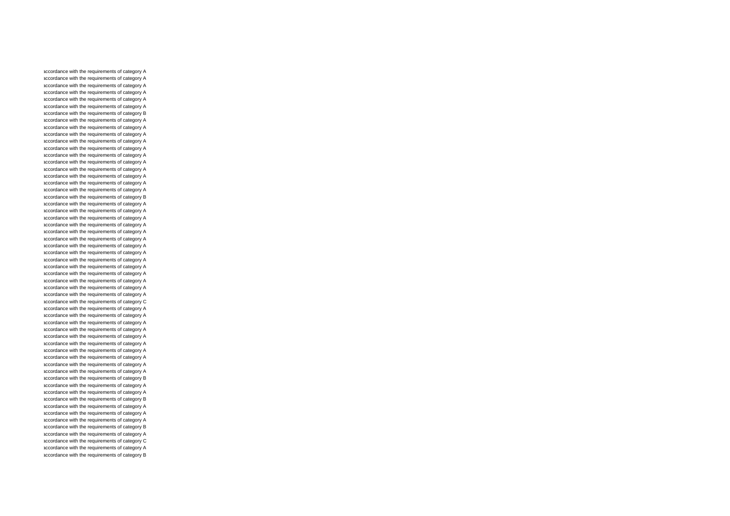accordance with the requirements of category A accordance with the requirements of category A accordance with the requirements of category A accordance with the requirements of category A accordance with the requirements of category A accordance with the requirements of category A accordance with the requirements of category B accordance with the requirements of category A accordance with the requirements of category A accordance with the requirements of category A accordance with the requirements of category A accordance with the requirements of category A accordance with the requirements of category A accordance with the requirements of category A accordance with the requirements of category A accordance with the requirements of category A accordance with the requirements of category A accordance with the requirements of category A accordance with the requirements of category B accordance with the requirements of category A accordance with the requirements of category A accordance with the requirements of category A accordance with the requirements of category A accordance with the requirements of category A accordance with the requirements of category A accordance with the requirements of category A accordance with the requirements of category A accordance with the requirements of category A accordance with the requirements of category A accordance with the requirements of category A accordance with the requirements of category A accordance with the requirements of category A accordance with the requirements of category A accordance with the requirements of category C accordance with the requirements of category A accordance with the requirements of category A accordance with the requirements of category A accordance with the requirements of category A accordance with the requirements of category A accordance with the requirements of category A accordance with the requirements of category A accordance with the requirements of category A accordance with the requirements of category A accordance with the requirements of category A accordance with the requirements of category B accordance with the requirements of category A accordance with the requirements of category A accordance with the requirements of category B accordance with the requirements of category A accordance with the requirements of category A accordance with the requirements of category A accordance with the requirements of category B accordance with the requirements of category A accordance with the requirements of category C accordance with the requirements of category A accordance with the requirements of category B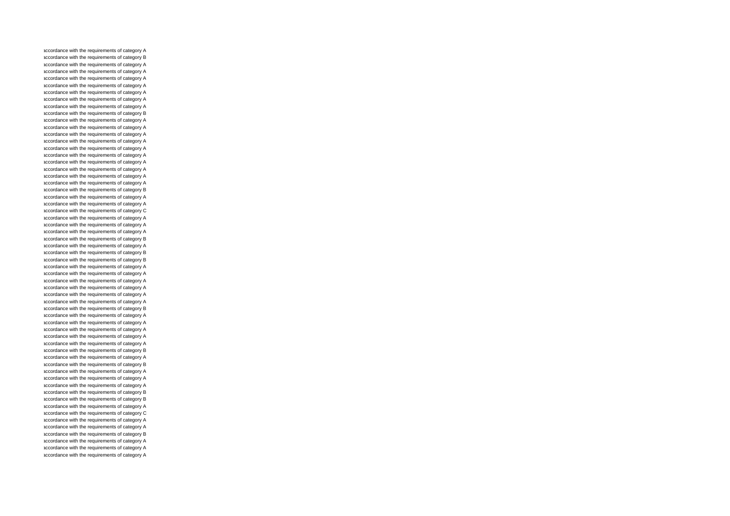accordance with the requirements of category A accordance with the requirements of category B accordance with the requirements of category A accordance with the requirements of category A accordance with the requirements of category A accordance with the requirements of category A accordance with the requirements of category A accordance with the requirements of category A accordance with the requirements of category A accordance with the requirements of category B accordance with the requirements of category A accordance with the requirements of category A accordance with the requirements of category A accordance with the requirements of category A accordance with the requirements of category A accordance with the requirements of category A accordance with the requirements of category A accordance with the requirements of category A accordance with the requirements of category A accordance with the requirements of category A accordance with the requirements of category B accordance with the requirements of category A accordance with the requirements of category A accordance with the requirements of category C accordance with the requirements of category A accordance with the requirements of category A accordance with the requirements of category A accordance with the requirements of category B accordance with the requirements of category A accordance with the requirements of category B accordance with the requirements of category B accordance with the requirements of category A accordance with the requirements of category A accordance with the requirements of category A accordance with the requirements of category A accordance with the requirements of category A accordance with the requirements of category A accordance with the requirements of category B accordance with the requirements of category A accordance with the requirements of category A accordance with the requirements of category A accordance with the requirements of category A accordance with the requirements of category A accordance with the requirements of category B accordance with the requirements of category A accordance with the requirements of category B accordance with the requirements of category A accordance with the requirements of category A accordance with the requirements of category A accordance with the requirements of category B accordance with the requirements of category B accordance with the requirements of category A accordance with the requirements of category C accordance with the requirements of category A accordance with the requirements of category A accordance with the requirements of category B accordance with the requirements of category A accordance with the requirements of category A accordance with the requirements of category A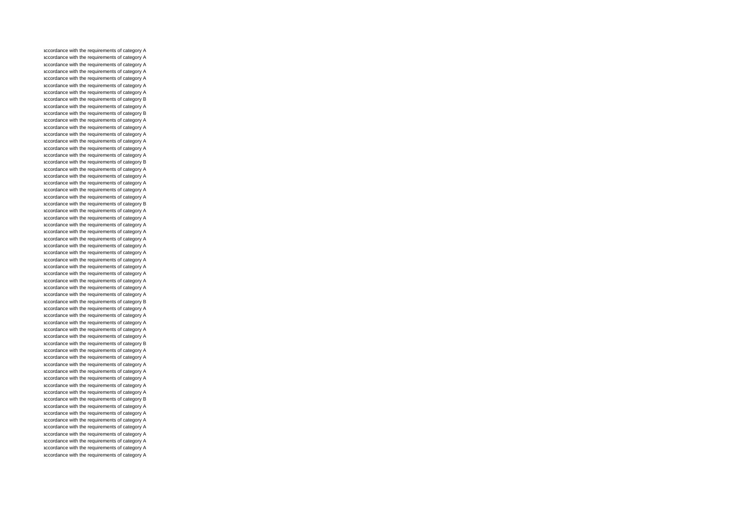accordance with the requirements of category A accordance with the requirements of category A accordance with the requirements of category A accordance with the requirements of category A accordance with the requirements of category A accordance with the requirements of category A accordance with the requirements of category A accordance with the requirements of category B accordance with the requirements of category A accordance with the requirements of category B accordance with the requirements of category A accordance with the requirements of category A accordance with the requirements of category A accordance with the requirements of category A accordance with the requirements of category A accordance with the requirements of category A accordance with the requirements of category B accordance with the requirements of category A accordance with the requirements of category A accordance with the requirements of category A accordance with the requirements of category A accordance with the requirements of category A accordance with the requirements of category B accordance with the requirements of category A accordance with the requirements of category A accordance with the requirements of category A accordance with the requirements of category A accordance with the requirements of category A accordance with the requirements of category A accordance with the requirements of category A accordance with the requirements of category A accordance with the requirements of category A accordance with the requirements of category A accordance with the requirements of category A accordance with the requirements of category A accordance with the requirements of category A accordance with the requirements of category B accordance with the requirements of category A accordance with the requirements of category A accordance with the requirements of category A accordance with the requirements of category A accordance with the requirements of category A accordance with the requirements of category B accordance with the requirements of category A accordance with the requirements of category A accordance with the requirements of category A accordance with the requirements of category A accordance with the requirements of category A accordance with the requirements of category A accordance with the requirements of category A accordance with the requirements of category B accordance with the requirements of category A accordance with the requirements of category A accordance with the requirements of category A accordance with the requirements of category A accordance with the requirements of category A accordance with the requirements of category A accordance with the requirements of category A accordance with the requirements of category A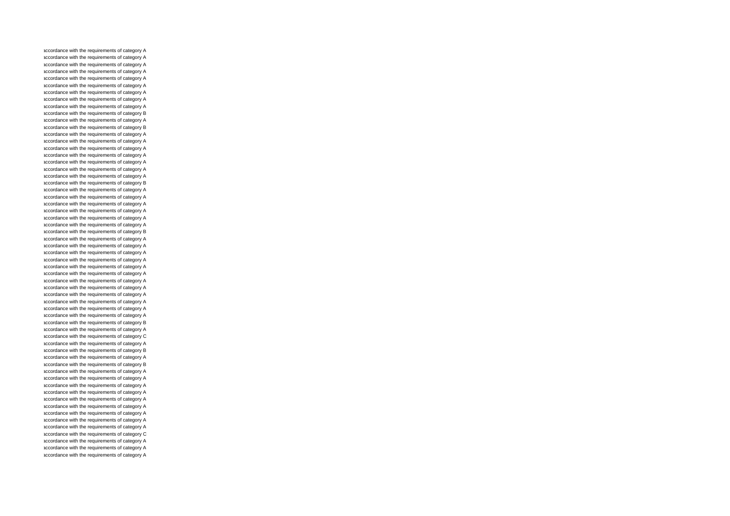accordance with the requirements of category A accordance with the requirements of category A accordance with the requirements of category A accordance with the requirements of category A accordance with the requirements of category A accordance with the requirements of category A accordance with the requirements of category A accordance with the requirements of category A accordance with the requirements of category A accordance with the requirements of category B accordance with the requirements of category A accordance with the requirements of category B accordance with the requirements of category A accordance with the requirements of category A accordance with the requirements of category A accordance with the requirements of category A accordance with the requirements of category A accordance with the requirements of category A accordance with the requirements of category A accordance with the requirements of category B accordance with the requirements of category A accordance with the requirements of category A accordance with the requirements of category A accordance with the requirements of category A accordance with the requirements of category A accordance with the requirements of category A accordance with the requirements of category B accordance with the requirements of category A accordance with the requirements of category A accordance with the requirements of category A accordance with the requirements of category A accordance with the requirements of category A accordance with the requirements of category A accordance with the requirements of category A accordance with the requirements of category A accordance with the requirements of category A accordance with the requirements of category A accordance with the requirements of category A accordance with the requirements of category A accordance with the requirements of category B accordance with the requirements of category A accordance with the requirements of category C accordance with the requirements of category A accordance with the requirements of category B accordance with the requirements of category A accordance with the requirements of category B accordance with the requirements of category A accordance with the requirements of category A accordance with the requirements of category A accordance with the requirements of category A accordance with the requirements of category A accordance with the requirements of category A accordance with the requirements of category A accordance with the requirements of category A accordance with the requirements of category A accordance with the requirements of category C accordance with the requirements of category A accordance with the requirements of category A accordance with the requirements of category A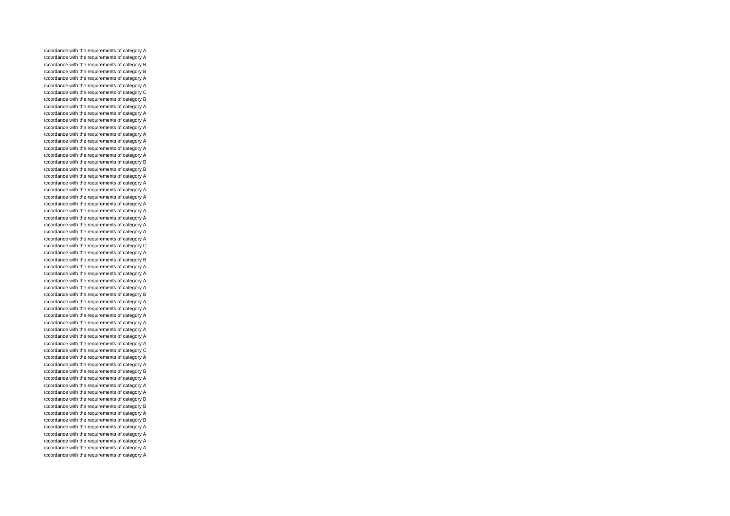accordance with the requirements of category A accordance with the requirements of category A accordance with the requirements of category B accordance with the requirements of category B accordance with the requirements of category A accordance with the requirements of category A accordance with the requirements of category C accordance with the requirements of category B accordance with the requirements of category A accordance with the requirements of category A accordance with the requirements of category A accordance with the requirements of category A accordance with the requirements of category A accordance with the requirements of category A accordance with the requirements of category A accordance with the requirements of category A accordance with the requirements of category B accordance with the requirements of category B accordance with the requirements of category A accordance with the requirements of category A accordance with the requirements of category A accordance with the requirements of category A accordance with the requirements of category A accordance with the requirements of category A accordance with the requirements of category A accordance with the requirements of category A accordance with the requirements of category A accordance with the requirements of category A accordance with the requirements of category C accordance with the requirements of category A accordance with the requirements of category B accordance with the requirements of category A accordance with the requirements of category A accordance with the requirements of category A accordance with the requirements of category A accordance with the requirements of category B accordance with the requirements of category A accordance with the requirements of category A accordance with the requirements of category A accordance with the requirements of category A accordance with the requirements of category A accordance with the requirements of category A accordance with the requirements of category A accordance with the requirements of category C accordance with the requirements of category A accordance with the requirements of category A accordance with the requirements of category B accordance with the requirements of category A accordance with the requirements of category A accordance with the requirements of category A accordance with the requirements of category B accordance with the requirements of category B accordance with the requirements of category A accordance with the requirements of category B accordance with the requirements of category A accordance with the requirements of category A accordance with the requirements of category A accordance with the requirements of category A accordance with the requirements of category A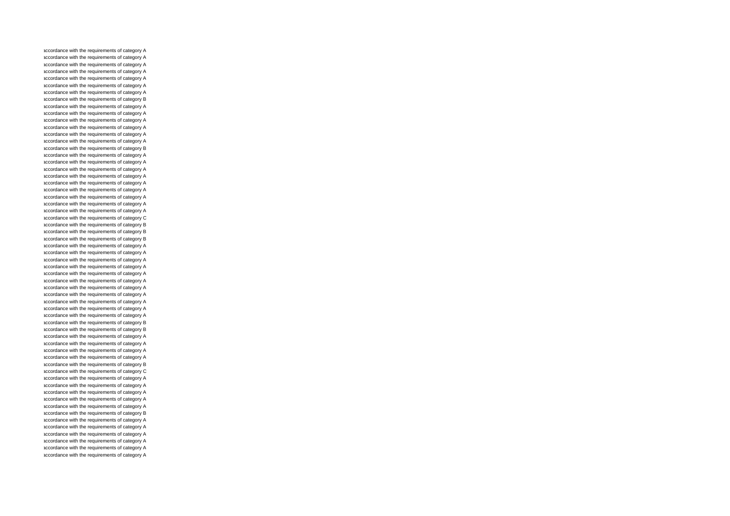accordance with the requirements of category A accordance with the requirements of category A accordance with the requirements of category A accordance with the requirements of category A accordance with the requirements of category A accordance with the requirements of category A accordance with the requirements of category A accordance with the requirements of category B accordance with the requirements of category A accordance with the requirements of category A accordance with the requirements of category A accordance with the requirements of category A accordance with the requirements of category A accordance with the requirements of category A accordance with the requirements of category B accordance with the requirements of category A accordance with the requirements of category A accordance with the requirements of category A accordance with the requirements of category A accordance with the requirements of category A accordance with the requirements of category A accordance with the requirements of category A accordance with the requirements of category A accordance with the requirements of category A accordance with the requirements of category C accordance with the requirements of category B accordance with the requirements of category B accordance with the requirements of category B accordance with the requirements of category A accordance with the requirements of category A accordance with the requirements of category A accordance with the requirements of category A accordance with the requirements of category A accordance with the requirements of category A accordance with the requirements of category A accordance with the requirements of category A accordance with the requirements of category A accordance with the requirements of category A accordance with the requirements of category A accordance with the requirements of category B accordance with the requirements of category B accordance with the requirements of category A accordance with the requirements of category A accordance with the requirements of category A accordance with the requirements of category A accordance with the requirements of category B accordance with the requirements of category C accordance with the requirements of category A accordance with the requirements of category A accordance with the requirements of category A accordance with the requirements of category A accordance with the requirements of category A accordance with the requirements of category B accordance with the requirements of category A accordance with the requirements of category A accordance with the requirements of category A accordance with the requirements of category A accordance with the requirements of category A accordance with the requirements of category A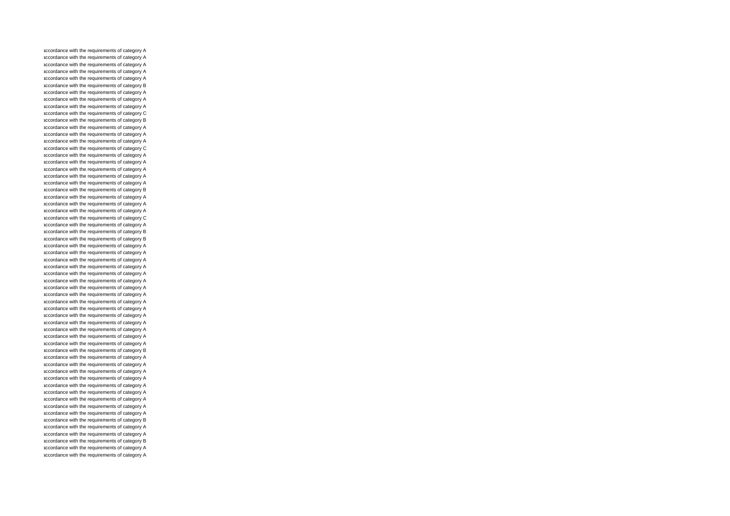accordance with the requirements of category A accordance with the requirements of category A accordance with the requirements of category A accordance with the requirements of category A accordance with the requirements of category A accordance with the requirements of category B accordance with the requirements of category A accordance with the requirements of category A accordance with the requirements of category A accordance with the requirements of category C accordance with the requirements of category B accordance with the requirements of category A accordance with the requirements of category A accordance with the requirements of category A accordance with the requirements of category C accordance with the requirements of category A accordance with the requirements of category A accordance with the requirements of category A accordance with the requirements of category A accordance with the requirements of category A accordance with the requirements of category B accordance with the requirements of category A accordance with the requirements of category A accordance with the requirements of category A accordance with the requirements of category C accordance with the requirements of category A accordance with the requirements of category B accordance with the requirements of category B accordance with the requirements of category A accordance with the requirements of category A accordance with the requirements of category A accordance with the requirements of category A accordance with the requirements of category A accordance with the requirements of category A accordance with the requirements of category A accordance with the requirements of category A accordance with the requirements of category A accordance with the requirements of category A accordance with the requirements of category A accordance with the requirements of category A accordance with the requirements of category A accordance with the requirements of category A accordance with the requirements of category A accordance with the requirements of category B accordance with the requirements of category A accordance with the requirements of category A accordance with the requirements of category A accordance with the requirements of category A accordance with the requirements of category A accordance with the requirements of category A accordance with the requirements of category A accordance with the requirements of category A accordance with the requirements of category A accordance with the requirements of category B accordance with the requirements of category A accordance with the requirements of category A accordance with the requirements of category B accordance with the requirements of category A accordance with the requirements of category A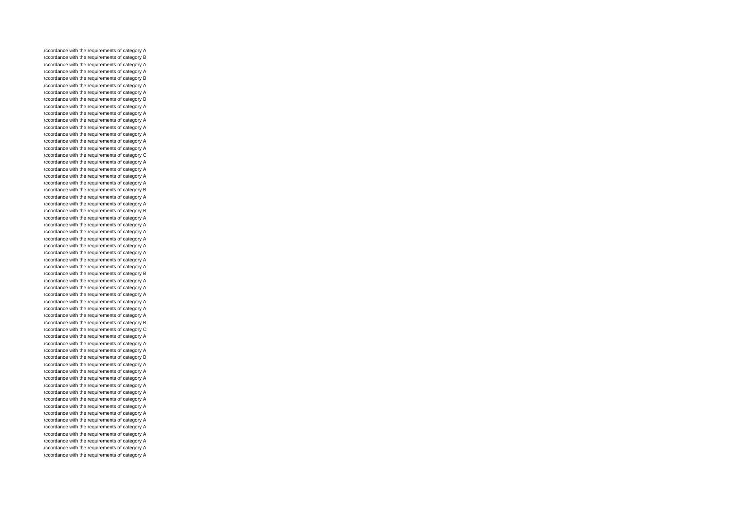accordance with the requirements of category A accordance with the requirements of category B accordance with the requirements of category A accordance with the requirements of category A accordance with the requirements of category B accordance with the requirements of category A accordance with the requirements of category A accordance with the requirements of category B accordance with the requirements of category A accordance with the requirements of category A accordance with the requirements of category A accordance with the requirements of category A accordance with the requirements of category A accordance with the requirements of category A accordance with the requirements of category A accordance with the requirements of category C accordance with the requirements of category A accordance with the requirements of category A accordance with the requirements of category A accordance with the requirements of category A accordance with the requirements of category B accordance with the requirements of category A accordance with the requirements of category A accordance with the requirements of category B accordance with the requirements of category A accordance with the requirements of category A accordance with the requirements of category A accordance with the requirements of category A accordance with the requirements of category A accordance with the requirements of category A accordance with the requirements of category A accordance with the requirements of category A accordance with the requirements of category B accordance with the requirements of category A accordance with the requirements of category A accordance with the requirements of category A accordance with the requirements of category A accordance with the requirements of category A accordance with the requirements of category A accordance with the requirements of category B accordance with the requirements of category C accordance with the requirements of category A accordance with the requirements of category A accordance with the requirements of category A accordance with the requirements of category B accordance with the requirements of category A accordance with the requirements of category A accordance with the requirements of category A accordance with the requirements of category A accordance with the requirements of category A accordance with the requirements of category A accordance with the requirements of category A accordance with the requirements of category A accordance with the requirements of category A accordance with the requirements of category A accordance with the requirements of category A accordance with the requirements of category A accordance with the requirements of category A accordance with the requirements of category A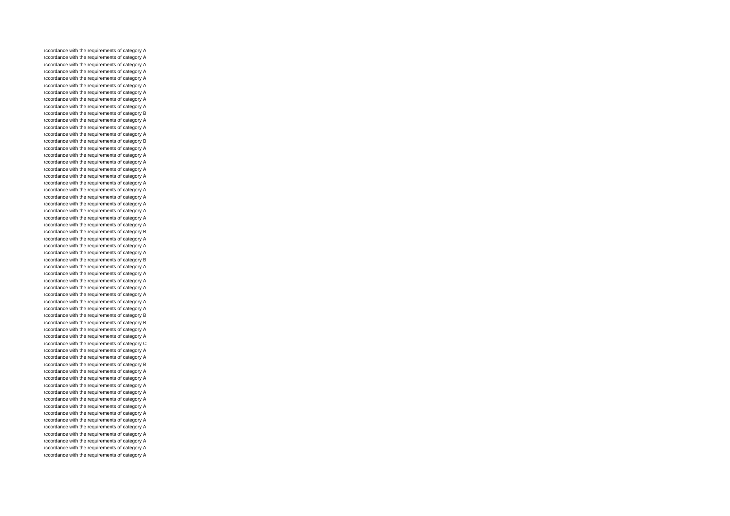accordance with the requirements of category A accordance with the requirements of category A accordance with the requirements of category A accordance with the requirements of category A accordance with the requirements of category A accordance with the requirements of category A accordance with the requirements of category A accordance with the requirements of category A accordance with the requirements of category A accordance with the requirements of category B accordance with the requirements of category A accordance with the requirements of category A accordance with the requirements of category A accordance with the requirements of category B accordance with the requirements of category A accordance with the requirements of category A accordance with the requirements of category A accordance with the requirements of category A accordance with the requirements of category A accordance with the requirements of category A accordance with the requirements of category A accordance with the requirements of category A accordance with the requirements of category A accordance with the requirements of category A accordance with the requirements of category A accordance with the requirements of category A accordance with the requirements of category B accordance with the requirements of category A accordance with the requirements of category A accordance with the requirements of category A accordance with the requirements of category B accordance with the requirements of category A accordance with the requirements of category A accordance with the requirements of category A accordance with the requirements of category A accordance with the requirements of category A accordance with the requirements of category A accordance with the requirements of category A accordance with the requirements of category B accordance with the requirements of category B accordance with the requirements of category A accordance with the requirements of category A accordance with the requirements of category C accordance with the requirements of category A accordance with the requirements of category A accordance with the requirements of category B accordance with the requirements of category A accordance with the requirements of category A accordance with the requirements of category A accordance with the requirements of category A accordance with the requirements of category A accordance with the requirements of category A accordance with the requirements of category A accordance with the requirements of category A accordance with the requirements of category A accordance with the requirements of category A accordance with the requirements of category A accordance with the requirements of category A accordance with the requirements of category A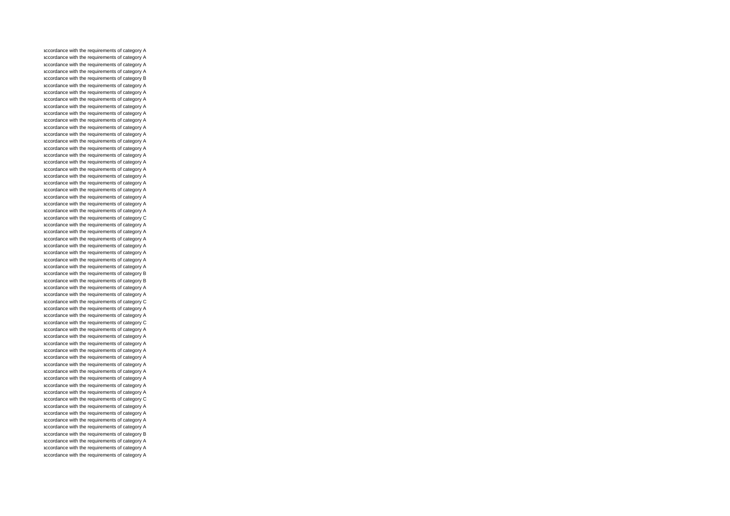accordance with the requirements of category A accordance with the requirements of category A accordance with the requirements of category A accordance with the requirements of category A accordance with the requirements of category B accordance with the requirements of category A accordance with the requirements of category A accordance with the requirements of category A accordance with the requirements of category A accordance with the requirements of category A accordance with the requirements of category A accordance with the requirements of category A accordance with the requirements of category A accordance with the requirements of category A accordance with the requirements of category A accordance with the requirements of category A accordance with the requirements of category A accordance with the requirements of category A accordance with the requirements of category A accordance with the requirements of category A accordance with the requirements of category A accordance with the requirements of category A accordance with the requirements of category A accordance with the requirements of category A accordance with the requirements of category C accordance with the requirements of category A accordance with the requirements of category A accordance with the requirements of category A accordance with the requirements of category A accordance with the requirements of category A accordance with the requirements of category A accordance with the requirements of category A accordance with the requirements of category B accordance with the requirements of category B accordance with the requirements of category A accordance with the requirements of category A accordance with the requirements of category C accordance with the requirements of category A accordance with the requirements of category A accordance with the requirements of category C accordance with the requirements of category A accordance with the requirements of category A accordance with the requirements of category A accordance with the requirements of category A accordance with the requirements of category A accordance with the requirements of category A accordance with the requirements of category A accordance with the requirements of category A accordance with the requirements of category A accordance with the requirements of category A accordance with the requirements of category C accordance with the requirements of category A accordance with the requirements of category A accordance with the requirements of category A accordance with the requirements of category A accordance with the requirements of category B accordance with the requirements of category A accordance with the requirements of category A accordance with the requirements of category A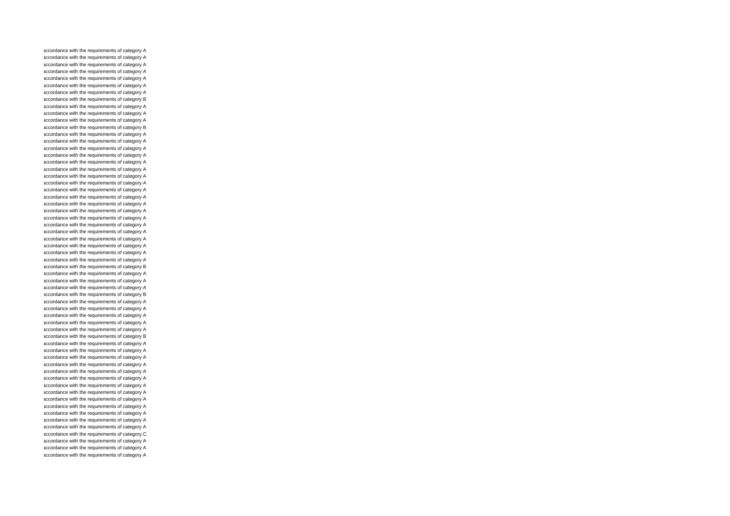accordance with the requirements of category A accordance with the requirements of category A accordance with the requirements of category A accordance with the requirements of category A accordance with the requirements of category A accordance with the requirements of category A accordance with the requirements of category A accordance with the requirements of category B accordance with the requirements of category A accordance with the requirements of category A accordance with the requirements of category A accordance with the requirements of category B accordance with the requirements of category A accordance with the requirements of category A accordance with the requirements of category A accordance with the requirements of category A accordance with the requirements of category A accordance with the requirements of category A accordance with the requirements of category A accordance with the requirements of category A accordance with the requirements of category A accordance with the requirements of category A accordance with the requirements of category A accordance with the requirements of category A accordance with the requirements of category A accordance with the requirements of category A accordance with the requirements of category A accordance with the requirements of category A accordance with the requirements of category A accordance with the requirements of category A accordance with the requirements of category A accordance with the requirements of category B accordance with the requirements of category A accordance with the requirements of category A accordance with the requirements of category A accordance with the requirements of category B accordance with the requirements of category A accordance with the requirements of category A accordance with the requirements of category A accordance with the requirements of category A accordance with the requirements of category A accordance with the requirements of category B accordance with the requirements of category A accordance with the requirements of category A accordance with the requirements of category A accordance with the requirements of category A accordance with the requirements of category A accordance with the requirements of category A accordance with the requirements of category A accordance with the requirements of category A accordance with the requirements of category A accordance with the requirements of category A accordance with the requirements of category A accordance with the requirements of category A accordance with the requirements of category A accordance with the requirements of category C accordance with the requirements of category A accordance with the requirements of category A accordance with the requirements of category A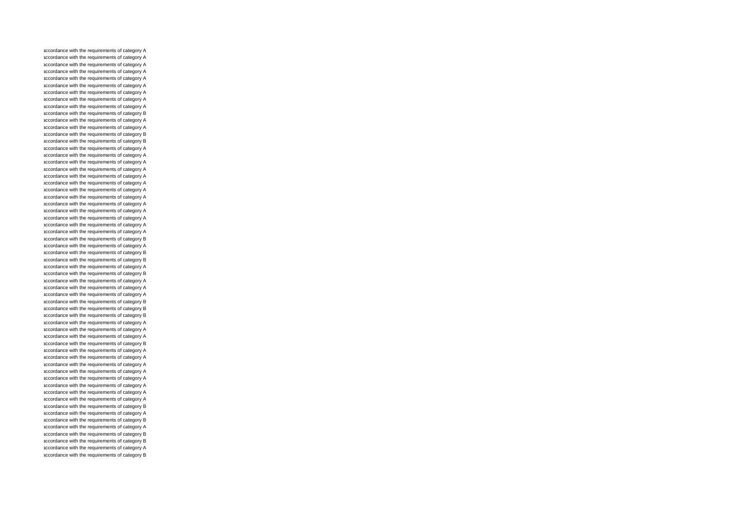accordance with the requirements of category A accordance with the requirements of category A accordance with the requirements of category A accordance with the requirements of category A accordance with the requirements of category A accordance with the requirements of category A accordance with the requirements of category A accordance with the requirements of category A accordance with the requirements of category A accordance with the requirements of category B accordance with the requirements of category A accordance with the requirements of category A accordance with the requirements of category B accordance with the requirements of category B accordance with the requirements of category A accordance with the requirements of category A accordance with the requirements of category A accordance with the requirements of category A accordance with the requirements of category A accordance with the requirements of category A accordance with the requirements of category A accordance with the requirements of category A accordance with the requirements of category A accordance with the requirements of category A accordance with the requirements of category A accordance with the requirements of category A accordance with the requirements of category A accordance with the requirements of category B accordance with the requirements of category A accordance with the requirements of category B accordance with the requirements of category B accordance with the requirements of category A accordance with the requirements of category B accordance with the requirements of category A accordance with the requirements of category A accordance with the requirements of category A accordance with the requirements of category B accordance with the requirements of category B accordance with the requirements of category B accordance with the requirements of category A accordance with the requirements of category A accordance with the requirements of category A accordance with the requirements of category B accordance with the requirements of category A accordance with the requirements of category A accordance with the requirements of category A accordance with the requirements of category A accordance with the requirements of category A accordance with the requirements of category A accordance with the requirements of category A accordance with the requirements of category A accordance with the requirements of category B accordance with the requirements of category A accordance with the requirements of category B accordance with the requirements of category A accordance with the requirements of category B accordance with the requirements of category B accordance with the requirements of category A accordance with the requirements of category B